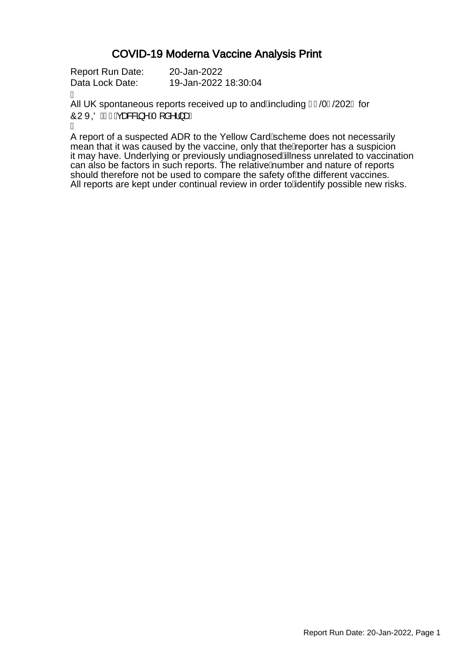### COVID-19 Moderna Vaccine Analysis Print

Report Run Date: 20-Jan-2022 Data Lock Date: 19-Jan-2022 18:30:04

Á

All UK spontaneous reports received up to and Ancluding FJ/0F/202 G for OUXQUE JÁGG&&&3 ^ ÁT [ å^¦} aÈ

Á

A report of a suspected ADR to the Yellow Card Scheme does not necessarily mean that it was caused by the vaccine, only that the *k*eporter has a suspicion it may have. Underlying or previously undiagnosed Allness unrelated to vaccination can also be factors in such reports. The relative humber and nature of reports should therefore not be used to compare the safety of the different vaccines. All reports are kept under continual review in order to Adentify possible new risks.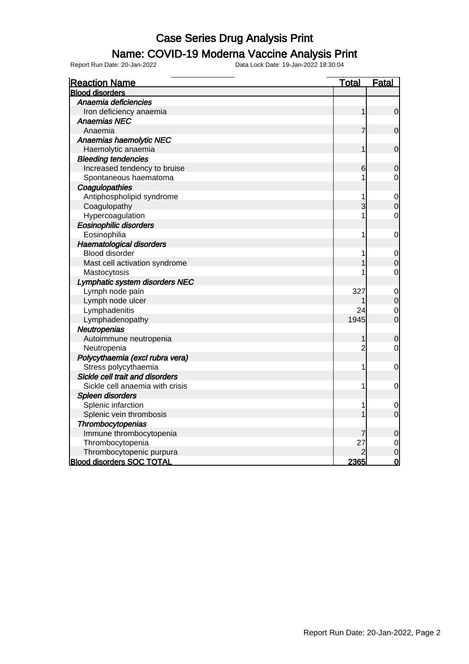#### Name: COVID-19 Moderna Vaccine Analysis Print

| <b>Reaction Name</b>             | <u>Total</u>   | <b>Fatal</b>   |
|----------------------------------|----------------|----------------|
| <b>Blood disorders</b>           |                |                |
| Anaemia deficiencies             |                |                |
| Iron deficiency anaemia          | 1              | $\mathbf 0$    |
| <b>Anaemias NEC</b>              |                |                |
| Anaemia                          | 7              | $\mathbf 0$    |
| Anaemias haemolytic NEC          |                |                |
| Haemolytic anaemia               | 1              | $\mathbf 0$    |
| <b>Bleeding tendencies</b>       |                |                |
| Increased tendency to bruise     | 6              | $\mathbf 0$    |
| Spontaneous haematoma            | 1              | $\mathbf 0$    |
| Coagulopathies                   |                |                |
| Antiphospholipid syndrome        | 1              | $\mathbf 0$    |
| Coagulopathy                     | 3              | $\mathbf 0$    |
| Hypercoagulation                 |                | $\mathbf 0$    |
| <b>Eosinophilic disorders</b>    |                |                |
| Eosinophilia                     | 1              | $\mathbf 0$    |
| <b>Haematological disorders</b>  |                |                |
| <b>Blood disorder</b>            | 1              | 0              |
| Mast cell activation syndrome    |                | $\mathbf 0$    |
| Mastocytosis                     | 1              | $\mathbf 0$    |
| Lymphatic system disorders NEC   |                |                |
| Lymph node pain                  | 327            | $\mathbf 0$    |
| Lymph node ulcer                 |                | $\mathbf 0$    |
| Lymphadenitis                    | 24             | $\overline{0}$ |
| Lymphadenopathy                  | 1945           | $\overline{0}$ |
| Neutropenias                     |                |                |
| Autoimmune neutropenia           | 1              | $\mathbf 0$    |
| Neutropenia                      | $\overline{c}$ | $\mathbf 0$    |
| Polycythaemia (excl rubra vera)  |                |                |
| Stress polycythaemia             | 1              | $\mathbf 0$    |
| Sickle cell trait and disorders  |                |                |
| Sickle cell anaemia with crisis  | 1              | $\mathbf 0$    |
| Spleen disorders                 |                |                |
| Splenic infarction               | 1              | 0              |
| Splenic vein thrombosis          | 1              | $\mathbf 0$    |
| Thrombocytopenias                |                |                |
| Immune thrombocytopenia          | 7              | $\mathbf 0$    |
| Thrombocytopenia                 | 27             | $\mathbf 0$    |
| Thrombocytopenic purpura         |                | $\overline{0}$ |
| <b>Blood disorders SOC TOTAL</b> | 2365           | $\overline{0}$ |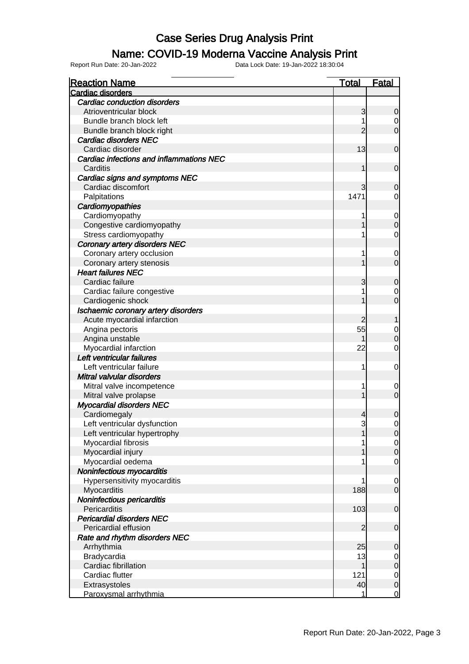#### Name: COVID-19 Moderna Vaccine Analysis Print

| <b>Reaction Name</b>                     | <b>Total</b>   | <b>Fatal</b>     |
|------------------------------------------|----------------|------------------|
| <b>Cardiac disorders</b>                 |                |                  |
| <b>Cardiac conduction disorders</b>      |                |                  |
| Atrioventricular block                   | 3              | $\mathbf 0$      |
| Bundle branch block left                 |                | $\overline{0}$   |
| Bundle branch block right                | $\overline{2}$ | $\overline{0}$   |
| Cardiac disorders NEC                    |                |                  |
| Cardiac disorder                         | 13             | $\mathbf 0$      |
| Cardiac infections and inflammations NEC |                |                  |
| Carditis                                 | 1              | $\mathbf 0$      |
| Cardiac signs and symptoms NEC           |                |                  |
| Cardiac discomfort                       | 3              | $\mathbf 0$      |
| Palpitations                             | 1471           | 0                |
| Cardiomyopathies                         |                |                  |
| Cardiomyopathy                           |                | $\mathbf 0$      |
| Congestive cardiomyopathy                |                | $\boldsymbol{0}$ |
| Stress cardiomyopathy                    |                | $\mathbf 0$      |
| <b>Coronary artery disorders NEC</b>     |                |                  |
| Coronary artery occlusion                |                | 0                |
| Coronary artery stenosis                 |                | $\mathbf 0$      |
| <b>Heart failures NEC</b>                |                |                  |
| Cardiac failure                          | 3              | $\mathbf 0$      |
| Cardiac failure congestive               |                | 0                |
| Cardiogenic shock                        |                | $\overline{0}$   |
| Ischaemic coronary artery disorders      |                |                  |
| Acute myocardial infarction              | $\overline{c}$ | 1                |
| Angina pectoris                          | 55             | 0                |
| Angina unstable                          |                | $\boldsymbol{0}$ |
| Myocardial infarction                    | 22             | 0                |
| Left ventricular failures                |                |                  |
| Left ventricular failure                 | 1              | 0                |
| Mitral valvular disorders                |                |                  |
| Mitral valve incompetence                | 1              | 0                |
| Mitral valve prolapse                    |                | $\mathbf 0$      |
| <b>Myocardial disorders NEC</b>          |                |                  |
| Cardiomegaly                             | 4              | $\mathbf 0$      |
| Left ventricular dysfunction             | 3              | 0                |
| Left ventricular hypertrophy             | 1              | $\overline{0}$   |
| Myocardial fibrosis                      |                | $\overline{0}$   |
| Myocardial injury                        |                | $\mathbf 0$      |
| Myocardial oedema                        |                | $\mathbf 0$      |
| Noninfectious myocarditis                |                |                  |
| Hypersensitivity myocarditis             | 1              | 0                |
| Myocarditis                              | 188            | $\overline{0}$   |
| Noninfectious pericarditis               |                |                  |
| Pericarditis                             | 103            | $\mathbf 0$      |
| <b>Pericardial disorders NEC</b>         |                |                  |
| Pericardial effusion                     | $\overline{2}$ | $\mathbf 0$      |
| Rate and rhythm disorders NEC            |                |                  |
| Arrhythmia                               | 25             | $\mathbf 0$      |
| Bradycardia                              | 13             | $\mathbf 0$      |
| Cardiac fibrillation                     |                | $\mathbf 0$      |
| Cardiac flutter                          | 121            | $\overline{0}$   |
| Extrasystoles                            | 40             | $\mathbf 0$      |
| Paroxysmal arrhythmia                    | 1              | $\overline{0}$   |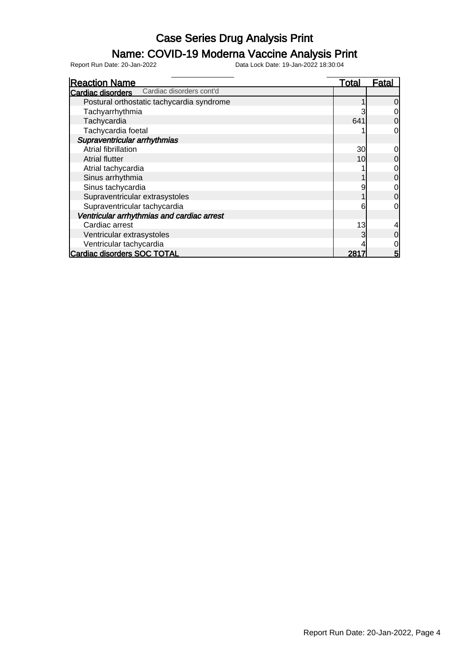#### Name: COVID-19 Moderna Vaccine Analysis Print

| <b>Reaction Name</b>                              | Total           | Fatal |
|---------------------------------------------------|-----------------|-------|
| <b>Cardiac disorders</b> Cardiac disorders cont'd |                 |       |
| Postural orthostatic tachycardia syndrome         |                 |       |
| Tachyarrhythmia                                   |                 |       |
| Tachycardia                                       | 641             |       |
| Tachycardia foetal                                |                 | 0     |
| Supraventricular arrhythmias                      |                 |       |
| Atrial fibrillation                               | 30 <sup>2</sup> |       |
| <b>Atrial flutter</b>                             | 10 <sup>1</sup> |       |
| Atrial tachycardia                                |                 |       |
| Sinus arrhythmia                                  |                 |       |
| Sinus tachycardia                                 |                 |       |
| Supraventricular extrasystoles                    |                 |       |
| Supraventricular tachycardia                      | 6               | 0     |
| Ventricular arrhythmias and cardiac arrest        |                 |       |
| Cardiac arrest                                    | 13              |       |
| Ventricular extrasystoles                         |                 |       |
| Ventricular tachycardia                           |                 |       |
| <b>Cardiac disorders SOC TOTAL</b>                | 281             | 5     |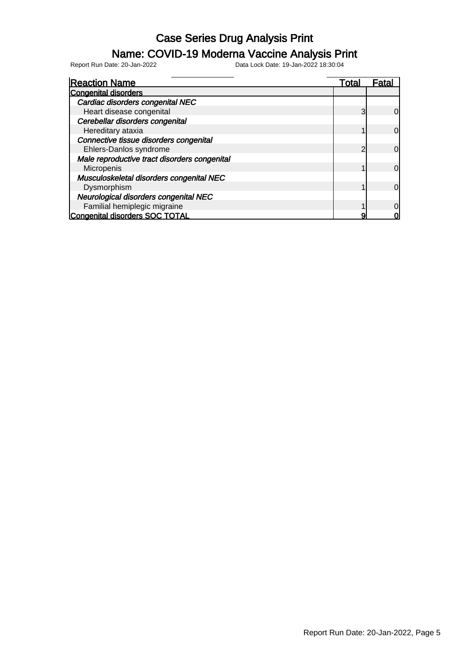#### Name: COVID-19 Moderna Vaccine Analysis Print

| <b>Reaction Name</b>                         | Total | Fata <sup>'</sup> |
|----------------------------------------------|-------|-------------------|
| <b>Congenital disorders</b>                  |       |                   |
| Cardiac disorders congenital NEC             |       |                   |
| Heart disease congenital                     | 3     | 0l                |
| Cerebellar disorders congenital              |       |                   |
| Hereditary ataxia                            |       | 0l                |
| Connective tissue disorders congenital       |       |                   |
| Ehlers-Danlos syndrome                       | ◠     | 0l                |
| Male reproductive tract disorders congenital |       |                   |
| Micropenis                                   |       | <sub>0</sub>      |
| Musculoskeletal disorders congenital NEC     |       |                   |
| Dysmorphism                                  |       | $\Omega$          |
| Neurological disorders congenital NEC        |       |                   |
| Familial hemiplegic migraine                 |       | $\Omega$          |
| Congenital disorders SOC TOTAL               |       |                   |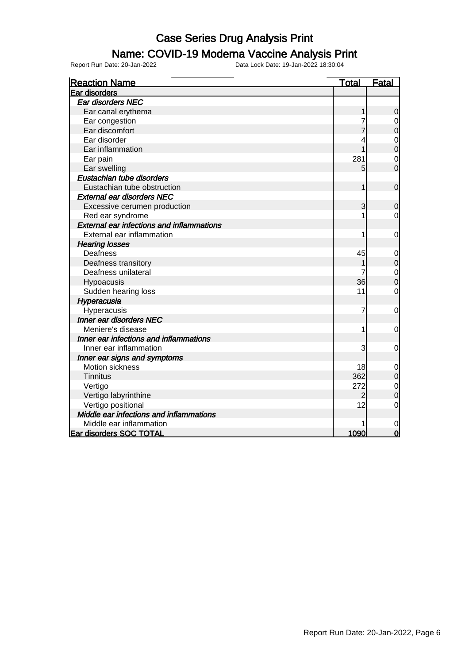### Name: COVID-19 Moderna Vaccine Analysis Print

| <b>Reaction Name</b>                             | <u>Total</u> | <b>Fatal</b>   |
|--------------------------------------------------|--------------|----------------|
| Ear disorders                                    |              |                |
| Ear disorders NEC                                |              |                |
| Ear canal erythema                               | 1            | 0              |
| Ear congestion                                   | 7            | $\mathbf 0$    |
| Ear discomfort                                   |              | $\overline{0}$ |
| Ear disorder                                     |              | $\mathbf 0$    |
| Ear inflammation                                 |              | $\overline{0}$ |
| Ear pain                                         | 281          | $\mathbf 0$    |
| Ear swelling                                     | 5            | $\overline{0}$ |
| Eustachian tube disorders                        |              |                |
| Eustachian tube obstruction                      | 1            | $\mathbf 0$    |
| <b>External ear disorders NEC</b>                |              |                |
| Excessive cerumen production                     | 3            | $\mathbf 0$    |
| Red ear syndrome                                 |              | 0              |
| <b>External ear infections and inflammations</b> |              |                |
| External ear inflammation                        | 1            | 0              |
| <b>Hearing losses</b>                            |              |                |
| Deafness                                         | 45           | $\mathbf 0$    |
| Deafness transitory                              |              | $\mathbf 0$    |
| Deafness unilateral                              |              | $\mathbf 0$    |
| Hypoacusis                                       | 36           | 0              |
| Sudden hearing loss                              | 11           | $\mathbf 0$    |
| Hyperacusia                                      |              |                |
| Hyperacusis                                      | 7            | 0              |
| Inner ear disorders NEC                          |              |                |
| Meniere's disease                                | 1            | 0              |
| Inner ear infections and inflammations           |              |                |
| Inner ear inflammation                           | 3            | 0              |
| Inner ear signs and symptoms                     |              |                |
| <b>Motion sickness</b>                           | 18           | 0              |
| <b>Tinnitus</b>                                  | 362          | $\mathbf 0$    |
| Vertigo                                          | 272          | $\mathbf 0$    |
| Vertigo labyrinthine                             | 2            | $\mathbf 0$    |
| Vertigo positional                               | 12           | $\overline{0}$ |
| Middle ear infections and inflammations          |              |                |
| Middle ear inflammation                          |              | 0              |
| Ear disorders SOC TOTAL                          | 1090         | $\overline{0}$ |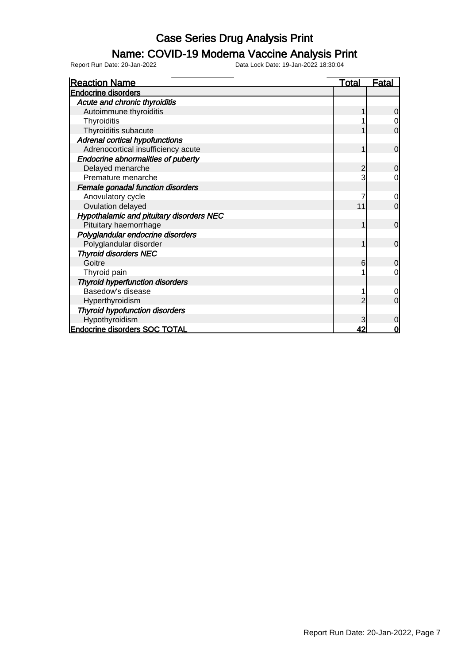### Name: COVID-19 Moderna Vaccine Analysis Print

| <b>Reaction Name</b>                      | Total | <b>Fatal</b>   |
|-------------------------------------------|-------|----------------|
| <b>Endocrine disorders</b>                |       |                |
| Acute and chronic thyroiditis             |       |                |
| Autoimmune thyroiditis                    |       | 0              |
| Thyroiditis                               |       |                |
| Thyroiditis subacute                      |       | 0              |
| Adrenal cortical hypofunctions            |       |                |
| Adrenocortical insufficiency acute        |       | $\mathbf 0$    |
| <b>Endocrine abnormalities of puberty</b> |       |                |
| Delayed menarche                          | 2     | $\Omega$       |
| Premature menarche                        |       | 0              |
| Female gonadal function disorders         |       |                |
| Anovulatory cycle                         |       | $\Omega$       |
| Ovulation delayed                         | 11    | 0              |
| Hypothalamic and pituitary disorders NEC  |       |                |
| Pituitary haemorrhage                     |       | $\overline{0}$ |
| Polyglandular endocrine disorders         |       |                |
| Polyglandular disorder                    |       | $\Omega$       |
| <b>Thyroid disorders NEC</b>              |       |                |
| Goitre                                    | 6     | 0              |
| Thyroid pain                              |       | 0              |
| <b>Thyroid hyperfunction disorders</b>    |       |                |
| Basedow's disease                         |       | 0              |
| Hyperthyroidism                           | っ     | $\Omega$       |
| <b>Thyroid hypofunction disorders</b>     |       |                |
| Hypothyroidism                            |       | 0              |
| <b>Endocrine disorders SOC TOTAL</b>      | 42    | ი              |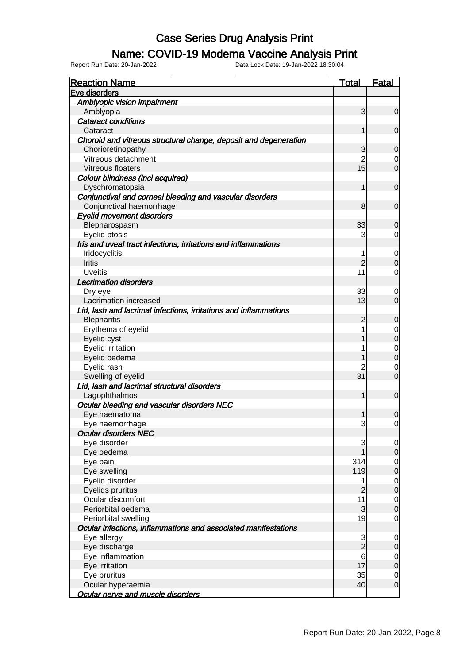### Name: COVID-19 Moderna Vaccine Analysis Print

| <b>Reaction Name</b>                                             | <b>Total</b>   | <b>Fatal</b>     |
|------------------------------------------------------------------|----------------|------------------|
| Eve disorders                                                    |                |                  |
| Amblyopic vision impairment                                      |                |                  |
| Amblyopia                                                        | 3              | $\overline{0}$   |
| <b>Cataract conditions</b>                                       |                |                  |
| Cataract                                                         | 1              | $\mathbf 0$      |
| Choroid and vitreous structural change, deposit and degeneration |                |                  |
| Chorioretinopathy                                                | 3              | $\mathbf 0$      |
| Vitreous detachment                                              | $\overline{2}$ | 0                |
| Vitreous floaters                                                | 15             | $\mathbf 0$      |
| Colour blindness (incl acquired)                                 |                |                  |
| Dyschromatopsia                                                  | 1              | $\mathbf 0$      |
| Conjunctival and corneal bleeding and vascular disorders         |                |                  |
| Conjunctival haemorrhage                                         | 8              | $\mathbf 0$      |
| <b>Eyelid movement disorders</b>                                 |                |                  |
| Blepharospasm                                                    | 33             | $\mathbf 0$      |
| Eyelid ptosis                                                    | 3              | $\overline{0}$   |
| Iris and uveal tract infections, irritations and inflammations   |                |                  |
| Iridocyclitis                                                    | 1              | $\mathbf 0$      |
| Iritis                                                           | $\overline{2}$ | $\mathbf 0$      |
| <b>Uveitis</b>                                                   | 11             | $\overline{0}$   |
| <b>Lacrimation disorders</b>                                     |                |                  |
| Dry eye                                                          | 33             | $\mathbf 0$      |
| Lacrimation increased                                            | 13             | $\mathbf 0$      |
| Lid, lash and lacrimal infections, irritations and inflammations |                |                  |
| <b>Blepharitis</b>                                               | 2              | $\mathbf 0$      |
| Erythema of eyelid                                               | 1              | $\mathbf 0$      |
| Eyelid cyst                                                      | 1              | $\pmb{0}$        |
| Eyelid irritation                                                |                | $\boldsymbol{0}$ |
| Eyelid oedema                                                    | 1              | $\mathbf 0$      |
| Eyelid rash                                                      | 2              | $\mathbf 0$      |
| Swelling of eyelid                                               | 31             | $\mathbf 0$      |
| Lid, lash and lacrimal structural disorders                      |                |                  |
| Lagophthalmos                                                    | 1              | $\mathbf 0$      |
| Ocular bleeding and vascular disorders NEC                       |                |                  |
| Eye haematoma                                                    | 1              | $\boldsymbol{0}$ |
| Eye haemorrhage                                                  | 3              | $\overline{0}$   |
| <b>Ocular disorders NEC</b>                                      |                |                  |
| Eye disorder                                                     | 3              | $\overline{0}$   |
| Eye oedema                                                       |                | $\overline{0}$   |
| Eye pain                                                         | 314            | $\overline{0}$   |
| Eye swelling                                                     | 119            | $\pmb{0}$        |
| Eyelid disorder                                                  | 1              | $\mathbf 0$      |
| Eyelids pruritus                                                 | $\overline{2}$ | $\pmb{0}$        |
| Ocular discomfort                                                | 11             | $\mathbf 0$      |
| Periorbital oedema                                               | 3              | $\mathbf 0$      |
| Periorbital swelling                                             | 19             | $\mathbf 0$      |
| Ocular infections, inflammations and associated manifestations   |                |                  |
| Eye allergy                                                      | 3              | $\mathbf 0$      |
| Eye discharge                                                    | $\overline{2}$ | $\mathbf 0$      |
| Eye inflammation                                                 | 6              | $\overline{0}$   |
| Eye irritation                                                   | 17             | $\pmb{0}$        |
| Eye pruritus                                                     | 35             | $\overline{0}$   |
| Ocular hyperaemia                                                | 40             | $\mathbf 0$      |
| Ocular nerve and muscle disorders                                |                |                  |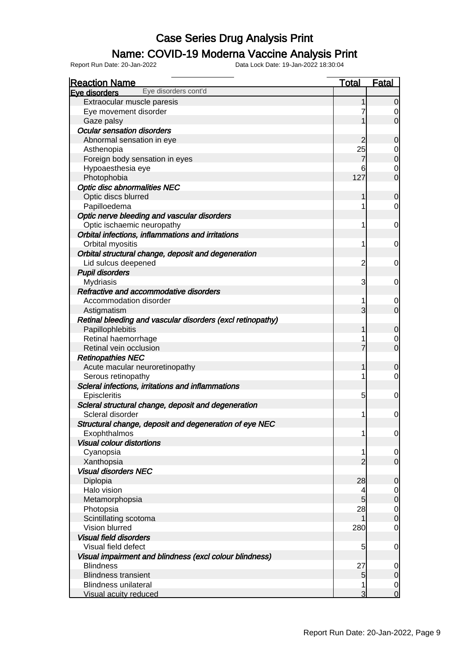#### Name: COVID-19 Moderna Vaccine Analysis Print

| <b>Reaction Name</b>                                                      | <b>Total</b>        | <b>Fatal</b>                         |
|---------------------------------------------------------------------------|---------------------|--------------------------------------|
| Eye disorders cont'd<br>Eve disorders                                     |                     |                                      |
| Extraocular muscle paresis                                                |                     | $\mathbf 0$                          |
| Eye movement disorder                                                     |                     | $\overline{0}$                       |
| Gaze palsy                                                                | 1                   | $\overline{O}$                       |
| <b>Ocular sensation disorders</b>                                         |                     |                                      |
| Abnormal sensation in eye                                                 | $\overline{2}$      | $\mathbf 0$                          |
| Asthenopia                                                                | 25                  | $\overline{0}$                       |
| Foreign body sensation in eyes                                            | 7                   | $\overline{0}$                       |
| Hypoaesthesia eye                                                         | 6                   | $\mathbf 0$                          |
| Photophobia                                                               | 127                 | $\overline{0}$                       |
| <b>Optic disc abnormalities NEC</b>                                       |                     |                                      |
| Optic discs blurred                                                       | 1                   | $\mathbf 0$                          |
| Papilloedema                                                              | 1                   | $\mathbf 0$                          |
| Optic nerve bleeding and vascular disorders                               |                     |                                      |
| Optic ischaemic neuropathy                                                | 1                   | $\overline{0}$                       |
| Orbital infections, inflammations and irritations                         |                     |                                      |
| Orbital myositis                                                          | 1                   | $\overline{0}$                       |
| Orbital structural change, deposit and degeneration                       |                     |                                      |
| Lid sulcus deepened                                                       | $\overline{c}$      | $\overline{0}$                       |
| <b>Pupil disorders</b>                                                    |                     |                                      |
| Mydriasis                                                                 | 3                   | $\overline{0}$                       |
| Refractive and accommodative disorders                                    |                     |                                      |
| Accommodation disorder                                                    | 1                   | 0                                    |
|                                                                           | 3                   | $\overline{O}$                       |
| Astigmatism<br>Retinal bleeding and vascular disorders (excl retinopathy) |                     |                                      |
|                                                                           | 1                   |                                      |
| Papillophlebitis                                                          |                     | $\mathbf 0$                          |
| Retinal haemorrhage                                                       | 1<br>$\overline{7}$ | $\overline{0}$                       |
| Retinal vein occlusion                                                    |                     | $\overline{0}$                       |
| <b>Retinopathies NEC</b>                                                  |                     |                                      |
| Acute macular neuroretinopathy                                            | 1                   | $\mathbf 0$                          |
| Serous retinopathy                                                        | 1                   | $\overline{0}$                       |
| Scleral infections, irritations and inflammations                         |                     |                                      |
| Episcleritis                                                              | 5                   | $\overline{0}$                       |
| Scleral structural change, deposit and degeneration                       |                     |                                      |
| Scleral disorder                                                          | 1                   | $\mathbf 0$                          |
| Structural change, deposit and degeneration of eye NEC                    |                     |                                      |
| Exophthalmos                                                              | 1                   | 0                                    |
| <b>Visual colour distortions</b>                                          |                     |                                      |
| Cyanopsia                                                                 | 1                   | $\overline{0}$                       |
| Xanthopsia                                                                | $\overline{2}$      | $\overline{0}$                       |
| <b>Visual disorders NEC</b>                                               |                     |                                      |
| Diplopia                                                                  | 28                  | $\mathbf 0$                          |
| Halo vision                                                               | 4                   | $\overline{0}$                       |
| Metamorphopsia                                                            | 5                   | $\overline{0}$                       |
| Photopsia                                                                 | 28                  | $\begin{matrix} 0 \\ 0 \end{matrix}$ |
| Scintillating scotoma                                                     | 1                   |                                      |
| Vision blurred                                                            | 280                 | $\overline{0}$                       |
| <b>Visual field disorders</b>                                             |                     |                                      |
| Visual field defect                                                       | 5                   | $\overline{0}$                       |
| Visual impairment and blindness (excl colour blindness)                   |                     |                                      |
| <b>Blindness</b>                                                          | 27                  | $\mathbf 0$                          |
| <b>Blindness transient</b>                                                | 5                   | $\pmb{0}$                            |
| <b>Blindness unilateral</b>                                               | 1                   | $\mathbf 0$                          |
| <b>Visual acuity reduced</b>                                              | 3                   | $\overline{0}$                       |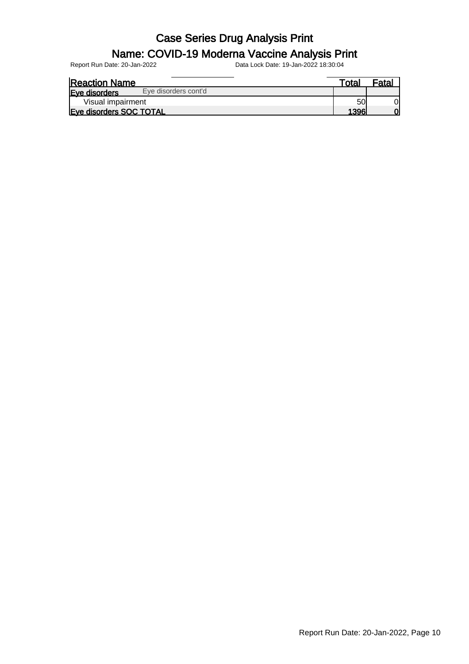#### Name: COVID-19 Moderna Vaccine Analysis Print

| <b>Reaction Name</b>    |                      | $\tau$ otai | <sup>⊏</sup> ata⊾ |
|-------------------------|----------------------|-------------|-------------------|
| <b>Eve disorders</b>    | Eve disorders cont'd |             |                   |
| Visual impairment       |                      | 50          |                   |
| Eye disorders SOC TOTAL |                      | 1396        | $\Omega$          |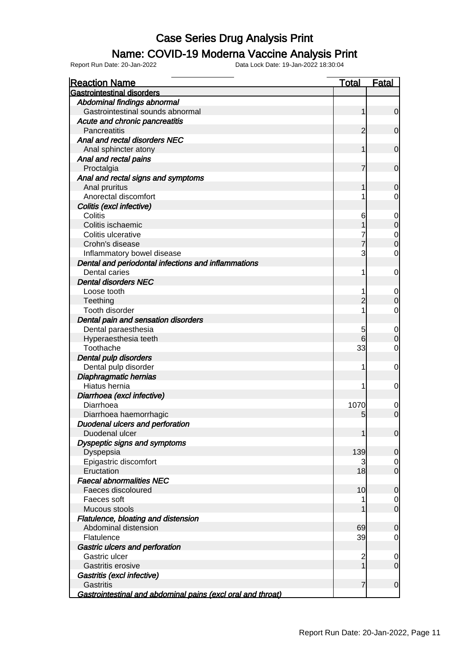### Name: COVID-19 Moderna Vaccine Analysis Print

| <b>Reaction Name</b>                                        | <b>Total</b>   | <b>Fatal</b>                         |
|-------------------------------------------------------------|----------------|--------------------------------------|
| <b>Gastrointestinal disorders</b>                           |                |                                      |
| Abdominal findings abnormal                                 |                |                                      |
| Gastrointestinal sounds abnormal                            | 1              | $\mathbf 0$                          |
| Acute and chronic pancreatitis                              |                |                                      |
| Pancreatitis                                                | 2              | $\mathbf 0$                          |
| Anal and rectal disorders NEC                               |                |                                      |
| Anal sphincter atony                                        | 1              | $\mathbf 0$                          |
| Anal and rectal pains                                       |                |                                      |
| Proctalgia                                                  | 7              | $\mathbf 0$                          |
| Anal and rectal signs and symptoms                          |                |                                      |
| Anal pruritus                                               | 1              | $\mathbf 0$                          |
| Anorectal discomfort                                        | 1              | $\overline{0}$                       |
| Colitis (excl infective)                                    |                |                                      |
| Colitis                                                     | 6              | $\mathbf{0}$                         |
| Colitis ischaemic                                           |                | $\overline{0}$                       |
| Colitis ulcerative                                          |                |                                      |
| Crohn's disease                                             | $\overline{7}$ | $\begin{matrix} 0 \\ 0 \end{matrix}$ |
| Inflammatory bowel disease                                  | 3              | $\mathbf 0$                          |
| Dental and periodontal infections and inflammations         |                |                                      |
| Dental caries                                               | 1              | $\mathbf 0$                          |
| <b>Dental disorders NEC</b>                                 |                |                                      |
| Loose tooth                                                 | 1              |                                      |
| Teething                                                    | $\overline{c}$ | $\mathbf 0$<br>$\overline{O}$        |
|                                                             | 1              |                                      |
| Tooth disorder                                              |                | $\mathsf{O}\xspace$                  |
| Dental pain and sensation disorders                         |                |                                      |
| Dental paraesthesia                                         | 5              | $\boldsymbol{0}$                     |
| Hyperaesthesia teeth                                        | 6              | $\mathbf 0$                          |
| Toothache                                                   | 33             | $\overline{0}$                       |
| Dental pulp disorders                                       |                |                                      |
| Dental pulp disorder                                        | 1              | $\mathbf 0$                          |
| Diaphragmatic hernias                                       |                |                                      |
| Hiatus hernia                                               | 1              | $\mathbf 0$                          |
| Diarrhoea (excl infective)                                  |                |                                      |
| Diarrhoea                                                   | 1070           | 0                                    |
| Diarrhoea haemorrhagic                                      | 5              | $\overline{0}$                       |
| Duodenal ulcers and perforation                             |                |                                      |
| Duodenal ulcer                                              | 1              | 0                                    |
| Dyspeptic signs and symptoms                                |                |                                      |
| Dyspepsia                                                   | 139            | $\mathbf 0$                          |
| Epigastric discomfort                                       | 3              | $\overline{0}$                       |
| Eructation                                                  | 18             | $\mathbf 0$                          |
| <b>Faecal abnormalities NEC</b>                             |                |                                      |
| Faeces discoloured                                          | 10             | $\mathbf 0$                          |
| Faeces soft                                                 | 1              | $\overline{0}$                       |
| Mucous stools                                               | 1              | $\mathbf 0$                          |
| Flatulence, bloating and distension<br>Abdominal distension | 69             | $\mathbf 0$                          |
| Flatulence                                                  | 39             | $\mathbf 0$                          |
| Gastric ulcers and perforation                              |                |                                      |
| Gastric ulcer                                               | $\overline{c}$ | $\mathbf 0$                          |
| Gastritis erosive                                           | $\overline{1}$ | $\mathbf 0$                          |
| Gastritis (excl infective)                                  |                |                                      |
| <b>Gastritis</b>                                            | $\overline{7}$ | $\mathbf 0$                          |
| Gastrointestinal and abdominal pains (excl oral and throat) |                |                                      |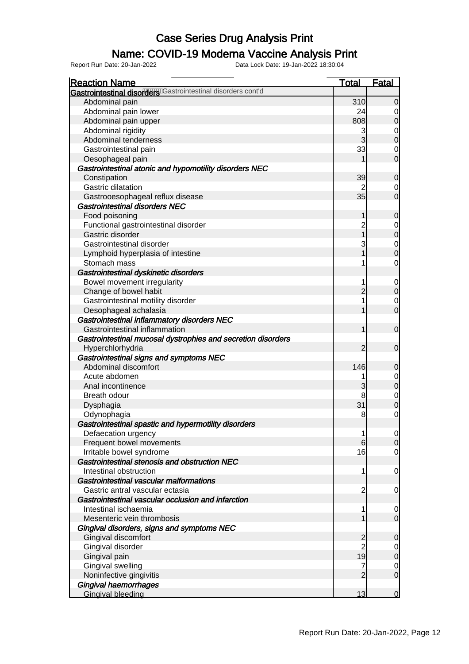### Name: COVID-19 Moderna Vaccine Analysis Print

| <b>Reaction Name</b>                                         | <b>Total</b>   | <b>Fatal</b>                         |
|--------------------------------------------------------------|----------------|--------------------------------------|
| Gastrointestinal disorders Gastrointestinal disorders cont'd |                |                                      |
| Abdominal pain                                               | 310            | $\mathbf 0$                          |
| Abdominal pain lower                                         | 24             | $\overline{0}$                       |
| Abdominal pain upper                                         | 808            | $\overline{0}$                       |
| Abdominal rigidity                                           | 3              |                                      |
| Abdominal tenderness                                         | $\overline{3}$ | $\begin{matrix} 0 \\ 0 \end{matrix}$ |
| Gastrointestinal pain                                        | 33             | $\mathbf 0$                          |
| Oesophageal pain                                             |                | $\overline{0}$                       |
| Gastrointestinal atonic and hypomotility disorders NEC       |                |                                      |
| Constipation                                                 | 39             | $\mathbf 0$                          |
| <b>Gastric dilatation</b>                                    |                | $\overline{0}$                       |
| Gastrooesophageal reflux disease                             | 35             | $\overline{0}$                       |
| <b>Gastrointestinal disorders NEC</b>                        |                |                                      |
| Food poisoning                                               | 1              | $\mathbf 0$                          |
| Functional gastrointestinal disorder                         | $\overline{c}$ |                                      |
| Gastric disorder                                             | $\overline{1}$ | $\begin{matrix}0\\0\end{matrix}$     |
| Gastrointestinal disorder                                    | 3              |                                      |
| Lymphoid hyperplasia of intestine                            | 1              | $\begin{matrix} 0 \\ 0 \end{matrix}$ |
| Stomach mass                                                 |                | $\mathbf 0$                          |
| Gastrointestinal dyskinetic disorders                        |                |                                      |
| Bowel movement irregularity                                  |                | $\overline{0}$                       |
| Change of bowel habit                                        | $\overline{2}$ | $\overline{0}$                       |
| Gastrointestinal motility disorder                           |                | $\mathbf 0$                          |
| Oesophageal achalasia                                        |                | $\overline{0}$                       |
| Gastrointestinal inflammatory disorders NEC                  |                |                                      |
| Gastrointestinal inflammation                                | 1              | $\overline{0}$                       |
| Gastrointestinal mucosal dystrophies and secretion disorders |                |                                      |
| Hyperchlorhydria                                             | $\overline{2}$ | $\overline{0}$                       |
| Gastrointestinal signs and symptoms NEC                      |                |                                      |
| Abdominal discomfort                                         | 146            | $\mathbf 0$                          |
| Acute abdomen                                                | 1              |                                      |
| Anal incontinence                                            | 3              | $\begin{matrix} 0 \\ 0 \end{matrix}$ |
| Breath odour                                                 | 8              |                                      |
| Dysphagia                                                    | 31             | $\begin{matrix} 0 \\ 0 \end{matrix}$ |
| Odynophagia                                                  | 8              | $\mathbf 0$                          |
| Gastrointestinal spastic and hypermotility disorders         |                |                                      |
| Defaecation urgency                                          | 1              | $\overline{0}$                       |
| Frequent bowel movements                                     | 6              | $\overline{0}$                       |
| Irritable bowel syndrome                                     | 16             | $\overline{0}$                       |
| Gastrointestinal stenosis and obstruction NEC                |                |                                      |
| Intestinal obstruction                                       | 1              | $\mathbf 0$                          |
| Gastrointestinal vascular malformations                      |                |                                      |
| Gastric antral vascular ectasia                              | $\overline{c}$ | $\overline{0}$                       |
| Gastrointestinal vascular occlusion and infarction           |                |                                      |
| Intestinal ischaemia                                         |                | $\overline{0}$                       |
| Mesenteric vein thrombosis                                   |                | $\overline{O}$                       |
| Gingival disorders, signs and symptoms NEC                   |                |                                      |
| Gingival discomfort                                          | $\overline{c}$ | $\mathbf 0$                          |
| Gingival disorder                                            | $\overline{2}$ | $\overline{0}$                       |
| Gingival pain                                                | 19             | $\mathbf 0$                          |
| Gingival swelling                                            | 7              | $\mathbf 0$                          |
| Noninfective gingivitis                                      | $\overline{2}$ | $\overline{O}$                       |
| <b>Gingival haemorrhages</b>                                 |                |                                      |
| <b>Gingival bleeding</b>                                     | 13             | $\mathbf 0$                          |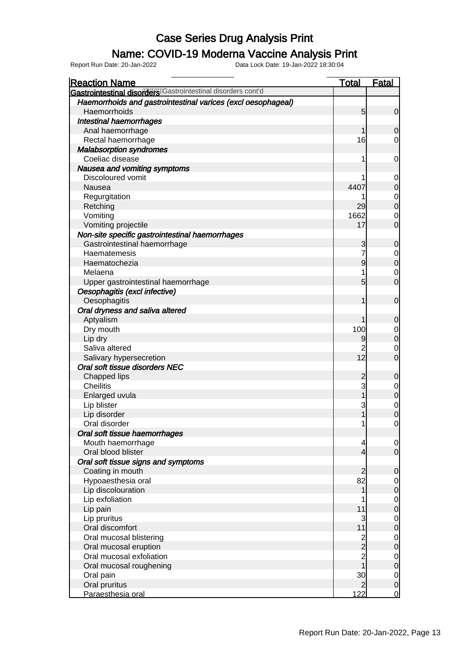### Name: COVID-19 Moderna Vaccine Analysis Print

| <b>Reaction Name</b>                                         | <b>Total</b>   | <b>Fatal</b>   |
|--------------------------------------------------------------|----------------|----------------|
| Gastrointestinal disorders Castrointestinal disorders cont'd |                |                |
| Haemorrhoids and gastrointestinal varices (excl oesophageal) |                |                |
| Haemorrhoids                                                 | 5              | $\overline{0}$ |
| <b>Intestinal haemorrhages</b>                               |                |                |
| Anal haemorrhage                                             |                | 0              |
| Rectal haemorrhage                                           | 16             | $\overline{0}$ |
| <b>Malabsorption syndromes</b>                               |                |                |
| Coeliac disease                                              |                | 0              |
| Nausea and vomiting symptoms                                 |                |                |
| Discoloured vomit                                            |                | $\mathbf 0$    |
| Nausea                                                       | 4407           | $\mathbf 0$    |
| Regurgitation                                                |                | $\mathbf 0$    |
| Retching                                                     | 29             | $\mathbf 0$    |
| Vomiting                                                     | 1662           | 0              |
| Vomiting projectile                                          | 17             | $\overline{0}$ |
| Non-site specific gastrointestinal haemorrhages              |                |                |
| Gastrointestinal haemorrhage                                 | 3              | $\mathbf 0$    |
| Haematemesis                                                 | 7              | 0              |
| Haematochezia                                                | 9              | $\mathbf 0$    |
| Melaena                                                      |                | 0              |
| Upper gastrointestinal haemorrhage                           | 5              | $\overline{0}$ |
| Oesophagitis (excl infective)                                |                |                |
| Oesophagitis                                                 |                | $\mathbf 0$    |
| Oral dryness and saliva altered                              |                |                |
| Aptyalism                                                    |                | 0              |
| Dry mouth                                                    | 100            | 0              |
| Lip dry                                                      | 9              | $\mathbf 0$    |
| Saliva altered                                               | 2              | 0              |
| Salivary hypersecretion                                      | 12             | $\overline{0}$ |
| Oral soft tissue disorders NEC                               |                |                |
| Chapped lips                                                 | $\overline{c}$ | $\mathbf 0$    |
| <b>Cheilitis</b>                                             | 3              | 0              |
| Enlarged uvula                                               |                | $\mathbf 0$    |
| Lip blister                                                  | 3              | $\mathbf 0$    |
| Lip disorder                                                 |                | $\overline{0}$ |
| Oral disorder                                                | 1              | $\overline{0}$ |
| Oral soft tissue haemorrhages                                |                |                |
| Mouth haemorrhage                                            | 4              | $\overline{0}$ |
| Oral blood blister                                           | $\overline{4}$ | $\overline{0}$ |
| Oral soft tissue signs and symptoms                          |                |                |
| Coating in mouth                                             | $\overline{2}$ | $\mathbf 0$    |
| Hypoaesthesia oral                                           | 82             | $\overline{0}$ |
| Lip discolouration                                           | 1              | $\pmb{0}$      |
| Lip exfoliation                                              |                | $\overline{O}$ |
| Lip pain                                                     | 11             | $\pmb{0}$      |
| Lip pruritus                                                 | 3              | $\mathbf 0$    |
| Oral discomfort                                              | 11             | $\pmb{0}$      |
| Oral mucosal blistering                                      | $\frac{2}{2}$  | $\overline{0}$ |
| Oral mucosal eruption                                        |                | $\pmb{0}$      |
| Oral mucosal exfoliation                                     | $\overline{c}$ | $\overline{0}$ |
| Oral mucosal roughening                                      | $\overline{1}$ | $\pmb{0}$      |
| Oral pain                                                    | 30             | $\overline{0}$ |
| Oral pruritus                                                | $\overline{2}$ | $\overline{0}$ |
| Paraesthesia oral                                            | 122            | $\overline{0}$ |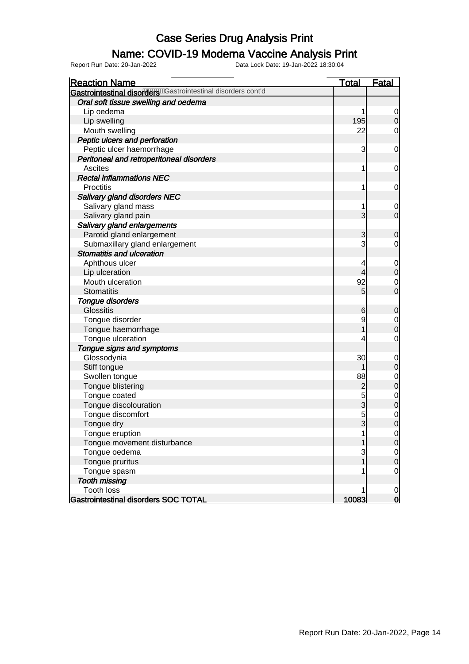### Name: COVID-19 Moderna Vaccine Analysis Print

| <b>Reaction Name</b>                                         | <b>Total</b>   | <b>Fatal</b>   |
|--------------------------------------------------------------|----------------|----------------|
| Gastrointestinal disorders Castrointestinal disorders cont'd |                |                |
| Oral soft tissue swelling and oedema                         |                |                |
| Lip oedema                                                   |                | $\overline{0}$ |
| Lip swelling                                                 | 195            | $\overline{0}$ |
| Mouth swelling                                               | 22             | 0              |
| Peptic ulcers and perforation                                |                |                |
| Peptic ulcer haemorrhage                                     | 3              | $\mathbf 0$    |
| Peritoneal and retroperitoneal disorders                     |                |                |
| <b>Ascites</b>                                               | 1              | $\mathbf 0$    |
| <b>Rectal inflammations NEC</b>                              |                |                |
| <b>Proctitis</b>                                             | 1              | $\mathbf 0$    |
| <b>Salivary gland disorders NEC</b>                          |                |                |
| Salivary gland mass                                          | 1              | $\mathbf 0$    |
| Salivary gland pain                                          | $\overline{3}$ | $\overline{0}$ |
| Salivary gland enlargements                                  |                |                |
| Parotid gland enlargement                                    | 3              | $\mathbf 0$    |
| Submaxillary gland enlargement                               | 3              | 0              |
| Stomatitis and ulceration                                    |                |                |
| Aphthous ulcer                                               | 4              | $\mathbf 0$    |
| Lip ulceration                                               | 4              | $\mathbf 0$    |
| Mouth ulceration                                             | 92             | $\mathbf 0$    |
| <b>Stomatitis</b>                                            | 5              | $\overline{0}$ |
| Tongue disorders                                             |                |                |
| <b>Glossitis</b>                                             | 6              | $\mathbf 0$    |
| Tongue disorder                                              | 9              | $\mathbf 0$    |
| Tongue haemorrhage                                           |                | $\overline{0}$ |
| Tongue ulceration                                            | 4              | $\mathbf 0$    |
| Tongue signs and symptoms                                    |                |                |
| Glossodynia                                                  | 30             | $\mathbf 0$    |
| Stiff tongue                                                 | 1              | $\mathbf 0$    |
| Swollen tongue                                               | 88             | $\mathbf 0$    |
| Tongue blistering                                            | $\overline{c}$ | $\overline{0}$ |
| Tongue coated                                                | 5              | $\mathbf{0}$   |
| Tongue discolouration                                        | $\overline{3}$ | $\mathbf 0$    |
| Tongue discomfort                                            | 5              | $\mathbf 0$    |
| Tongue dry                                                   | $\overline{3}$ | $\overline{0}$ |
| Tongue eruption                                              |                | 0              |
| Tongue movement disturbance                                  |                | $\overline{O}$ |
| Tongue oedema                                                | 3              | $\mathbf 0$    |
| Tongue pruritus                                              | 1              | $\mathbf 0$    |
| Tongue spasm                                                 |                | 0              |
| <b>Tooth missing</b>                                         |                |                |
| <b>Tooth loss</b>                                            |                | $\mathbf 0$    |
| Gastrointestinal disorders SOC TOTAL                         | 10083          | $\overline{0}$ |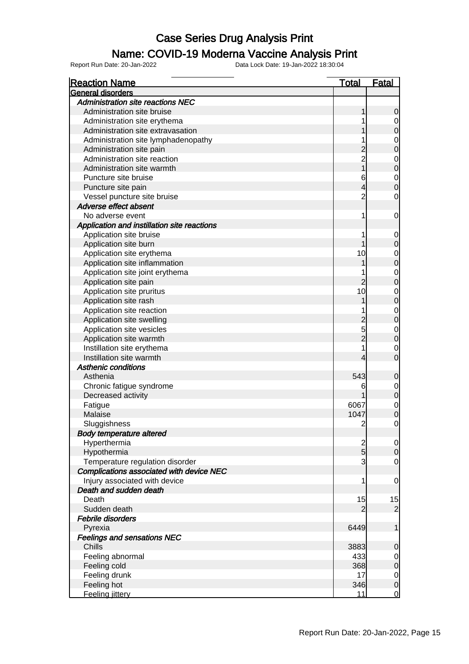### Name: COVID-19 Moderna Vaccine Analysis Print

| <b>Reaction Name</b>                        | <b>Total</b>   | <b>Fatal</b>                         |
|---------------------------------------------|----------------|--------------------------------------|
| General disorders                           |                |                                      |
| <b>Administration site reactions NEC</b>    |                |                                      |
| Administration site bruise                  |                | 0                                    |
| Administration site erythema                |                | $\overline{0}$                       |
| Administration site extravasation           |                | $\overline{0}$                       |
| Administration site lymphadenopathy         |                |                                      |
| Administration site pain                    |                | $\begin{matrix} 0 \\ 0 \end{matrix}$ |
| Administration site reaction                | $\overline{2}$ |                                      |
| Administration site warmth                  | 1              | $\begin{matrix} 0 \\ 0 \end{matrix}$ |
| Puncture site bruise                        | 6              |                                      |
| Puncture site pain                          | 4              | $\begin{matrix} 0 \\ 0 \end{matrix}$ |
| Vessel puncture site bruise                 | $\overline{c}$ | $\mathbf 0$                          |
| Adverse effect absent                       |                |                                      |
| No adverse event                            | 1              | $\mathbf 0$                          |
| Application and instillation site reactions |                |                                      |
| Application site bruise                     | 1              | $\mathbf 0$                          |
| Application site burn                       |                | $\mathbf 0$                          |
| Application site erythema                   | 10             |                                      |
| Application site inflammation               |                | $\begin{matrix}0\\0\end{matrix}$     |
| Application site joint erythema             |                |                                      |
| Application site pain                       | $\overline{2}$ | $\begin{matrix} 0 \\ 0 \end{matrix}$ |
|                                             | 10             |                                      |
| Application site pruritus                   |                | $\begin{matrix} 0 \\ 0 \end{matrix}$ |
| Application site rash                       |                |                                      |
| Application site reaction                   |                | $\begin{matrix} 0 \\ 0 \end{matrix}$ |
| Application site swelling                   |                |                                      |
| Application site vesicles                   | 5              | $\begin{matrix} 0 \\ 0 \end{matrix}$ |
| Application site warmth                     | $\overline{2}$ |                                      |
| Instillation site erythema                  | 1              | $\overline{0}$                       |
| Instillation site warmth                    | 4              | $\overline{0}$                       |
| <b>Asthenic conditions</b>                  |                |                                      |
| Asthenia                                    | 543            | $\mathbf 0$                          |
| Chronic fatigue syndrome                    | 6              | $0$ 0                                |
| Decreased activity                          |                |                                      |
| Fatigue                                     | 6067           | $\begin{matrix} 0 \\ 0 \end{matrix}$ |
| Malaise                                     | 1047           |                                      |
| Sluggishness                                | $\overline{c}$ | $\overline{0}$                       |
| <b>Body temperature altered</b>             |                |                                      |
| Hyperthermia                                |                |                                      |
| Hypothermia                                 | $\frac{2}{5}$  | $\begin{matrix} 0 \\ 0 \end{matrix}$ |
| Temperature regulation disorder             | 3              | $\mathbf 0$                          |
| Complications associated with device NEC    |                |                                      |
| Injury associated with device               | 1              | $\overline{0}$                       |
| Death and sudden death                      |                |                                      |
| Death                                       | 15             | 15                                   |
| Sudden death                                | 2              | $\overline{2}$                       |
| Febrile disorders                           |                |                                      |
| Pyrexia                                     | 6449           | 1                                    |
| <b>Feelings and sensations NEC</b>          |                |                                      |
| Chills                                      | 3883           | $\mathbf 0$                          |
| Feeling abnormal                            | 433            |                                      |
| Feeling cold                                | 368            | $\begin{matrix} 0 \\ 0 \end{matrix}$ |
| Feeling drunk                               | 17             |                                      |
| Feeling hot                                 | 346            | $\begin{matrix} 0 \\ 0 \end{matrix}$ |
| Feeling jittery                             | 11             | $\overline{0}$                       |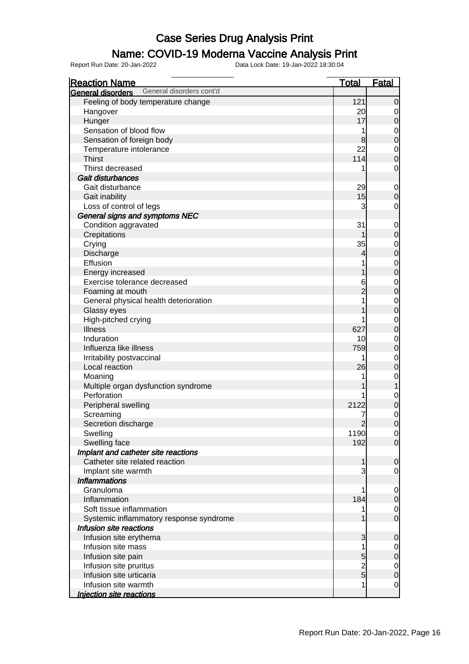#### Name: COVID-19 Moderna Vaccine Analysis Print

| <b>Reaction Name</b>                                 | <b>Total</b>        | <b>Fatal</b>                         |
|------------------------------------------------------|---------------------|--------------------------------------|
| General disorders cont'd<br><b>General disorders</b> |                     |                                      |
| Feeling of body temperature change                   | 121                 | $\mathbf 0$                          |
| Hangover                                             | 20                  | $\overline{0}$                       |
| Hunger                                               | 17                  | $\mathbf 0$                          |
| Sensation of blood flow                              | 1                   | $\mathbf 0$                          |
| Sensation of foreign body                            | 8                   | $\overline{0}$                       |
| Temperature intolerance                              | 22                  | $\mathbf 0$                          |
| <b>Thirst</b>                                        | 114                 | $\overline{0}$                       |
| Thirst decreased                                     |                     | $\mathbf 0$                          |
| Gait disturbances                                    |                     |                                      |
| Gait disturbance                                     | 29                  | $\mathbf 0$                          |
| Gait inability                                       | 15                  | $\overline{0}$                       |
| Loss of control of legs                              | 3                   | $\mathbf 0$                          |
| General signs and symptoms NEC                       |                     |                                      |
| Condition aggravated                                 | 31                  | $\mathbf 0$                          |
| Crepitations                                         |                     | $\overline{0}$                       |
| Crying                                               | 35                  |                                      |
| Discharge                                            | 4                   | $\begin{matrix} 0 \\ 0 \end{matrix}$ |
| Effusion                                             |                     |                                      |
| Energy increased                                     |                     | $\begin{matrix}0\\0\end{matrix}$     |
| Exercise tolerance decreased                         |                     |                                      |
|                                                      | 6<br>$\overline{c}$ | $\begin{matrix}0\\0\end{matrix}$     |
| Foaming at mouth                                     |                     |                                      |
| General physical health deterioration                |                     | $\begin{matrix}0\\0\end{matrix}$     |
| Glassy eyes                                          |                     |                                      |
| High-pitched crying                                  |                     | $0$<br>0                             |
| <b>Illness</b>                                       | 627                 |                                      |
| Induration                                           | 10                  | $0$<br>0                             |
| Influenza like illness                               | 759                 |                                      |
| Irritability postvaccinal                            | 1                   | $\overline{0}$                       |
| Local reaction                                       | 26                  | $\overline{0}$                       |
| Moaning                                              | 1                   | $\boldsymbol{0}$                     |
| Multiple organ dysfunction syndrome                  |                     | $\mathbf 1$                          |
| Perforation                                          |                     | $0$ 0                                |
| Peripheral swelling                                  | 2122                |                                      |
| Screaming                                            | 7                   | $\begin{matrix} 0 \\ 0 \end{matrix}$ |
| Secretion discharge                                  | $\overline{2}$      |                                      |
| Swelling                                             | 1190                | $\overline{0}$                       |
| Swelling face                                        | 192                 | $\overline{0}$                       |
| Implant and catheter site reactions                  |                     |                                      |
| Catheter site related reaction                       | 1                   | $\mathbf 0$                          |
| Implant site warmth                                  | 3                   | $\overline{0}$                       |
| <b>Inflammations</b>                                 |                     |                                      |
| Granuloma                                            | 1                   | $\overline{0}$                       |
| Inflammation                                         | 184                 | $\mathbf 0$                          |
| Soft tissue inflammation                             | 1                   | $\overline{0}$                       |
| Systemic inflammatory response syndrome              |                     | $\overline{0}$                       |
| Infusion site reactions                              |                     |                                      |
| Infusion site erythema                               | 3                   | $\mathbf 0$                          |
| Infusion site mass                                   | 1                   | $\mathbf 0$                          |
| Infusion site pain                                   | 5                   | $\overline{0}$                       |
| Infusion site pruritus                               |                     |                                      |
| Infusion site urticaria                              | $\frac{2}{5}$       | $0$<br>0                             |
| Infusion site warmth                                 | 1                   | $\overline{0}$                       |
| <b>Injection site reactions</b>                      |                     |                                      |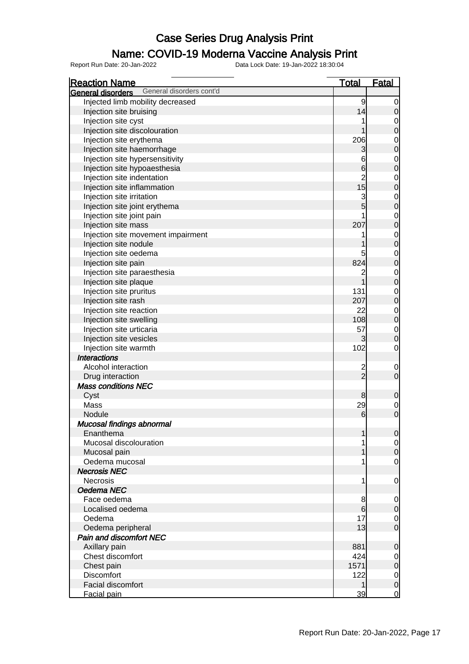#### Name: COVID-19 Moderna Vaccine Analysis Print

| <b>Reaction Name</b>                                 | <u>Total</u>                           | <b>Fatal</b>                         |
|------------------------------------------------------|----------------------------------------|--------------------------------------|
| General disorders cont'd<br><b>General disorders</b> |                                        |                                      |
| Injected limb mobility decreased                     | 9                                      | $\overline{0}$                       |
| Injection site bruising                              | 14                                     | $\mathbf 0$                          |
| Injection site cyst                                  | 1                                      |                                      |
| Injection site discolouration                        | 1                                      | $0\atop 0$                           |
| Injection site erythema                              | 206                                    |                                      |
| Injection site haemorrhage                           | 3                                      | $0$<br>0                             |
| Injection site hypersensitivity                      | 6                                      |                                      |
| Injection site hypoaesthesia                         | 6                                      | $\begin{matrix} 0 \\ 0 \end{matrix}$ |
| Injection site indentation                           |                                        |                                      |
| Injection site inflammation                          | $\begin{array}{c} 2 \\ 15 \end{array}$ | $\begin{matrix} 0 \\ 0 \end{matrix}$ |
| Injection site irritation                            |                                        |                                      |
| Injection site joint erythema                        | $\frac{3}{5}$                          | $\begin{matrix}0\\0\end{matrix}$     |
| Injection site joint pain                            | 1                                      |                                      |
| Injection site mass                                  | 207                                    | $\begin{matrix}0\\0\end{matrix}$     |
| Injection site movement impairment                   | 1                                      |                                      |
| Injection site nodule                                | 1                                      | $\begin{matrix}0\\0\end{matrix}$     |
| Injection site oedema                                | 5                                      |                                      |
| Injection site pain                                  | 824                                    | $\begin{matrix}0\\0\end{matrix}$     |
|                                                      |                                        |                                      |
| Injection site paraesthesia                          | $\overline{c}$<br>1                    | $\begin{matrix}0\\0\end{matrix}$     |
| Injection site plaque                                |                                        |                                      |
| Injection site pruritus                              | 131                                    | $\begin{matrix}0\\0\end{matrix}$     |
| Injection site rash                                  | 207                                    |                                      |
| Injection site reaction                              | 22                                     | $\begin{matrix}0\\0\end{matrix}$     |
| Injection site swelling                              | 108                                    |                                      |
| Injection site urticaria                             | 57                                     | $\begin{matrix} 0 \\ 0 \end{matrix}$ |
| Injection site vesicles                              | 3                                      |                                      |
| Injection site warmth                                | 102                                    | $\overline{O}$                       |
| <b>Interactions</b>                                  |                                        |                                      |
| Alcohol interaction                                  | $\frac{2}{2}$                          | $\mathbf 0$                          |
| Drug interaction                                     |                                        | $\mathbf 0$                          |
| <b>Mass conditions NEC</b>                           |                                        |                                      |
| Cyst                                                 | 8                                      | $\mathbf 0$                          |
| Mass                                                 | 29                                     | $\begin{matrix} 0 \\ 0 \end{matrix}$ |
| Nodule                                               | $6\phantom{1}6$                        |                                      |
| Mucosal findings abnormal                            |                                        |                                      |
| Enanthema                                            | 1                                      | 0                                    |
| Mucosal discolouration                               | 1                                      | $\overline{0}$                       |
| Mucosal pain                                         | 1                                      | $\mathbf 0$                          |
| Oedema mucosal                                       | 1                                      | $\mathbf 0$                          |
| <b>Necrosis NEC</b>                                  |                                        |                                      |
| <b>Necrosis</b>                                      | 1                                      | $\overline{0}$                       |
| Oedema NEC                                           |                                        |                                      |
| Face oedema                                          | 8                                      | $\overline{0}$                       |
| Localised oedema                                     | $6\phantom{1}6$                        | $\mathbf 0$                          |
| Oedema                                               | 17                                     | $\overline{0}$                       |
| Oedema peripheral                                    | 13                                     | $\overline{0}$                       |
| <b>Pain and discomfort NEC</b>                       |                                        |                                      |
| Axillary pain                                        | 881                                    | $\mathbf 0$                          |
| Chest discomfort                                     | 424                                    | $\overline{0}$                       |
| Chest pain                                           | 1571                                   | $\mathbf 0$                          |
| <b>Discomfort</b>                                    | 122                                    | $\overline{0}$                       |
| Facial discomfort                                    | 1                                      | $\mathbf 0$                          |
| Facial pain                                          | 39                                     | $\overline{0}$                       |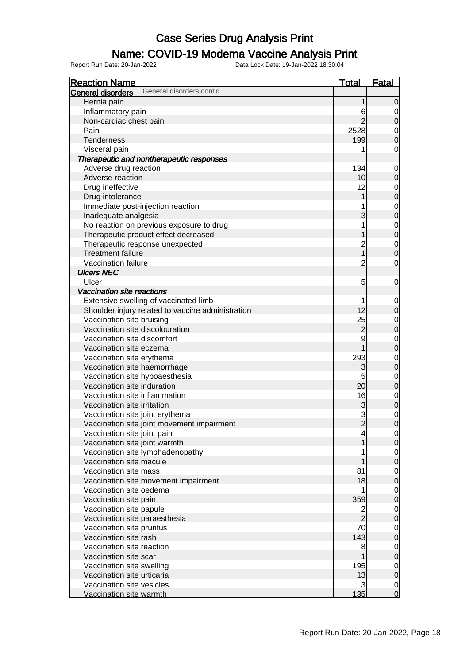#### Name: COVID-19 Moderna Vaccine Analysis Print

| <b>Reaction Name</b>                                          | <u>Total</u>             | <b>Fatal</b>                     |
|---------------------------------------------------------------|--------------------------|----------------------------------|
| General disorders cont'd<br><b>General disorders</b>          |                          |                                  |
| Hernia pain                                                   | 1                        | $\mathbf 0$                      |
| Inflammatory pain                                             | 6                        | $\overline{0}$                   |
| Non-cardiac chest pain                                        | $\overline{2}$           | $\overline{0}$                   |
| Pain                                                          | 2528                     | $\overline{0}$                   |
| <b>Tenderness</b>                                             | 199                      | $\overline{0}$                   |
| Visceral pain                                                 | 1                        | 0                                |
| Therapeutic and nontherapeutic responses                      |                          |                                  |
| Adverse drug reaction                                         | 134                      | $\mathbf 0$                      |
| Adverse reaction                                              | 10                       | $\pmb{0}$                        |
| Drug ineffective                                              | 12                       | $\mathbf{0}$                     |
| Drug intolerance                                              | 1                        | $\mathbf 0$                      |
| Immediate post-injection reaction                             | 1                        |                                  |
| Inadequate analgesia                                          | 3                        | $0$ 0                            |
| No reaction on previous exposure to drug                      | 1                        |                                  |
| Therapeutic product effect decreased                          | 1                        | $0$ 0                            |
| Therapeutic response unexpected                               |                          | $\overline{0}$                   |
| <b>Treatment failure</b>                                      | 2<br>1                   | $\overline{0}$                   |
| Vaccination failure                                           | $\overline{c}$           | 0                                |
| <b>Ulcers NEC</b>                                             |                          |                                  |
| Ulcer                                                         | 5                        | $\mathbf 0$                      |
| Vaccination site reactions                                    |                          |                                  |
| Extensive swelling of vaccinated limb                         |                          | $\mathbf 0$                      |
| Shoulder injury related to vaccine administration             | 12                       | $\pmb{0}$                        |
| Vaccination site bruising                                     | 25                       |                                  |
| Vaccination site discolouration                               |                          | $\overline{0}$<br>$\overline{0}$ |
| Vaccination site discomfort                                   | $\overline{c}$<br>9      |                                  |
|                                                               | $\mathbf 1$              | $0$<br>0                         |
| Vaccination site eczema                                       | 293                      |                                  |
| Vaccination site erythema                                     |                          | $\overline{0}$                   |
| Vaccination site haemorrhage                                  | 3<br>5                   | $\overline{0}$                   |
| Vaccination site hypoaesthesia<br>Vaccination site induration | 20                       | $\overline{0}$                   |
| Vaccination site inflammation                                 |                          | $\mathbf 0$                      |
|                                                               | 16                       | $\overline{0}$                   |
| Vaccination site irritation                                   | 3                        | $\mathbf 0$                      |
| Vaccination site joint erythema                               | $\frac{3}{2}$            | $\overline{0}$                   |
| Vaccination site joint movement impairment                    |                          | $\overline{0}$                   |
| Vaccination site joint pain                                   | $\overline{\mathcal{L}}$ | $\Omega$                         |
| Vaccination site joint warmth                                 | 1                        | $\overline{0}$                   |
| Vaccination site lymphadenopathy                              |                          | $\overline{0}$                   |
| Vaccination site macule                                       | 1                        | $\mathbf 0$                      |
| Vaccination site mass                                         | 81                       | $\overline{0}$                   |
| Vaccination site movement impairment                          | 18                       | $\mathbf 0$                      |
| Vaccination site oedema                                       | 1                        | $\overline{0}$                   |
| Vaccination site pain                                         | 359                      | $\mathbf 0$                      |
| Vaccination site papule                                       | $\frac{2}{2}$            | $\overline{0}$                   |
| Vaccination site paraesthesia                                 |                          | $\mathbf 0$                      |
| Vaccination site pruritus                                     | 70                       | $\overline{0}$                   |
| Vaccination site rash                                         | 143                      | $\mathbf 0$                      |
| Vaccination site reaction                                     | 8                        | $\overline{0}$                   |
| Vaccination site scar                                         | 1                        | $\mathbf 0$                      |
| Vaccination site swelling                                     | 195                      | $\overline{0}$                   |
| Vaccination site urticaria                                    | 13                       | $\boldsymbol{0}$                 |
| Vaccination site vesicles                                     | $\overline{3}$           | $\overline{0}$                   |
| Vaccination site warmth                                       | 135                      | $\overline{O}$                   |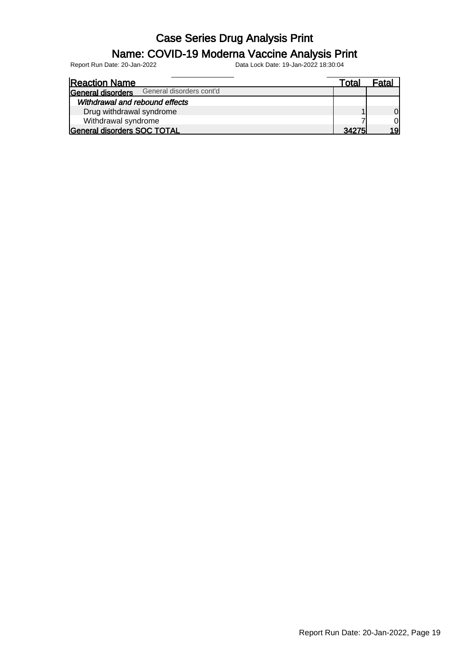#### Name: COVID-19 Moderna Vaccine Analysis Print

| <b>Reaction Name</b>                          | Total | Fatal |
|-----------------------------------------------|-------|-------|
| General disorders cont'd<br>General disorders |       |       |
| Withdrawal and rebound effects                |       |       |
| Drug withdrawal syndrome                      |       | Ol    |
| Withdrawal syndrome                           |       | Οl    |
| General disorders SOC TOTAL                   | 34275 | 1Q    |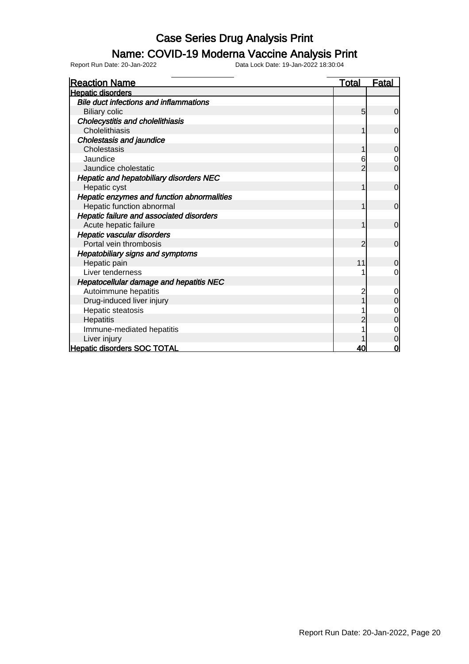### Name: COVID-19 Moderna Vaccine Analysis Print

| <b>Reaction Name</b>                            | <u>Total</u> | <b>Fatal</b>   |
|-------------------------------------------------|--------------|----------------|
| <b>Hepatic disorders</b>                        |              |                |
| <b>Bile duct infections and inflammations</b>   |              |                |
| <b>Biliary colic</b>                            | 5            | $\mathbf 0$    |
| <b>Cholecystitis and cholelithiasis</b>         |              |                |
| Cholelithiasis                                  | 1            | $\overline{0}$ |
| Cholestasis and jaundice                        |              |                |
| Cholestasis                                     |              | $\mathbf 0$    |
| Jaundice                                        | 6            | $\mathbf 0$    |
| Jaundice cholestatic                            | 2            | $\overline{0}$ |
| Hepatic and hepatobiliary disorders NEC         |              |                |
| Hepatic cyst                                    | 1            | $\mathbf 0$    |
| Hepatic enzymes and function abnormalities      |              |                |
| Hepatic function abnormal                       | 1            | $\Omega$       |
| <b>Hepatic failure and associated disorders</b> |              |                |
| Acute hepatic failure                           | 1            | $\overline{0}$ |
| Hepatic vascular disorders                      |              |                |
| Portal vein thrombosis                          | 2            | $\overline{0}$ |
| Hepatobiliary signs and symptoms                |              |                |
| Hepatic pain                                    | 11           | 0              |
| Liver tenderness                                |              | $\mathbf 0$    |
| <b>Hepatocellular damage and hepatitis NEC</b>  |              |                |
| Autoimmune hepatitis                            | 2            | $\mathbf 0$    |
| Drug-induced liver injury                       |              | 0              |
| Hepatic steatosis                               |              | 0              |
| Hepatitis                                       |              | 0              |
| Immune-mediated hepatitis                       |              | 0              |
| Liver injury                                    |              | 0              |
| <b>Hepatic disorders SOC TOTAL</b>              | 40           | 0              |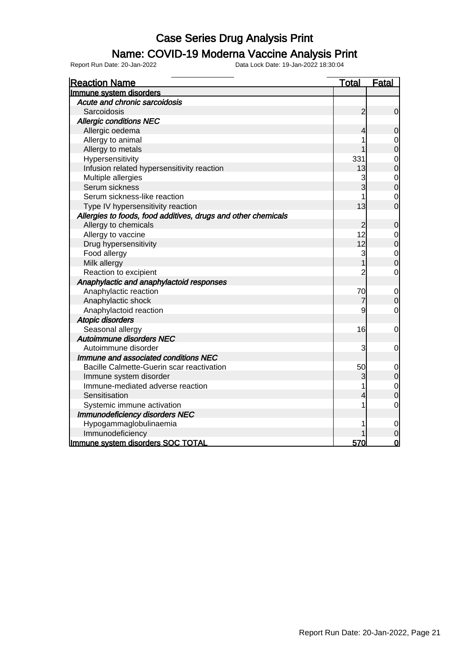#### Name: COVID-19 Moderna Vaccine Analysis Print

| <b>Reaction Name</b>                                          | <u>Total</u>   | <b>Fatal</b>                     |
|---------------------------------------------------------------|----------------|----------------------------------|
| Immune system disorders                                       |                |                                  |
| Acute and chronic sarcoidosis                                 |                |                                  |
| Sarcoidosis                                                   | $\overline{c}$ | $\overline{0}$                   |
| <b>Allergic conditions NEC</b>                                |                |                                  |
| Allergic oedema                                               | 4              | $\overline{0}$                   |
| Allergy to animal                                             |                | 0                                |
| Allergy to metals                                             |                | $\overline{0}$                   |
| Hypersensitivity                                              | 331            | $\mathbf{0}$                     |
| Infusion related hypersensitivity reaction                    | 13             | $\overline{0}$                   |
| Multiple allergies                                            | 3              |                                  |
| Serum sickness                                                | 3              | $\begin{matrix}0\\0\end{matrix}$ |
| Serum sickness-like reaction                                  |                | $\mathbf 0$                      |
| Type IV hypersensitivity reaction                             | 13             | $\overline{0}$                   |
| Allergies to foods, food additives, drugs and other chemicals |                |                                  |
| Allergy to chemicals                                          | $\overline{2}$ | $\mathbf 0$                      |
| Allergy to vaccine                                            | 12             | $\mathbf 0$                      |
| Drug hypersensitivity                                         | 12             | $\overline{0}$                   |
| Food allergy                                                  | 3              | $\mathbf 0$                      |
| Milk allergy                                                  |                | 0                                |
| Reaction to excipient                                         | $\overline{c}$ | $\mathbf 0$                      |
| Anaphylactic and anaphylactoid responses                      |                |                                  |
| Anaphylactic reaction                                         | 70             | $\mathbf 0$                      |
| Anaphylactic shock                                            | 7              | $\mathbf 0$                      |
| Anaphylactoid reaction                                        | 9              | 0                                |
| <b>Atopic disorders</b>                                       |                |                                  |
| Seasonal allergy                                              | 16             | $\mathbf 0$                      |
| Autoimmune disorders NEC                                      |                |                                  |
| Autoimmune disorder                                           | 3              | 0                                |
| Immune and associated conditions NEC                          |                |                                  |
| Bacille Calmette-Guerin scar reactivation                     | 50             | $\mathbf 0$                      |
| Immune system disorder                                        | 3              | $\overline{0}$                   |
| Immune-mediated adverse reaction                              |                | $\overline{0}$                   |
| Sensitisation                                                 | 4              | $\overline{0}$                   |
| Systemic immune activation                                    |                | $\mathbf 0$                      |
| <b>Immunodeficiency disorders NEC</b>                         |                |                                  |
| Hypogammaglobulinaemia                                        |                | 0                                |
| Immunodeficiency                                              |                | 0                                |
| Immune system disorders SOC TOTAL                             | 570            | 0                                |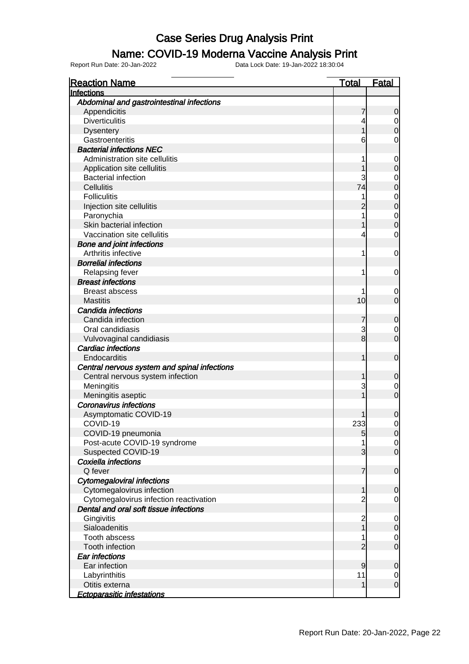#### Name: COVID-19 Moderna Vaccine Analysis Print

| <b>Reaction Name</b>                         | <u>Total</u> | <b>Fatal</b>                     |
|----------------------------------------------|--------------|----------------------------------|
| Infections                                   |              |                                  |
| Abdominal and gastrointestinal infections    |              |                                  |
| Appendicitis                                 |              | 0                                |
| <b>Diverticulitis</b>                        |              | $\mathbf 0$                      |
| <b>Dysentery</b>                             |              | $\overline{0}$                   |
| Gastroenteritis                              | 6            | 0                                |
| <b>Bacterial infections NEC</b>              |              |                                  |
| Administration site cellulitis               |              | 0                                |
| Application site cellulitis                  |              | 0                                |
| <b>Bacterial infection</b>                   | 3            | 0                                |
| <b>Cellulitis</b>                            | 74           | 0                                |
| <b>Folliculitis</b>                          |              | $\mathbf 0$                      |
| Injection site cellulitis                    |              | $\overline{0}$                   |
| Paronychia                                   |              |                                  |
| Skin bacterial infection                     |              | $\begin{matrix}0\\0\end{matrix}$ |
| Vaccination site cellulitis                  | 4            | 0                                |
| <b>Bone and joint infections</b>             |              |                                  |
| Arthritis infective                          | 1            | 0                                |
| <b>Borrelial infections</b>                  |              |                                  |
| Relapsing fever                              | 1            | 0                                |
| <b>Breast infections</b>                     |              |                                  |
| <b>Breast abscess</b>                        |              | 0                                |
| <b>Mastitis</b>                              | 10           | 0                                |
| Candida infections                           |              |                                  |
| Candida infection                            |              | 0                                |
| Oral candidiasis                             | 3            | $\mathbf 0$                      |
| Vulvovaginal candidiasis                     | 8            | $\overline{0}$                   |
| Cardiac infections                           |              |                                  |
| Endocarditis                                 |              | $\mathbf 0$                      |
| Central nervous system and spinal infections |              |                                  |
| Central nervous system infection             |              | 0                                |
| Meningitis                                   | 3            | 0                                |
| Meningitis aseptic                           |              | O                                |
| <b>Coronavirus infections</b>                |              |                                  |
| Asymptomatic COVID-19                        |              | 0                                |
| COVID-19                                     | 233          | $\mathbf{0}$                     |
| COVID-19 pneumonia                           | 5            | 0                                |
| Post-acute COVID-19 syndrome                 | 1            | $\overline{0}$                   |
| Suspected COVID-19                           | 3            | $\overline{O}$                   |
| Coxiella infections                          |              |                                  |
| Q fever                                      | 7            | $\overline{0}$                   |
| <b>Cytomegaloviral infections</b>            |              |                                  |
| Cytomegalovirus infection                    |              | 0                                |
| Cytomegalovirus infection reactivation       | 2            | 0                                |
| Dental and oral soft tissue infections       |              |                                  |
| Gingivitis                                   | 2            | $\overline{0}$                   |
| Sialoadenitis                                |              | $\mathbf 0$                      |
| Tooth abscess                                |              | $\mathbf 0$                      |
| <b>Tooth infection</b>                       |              | $\overline{0}$                   |
| <b>Ear infections</b>                        |              |                                  |
| Ear infection                                | 9            | 0                                |
| Labyrinthitis                                | 11           | $\mathbf 0$                      |
| Otitis externa                               | 1            | $\overline{0}$                   |
| <b>Ectoparasitic infestations</b>            |              |                                  |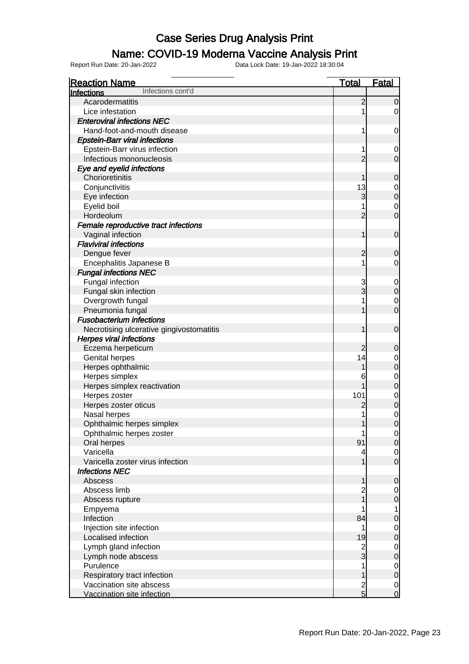#### Name: COVID-19 Moderna Vaccine Analysis Print

| <b>Reaction Name</b>                     | <b>Total</b>   | <b>Fatal</b>                          |
|------------------------------------------|----------------|---------------------------------------|
| Infections cont'd<br>Infections          |                |                                       |
| Acarodermatitis                          | $\overline{c}$ | $\mathbf 0$                           |
| Lice infestation                         | 1              | $\overline{0}$                        |
| <b>Enteroviral infections NEC</b>        |                |                                       |
| Hand-foot-and-mouth disease              | 1              | $\mathbf 0$                           |
| <b>Epstein-Barr viral infections</b>     |                |                                       |
| Epstein-Barr virus infection             | 1              | $\mathbf 0$                           |
| Infectious mononucleosis                 | $\overline{2}$ | $\overline{O}$                        |
| Eye and eyelid infections                |                |                                       |
| Chorioretinitis                          | 1              | $\mathbf 0$                           |
| Conjunctivitis                           | 13             |                                       |
| Eye infection                            | 3              | $\begin{matrix}0\\0\end{matrix}$      |
| Eyelid boil                              | 1              |                                       |
| Hordeolum                                | $\overline{2}$ | $\begin{matrix} 0 \\ 0 \end{matrix}$  |
| Female reproductive tract infections     |                |                                       |
| Vaginal infection                        | 1              | $\boldsymbol{0}$                      |
| <b>Flaviviral infections</b>             |                |                                       |
| Dengue fever                             | $\overline{c}$ | $\mathbf 0$                           |
| Encephalitis Japanese B                  | 1              | $\mathbf 0$                           |
| <b>Fungal infections NEC</b>             |                |                                       |
| Fungal infection                         | 3              | $\mathbf{0}$                          |
| Fungal skin infection                    | 3              | $\overline{0}$                        |
| Overgrowth fungal                        | 1              |                                       |
| Pneumonia fungal                         | 1              | $\begin{matrix} 0 \\ 0 \end{matrix}$  |
| <b>Fusobacterium infections</b>          |                |                                       |
| Necrotising ulcerative gingivostomatitis | 1              | $\boldsymbol{0}$                      |
| <b>Herpes viral infections</b>           |                |                                       |
| Eczema herpeticum                        | $\overline{c}$ | $\mathbf 0$                           |
| Genital herpes                           | 14             |                                       |
| Herpes ophthalmic                        | 1              | $0$<br>0                              |
| Herpes simplex                           | 6              |                                       |
| Herpes simplex reactivation              | 1              | $\begin{matrix}0\\0\end{matrix}$      |
| Herpes zoster                            | 101            |                                       |
| Herpes zoster oticus                     | $\overline{c}$ | $0$ 0                                 |
| Nasal herpes                             | 1              |                                       |
| Ophthalmic herpes simplex                | 1              | $\begin{matrix} 0 \\ 0 \end{matrix}$  |
| Ophthalmic herpes zoster                 | 1              | $\Omega$                              |
| Oral herpes                              | 91             | $\overline{0}$                        |
| Varicella                                | 4              |                                       |
| Varicella zoster virus infection         | 1              | $\begin{matrix} 0 \\ 0 \end{matrix}$  |
| <b>Infections NEC</b>                    |                |                                       |
| Abscess                                  | 1              | $\mathbf 0$                           |
| Abscess limb                             |                |                                       |
| Abscess rupture                          | 2<br>1         | $\begin{matrix}0\\0\end{matrix}$      |
| Empyema                                  | 1              |                                       |
| Infection                                | 84             | $\begin{array}{c} 1 \\ 0 \end{array}$ |
| Injection site infection                 | 1              |                                       |
| Localised infection                      | 19             | $\begin{matrix} 0 \\ 0 \end{matrix}$  |
| Lymph gland infection                    |                |                                       |
| Lymph node abscess                       | $\frac{2}{3}$  | $\begin{matrix}0\\0\end{matrix}$      |
| Purulence                                | 1              |                                       |
| Respiratory tract infection              | $\mathbf{1}$   | $\begin{matrix} 0 \\ 0 \end{matrix}$  |
| Vaccination site abscess                 |                |                                       |
| Vaccination site infection               | $\frac{2}{5}$  | $\frac{0}{0}$                         |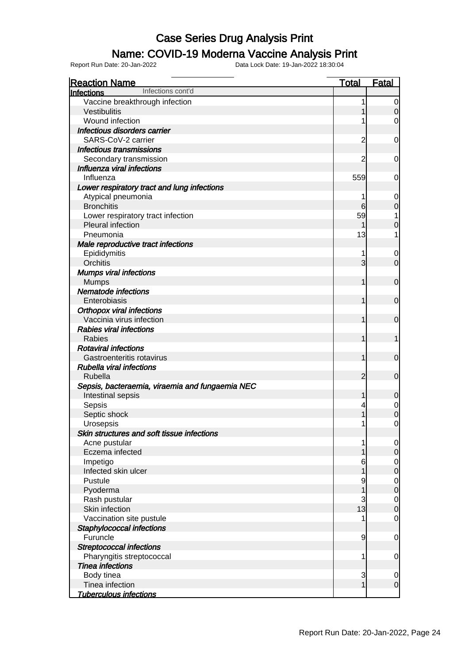### Name: COVID-19 Moderna Vaccine Analysis Print

| <b>Reaction Name</b>                            | <u>Total</u>   | <b>Fatal</b>                  |
|-------------------------------------------------|----------------|-------------------------------|
| Infections cont'd<br><b>Infections</b>          |                |                               |
| Vaccine breakthrough infection                  | 1              | $\overline{0}$                |
| Vestibulitis                                    |                | $\mathbf 0$                   |
| Wound infection                                 |                | 0                             |
| Infectious disorders carrier                    |                |                               |
| SARS-CoV-2 carrier                              | $\overline{c}$ | $\mathbf 0$                   |
| <b>Infectious transmissions</b>                 |                |                               |
| Secondary transmission                          | 2              | 0                             |
| Influenza viral infections                      |                |                               |
| Influenza                                       | 559            | 0                             |
| Lower respiratory tract and lung infections     |                |                               |
| Atypical pneumonia                              | 1              | $\mathbf 0$                   |
| <b>Bronchitis</b>                               | 6              | $\pmb{0}$                     |
| Lower respiratory tract infection               | 59             | 1                             |
| Pleural infection                               | 1              | $\boldsymbol{0}$              |
| Pneumonia                                       | 13             | 1                             |
| Male reproductive tract infections              |                |                               |
|                                                 | 1              |                               |
| Epididymitis<br>Orchitis                        | 3              | $\mathbf 0$<br>$\overline{0}$ |
|                                                 |                |                               |
| <b>Mumps viral infections</b>                   |                |                               |
| <b>Mumps</b>                                    | 1              | $\boldsymbol{0}$              |
| <b>Nematode infections</b>                      |                |                               |
| Enterobiasis                                    | 1              | $\boldsymbol{0}$              |
| <b>Orthopox viral infections</b>                |                |                               |
| Vaccinia virus infection                        | 1              | $\boldsymbol{0}$              |
| <b>Rabies viral infections</b>                  |                |                               |
| Rabies                                          | 1              | 1                             |
| <b>Rotaviral infections</b>                     |                |                               |
| Gastroenteritis rotavirus                       | 1              | $\boldsymbol{0}$              |
| <b>Rubella viral infections</b>                 |                |                               |
| Rubella                                         | $\overline{2}$ | $\mathbf 0$                   |
| Sepsis, bacteraemia, viraemia and fungaemia NEC |                |                               |
| Intestinal sepsis                               | 1              | $\mathbf 0$                   |
| Sepsis                                          | 4              | $0\atop 0$                    |
| Septic shock                                    | 1              |                               |
| Urosepsis                                       | 1              | $\mathbf 0$                   |
| Skin structures and soft tissue infections      |                |                               |
| Acne pustular                                   | 1              | $\overline{0}$                |
| Eczema infected                                 | 1              | $\mathsf{O}$                  |
| Impetigo                                        | 6              | $\overline{0}$                |
| Infected skin ulcer                             | 1              | $\overline{0}$                |
| Pustule                                         | 9              | $\overline{0}$                |
| Pyoderma                                        | 1              | $\overline{0}$                |
| Rash pustular                                   | 3              | $\mathbf 0$                   |
| Skin infection                                  | 13             | $\overline{0}$                |
| Vaccination site pustule                        |                | $\mathbf 0$                   |
| Staphylococcal infections                       |                |                               |
| Furuncle                                        | 9              | $\mathbf 0$                   |
| <b>Streptococcal infections</b>                 |                |                               |
| Pharyngitis streptococcal                       | 1              | $\mathbf 0$                   |
| <b>Tinea infections</b>                         |                |                               |
| Body tinea                                      | 3              | $\mathbf 0$                   |
| Tinea infection                                 | 1              | $\overline{0}$                |
| <b>Tuberculous infections</b>                   |                |                               |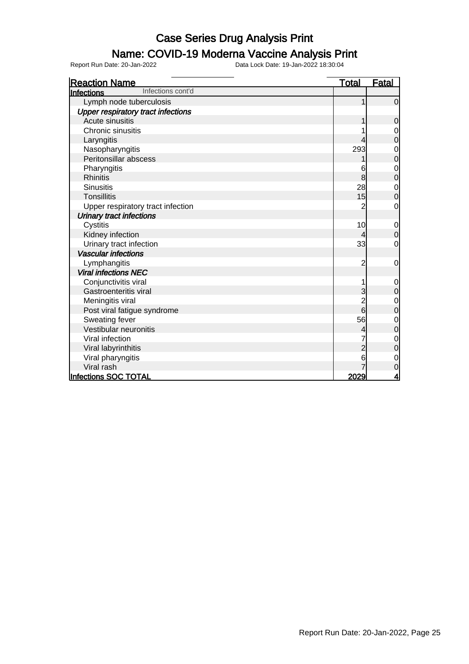#### Name: COVID-19 Moderna Vaccine Analysis Print

| <b>Reaction Name</b>                      | <b>Total</b>   | <b>Fatal</b>   |
|-------------------------------------------|----------------|----------------|
| Infections cont'd<br>Infections           |                |                |
| Lymph node tuberculosis                   |                | $\overline{0}$ |
| <b>Upper respiratory tract infections</b> |                |                |
| Acute sinusitis                           |                | 0              |
| Chronic sinusitis                         |                | 0              |
| Laryngitis                                |                | 0              |
| Nasopharyngitis                           | 293            | 0              |
| Peritonsillar abscess                     |                | 0              |
| Pharyngitis                               | 6              | $\mathbf 0$    |
| <b>Rhinitis</b>                           | 8              | $\mathbf 0$    |
| <b>Sinusitis</b>                          | 28             | 0              |
| <b>Tonsillitis</b>                        | 15             | 0              |
| Upper respiratory tract infection         | 2              | 0              |
| <b>Urinary tract infections</b>           |                |                |
| Cystitis                                  | 10             | $\mathbf 0$    |
| Kidney infection                          | 4              | $\mathbf 0$    |
| Urinary tract infection                   | 33             | 0              |
| <b>Vascular infections</b>                |                |                |
| Lymphangitis                              | $\overline{c}$ | $\mathbf 0$    |
| <b>Viral infections NEC</b>               |                |                |
| Conjunctivitis viral                      |                | 0              |
| Gastroenteritis viral                     | 3              | $\mathbf 0$    |
| Meningitis viral                          | $\overline{2}$ | 0              |
| Post viral fatigue syndrome               | 6              | 0              |
| Sweating fever                            | 56             | 0              |
| Vestibular neuronitis                     |                | $\mathbf 0$    |
| Viral infection                           |                | 0              |
| Viral labyrinthitis                       |                | 0              |
| Viral pharyngitis                         | 6              | 0              |
| Viral rash                                |                | 0              |
| Infections SOC TOTAL                      | 2029           | 4              |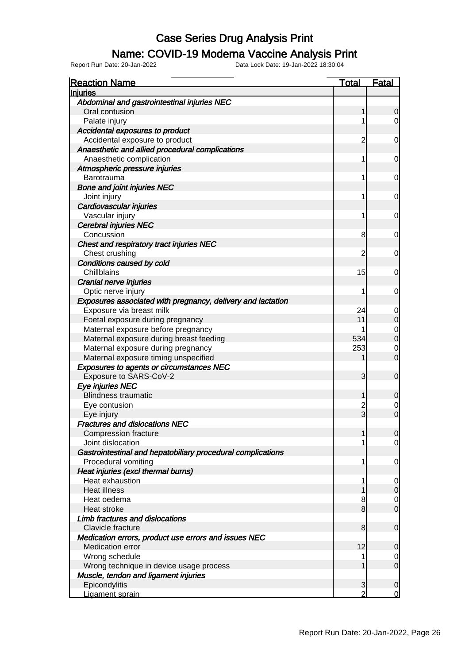#### Name: COVID-19 Moderna Vaccine Analysis Print

| <b>Reaction Name</b>                                        | <u>Total</u>   | <u>Fatal</u>   |
|-------------------------------------------------------------|----------------|----------------|
| <b>Injuries</b>                                             |                |                |
| Abdominal and gastrointestinal injuries NEC                 |                |                |
| Oral contusion                                              | 1              | O              |
| Palate injury                                               | 1              | 0              |
| Accidental exposures to product                             |                |                |
| Accidental exposure to product                              | $\overline{2}$ | 0              |
| Anaesthetic and allied procedural complications             |                |                |
| Anaesthetic complication                                    | 1              | 0              |
| Atmospheric pressure injuries                               |                |                |
| Barotrauma                                                  | 1              | 0              |
| <b>Bone and joint injuries NEC</b>                          |                |                |
| Joint injury                                                | 1              | 0              |
| Cardiovascular injuries                                     |                |                |
| Vascular injury                                             | 1              | 0              |
| <b>Cerebral injuries NEC</b>                                |                |                |
| Concussion                                                  | 8              | 0              |
| Chest and respiratory tract injuries NEC                    |                |                |
| Chest crushing                                              | $\overline{2}$ | 0              |
| Conditions caused by cold                                   |                |                |
| Chillblains                                                 | 15             | 0              |
| Cranial nerve injuries                                      |                |                |
| Optic nerve injury                                          | 1              | 0              |
| Exposures associated with pregnancy, delivery and lactation |                |                |
| Exposure via breast milk                                    | 24             | 0              |
| Foetal exposure during pregnancy                            | 11             | 0              |
| Maternal exposure before pregnancy                          |                | $\mathbf 0$    |
| Maternal exposure during breast feeding                     | 534            | $\overline{0}$ |
| Maternal exposure during pregnancy                          | 253            | 0              |
| Maternal exposure timing unspecified                        |                | $\overline{0}$ |
| <b>Exposures to agents or circumstances NEC</b>             |                |                |
| Exposure to SARS-CoV-2                                      | 3              | $\mathbf 0$    |
| Eye injuries NEC                                            |                |                |
| <b>Blindness traumatic</b>                                  | 1              | 0              |
| Eye contusion                                               | $\overline{c}$ | 0              |
| Eye injury                                                  | $\overline{3}$ | $\overline{0}$ |
| <b>Fractures and dislocations NEC</b>                       |                |                |
| <b>Compression fracture</b>                                 |                | <sup>0</sup>   |
| Joint dislocation                                           | 1              | $\overline{0}$ |
| Gastrointestinal and hepatobiliary procedural complications |                |                |
| Procedural vomiting                                         | 1              | 0              |
| Heat injuries (excl thermal burns)                          |                |                |
| Heat exhaustion                                             | 1              | 0              |
| <b>Heat illness</b>                                         |                | 0              |
| Heat oedema                                                 | 8              | $\mathbf 0$    |
| Heat stroke                                                 | 8              | $\overline{0}$ |
| Limb fractures and dislocations                             |                |                |
| Clavicle fracture                                           | 8              | $\mathbf 0$    |
| Medication errors, product use errors and issues NEC        |                |                |
| <b>Medication error</b>                                     | 12             | 0              |
| Wrong schedule                                              | 1              | 0              |
| Wrong technique in device usage process                     | 1              | $\overline{0}$ |
| Muscle, tendon and ligament injuries                        |                |                |
| Epicondylitis                                               | 3              | $\mathbf 0$    |
| Ligament sprain                                             | $\overline{2}$ | $\overline{0}$ |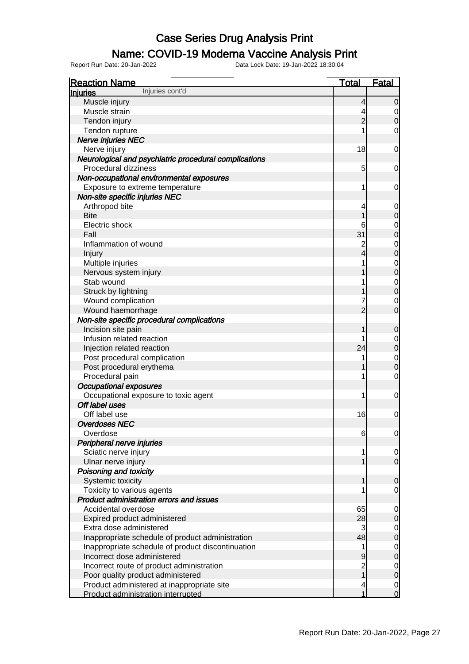#### Name: COVID-19 Moderna Vaccine Analysis Print

| <b>Reaction Name</b>                                  | <b>Total</b>   | Fatal                            |
|-------------------------------------------------------|----------------|----------------------------------|
| Injuries cont'd<br><b>Injuries</b>                    |                |                                  |
| Muscle injury                                         | $\overline{4}$ | $\mathbf 0$                      |
| Muscle strain                                         | 4              | $\mathbf 0$                      |
| Tendon injury                                         | $\overline{2}$ | $\mathbf 0$                      |
| Tendon rupture                                        | 1              | 0                                |
| <b>Nerve injuries NEC</b>                             |                |                                  |
| Nerve injury                                          | 18             | $\mathbf 0$                      |
| Neurological and psychiatric procedural complications |                |                                  |
| Procedural dizziness                                  | 5              | $\mathbf 0$                      |
| Non-occupational environmental exposures              |                |                                  |
| Exposure to extreme temperature                       | 1              | $\mathbf 0$                      |
| Non-site specific injuries NEC                        |                |                                  |
| Arthropod bite                                        | 4              | $\mathbf 0$                      |
| <b>Bite</b>                                           | 1              | $\pmb{0}$                        |
| Electric shock                                        | 6              | $\mathbf{0}$                     |
| Fall                                                  | 31             | $\overline{0}$                   |
| Inflammation of wound                                 | $\overline{c}$ |                                  |
| Injury                                                | 4              | $0$<br>0                         |
| Multiple injuries                                     | 1              |                                  |
| Nervous system injury                                 | 1              | $\begin{matrix}0\\0\end{matrix}$ |
| Stab wound                                            | 1              |                                  |
| Struck by lightning                                   | 1              | $\begin{matrix}0\\0\end{matrix}$ |
| Wound complication                                    | 7              | $\mathbf 0$                      |
| Wound haemorrhage                                     | $\overline{2}$ | $\overline{0}$                   |
| Non-site specific procedural complications            |                |                                  |
| Incision site pain                                    | 1              | $\mathbf 0$                      |
| Infusion related reaction                             | 1              | $\mathbf{0}$                     |
| Injection related reaction                            | 24             | $\mathbf 0$                      |
| Post procedural complication                          | 1              | $\mathbf{0}$                     |
| Post procedural erythema                              | 1              | $\overline{0}$                   |
| Procedural pain                                       | 1              | $\mathbf 0$                      |
| <b>Occupational exposures</b>                         |                |                                  |
| Occupational exposure to toxic agent                  | 1              | $\mathbf 0$                      |
| Off label uses                                        |                |                                  |
| Off label use                                         | 16             | $\mathbf 0$                      |
| <b>Overdoses NEC</b>                                  |                |                                  |
| Overdose                                              | 6              | $\overline{0}$                   |
| Peripheral nerve injuries                             |                |                                  |
| Sciatic nerve injury                                  | 1              | $\overline{0}$                   |
| Ulnar nerve injury                                    | 1              | $\overline{O}$                   |
| Poisoning and toxicity                                |                |                                  |
| Systemic toxicity                                     | 1              | $\mathbf 0$                      |
| Toxicity to various agents                            | 1              | $\mathbf 0$                      |
| <b>Product administration errors and issues</b>       |                |                                  |
| Accidental overdose                                   | 65             | $\overline{0}$                   |
| Expired product administered                          | 28             | $\mathbf 0$                      |
| Extra dose administered                               | 3              | $\overline{0}$                   |
| Inappropriate schedule of product administration      | 48             | $\overline{0}$                   |
| Inappropriate schedule of product discontinuation     | 1              | $\overline{0}$                   |
| Incorrect dose administered                           | 9              | $\mathbf 0$                      |
| Incorrect route of product administration             | $\frac{2}{1}$  | $\overline{0}$                   |
| Poor quality product administered                     |                | $\overline{0}$                   |
| Product administered at inappropriate site            | 4              | $\mathbf 0$                      |
| Product administration interrupted                    | 1              | $\overline{O}$                   |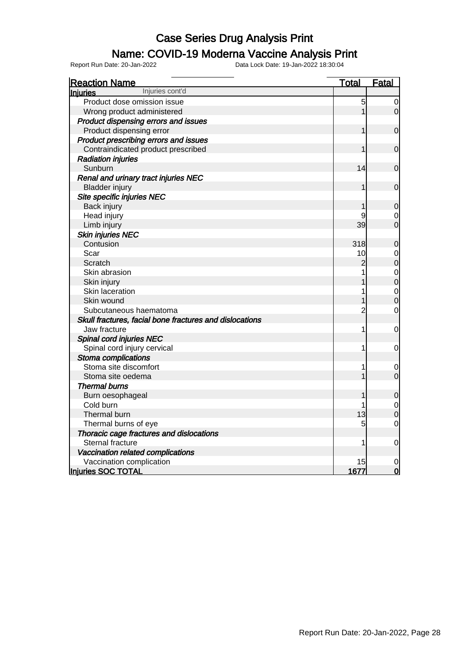#### Name: COVID-19 Moderna Vaccine Analysis Print

| <b>Reaction Name</b>                                    | <b>Total</b>   | <b>Fatal</b>     |
|---------------------------------------------------------|----------------|------------------|
| Injuries cont'd<br>Injuries                             |                |                  |
| Product dose omission issue                             | 5              | $\overline{0}$   |
| Wrong product administered                              | 1              | $\overline{0}$   |
| Product dispensing errors and issues                    |                |                  |
| Product dispensing error                                | 1              | $\mathbf 0$      |
| Product prescribing errors and issues                   |                |                  |
| Contraindicated product prescribed                      |                | $\mathbf 0$      |
| <b>Radiation injuries</b>                               |                |                  |
| Sunburn                                                 | 14             | $\mathbf 0$      |
| Renal and urinary tract injuries NEC                    |                |                  |
| <b>Bladder injury</b>                                   |                | $\mathbf 0$      |
| Site specific injuries NEC                              |                |                  |
| Back injury                                             |                | $\mathbf 0$      |
| Head injury                                             | 9              | $\mathbf 0$      |
| Limb injury                                             | 39             | $\overline{0}$   |
| <b>Skin injuries NEC</b>                                |                |                  |
| Contusion                                               | 318            | $\mathbf 0$      |
| Scar                                                    | 10             | $\mathbf 0$      |
| Scratch                                                 | $\overline{c}$ | $\overline{0}$   |
| Skin abrasion                                           |                | $\mathbf{O}$     |
| Skin injury                                             |                | $\overline{0}$   |
| Skin laceration                                         | 1              | $\mathbf{0}$     |
| Skin wound                                              |                | $\overline{0}$   |
| Subcutaneous haematoma                                  | $\overline{c}$ | $\mathbf 0$      |
| Skull fractures, facial bone fractures and dislocations |                |                  |
| Jaw fracture                                            | 1              | $\mathbf 0$      |
| Spinal cord injuries NEC                                |                |                  |
| Spinal cord injury cervical                             |                | $\mathbf 0$      |
| Stoma complications                                     |                |                  |
| Stoma site discomfort                                   | 1              | $\mathbf 0$      |
| Stoma site oedema                                       |                | $\overline{0}$   |
| <b>Thermal burns</b>                                    |                |                  |
| Burn oesophageal                                        |                | $\boldsymbol{0}$ |
| Cold burn                                               |                | $\mathbf 0$      |
| Thermal burn                                            | 13             | $\overline{0}$   |
| Thermal burns of eye                                    | 5              | $\mathbf 0$      |
| Thoracic cage fractures and dislocations                |                |                  |
| Sternal fracture                                        | 1              | $\mathbf 0$      |
| Vaccination related complications                       |                |                  |
| Vaccination complication                                | 15             | 0                |
| Injuries SOC TOTAL                                      | 1677           | $\overline{0}$   |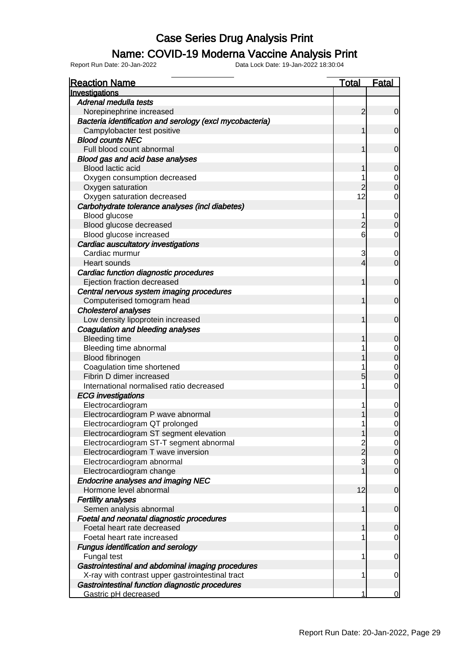### Name: COVID-19 Moderna Vaccine Analysis Print

| <b>Reaction Name</b>                                     | <b>Total</b>   | <b>Fatal</b>     |
|----------------------------------------------------------|----------------|------------------|
| Investigations                                           |                |                  |
| Adrenal medulla tests                                    |                |                  |
| Norepinephrine increased                                 | $\overline{2}$ | $\mathbf 0$      |
| Bacteria identification and serology (excl mycobacteria) |                |                  |
| Campylobacter test positive                              | 1              | $\mathbf 0$      |
| <b>Blood counts NEC</b>                                  |                |                  |
| Full blood count abnormal                                | 1              | $\mathbf 0$      |
| Blood gas and acid base analyses                         |                |                  |
| Blood lactic acid                                        | 1              | $\mathbf 0$      |
| Oxygen consumption decreased                             |                | 0                |
| Oxygen saturation                                        | $\overline{c}$ | $\mathbf 0$      |
| Oxygen saturation decreased                              | 12             | 0                |
| Carbohydrate tolerance analyses (incl diabetes)          |                |                  |
| Blood glucose                                            | 1              | 0                |
| Blood glucose decreased                                  | $\overline{c}$ | $\mathbf 0$      |
| Blood glucose increased                                  | 6              | 0                |
| Cardiac auscultatory investigations                      |                |                  |
| Cardiac murmur                                           | 3              | 0                |
| <b>Heart sounds</b>                                      | 4              | $\mathbf 0$      |
| Cardiac function diagnostic procedures                   |                |                  |
| Ejection fraction decreased                              | 1              | $\mathbf 0$      |
| Central nervous system imaging procedures                |                |                  |
| Computerised tomogram head                               | 1              | $\mathbf 0$      |
| <b>Cholesterol analyses</b>                              |                |                  |
| Low density lipoprotein increased                        | 1              | $\mathbf 0$      |
| Coagulation and bleeding analyses                        |                |                  |
| <b>Bleeding time</b>                                     | 1              | 0                |
| Bleeding time abnormal                                   |                | 0                |
| Blood fibrinogen                                         |                | $\boldsymbol{0}$ |
| Coagulation time shortened                               |                | 0                |
| Fibrin D dimer increased                                 | 5              | $\mathbf 0$      |
| International normalised ratio decreased                 | 1              | $\mathbf 0$      |
| <b>ECG</b> investigations                                |                |                  |
| Electrocardiogram                                        | 1              | $\mathbf 0$      |
| Electrocardiogram P wave abnormal                        |                | $\mathbf 0$      |
| Electrocardiogram QT prolonged                           | 1              | 0                |
| Electrocardiogram ST segment elevation                   | 1              | $\mathbf 0$      |
| Electrocardiogram ST-T segment abnormal                  | $\overline{c}$ | $\overline{0}$   |
| Electrocardiogram T wave inversion                       | $\overline{2}$ | $\mathbf 0$      |
| Electrocardiogram abnormal                               | 3              | 0                |
| Electrocardiogram change                                 |                | $\mathbf 0$      |
| <b>Endocrine analyses and imaging NEC</b>                |                |                  |
| Hormone level abnormal                                   | 12             | $\mathbf 0$      |
| <b>Fertility analyses</b>                                |                |                  |
| Semen analysis abnormal                                  | 1              | $\mathbf 0$      |
| Foetal and neonatal diagnostic procedures                |                |                  |
| Foetal heart rate decreased                              | 1              | 0                |
| Foetal heart rate increased                              |                | $\overline{0}$   |
| <b>Fungus identification and serology</b>                |                |                  |
| Fungal test                                              | 1              | $\mathbf 0$      |
| Gastrointestinal and abdominal imaging procedures        |                |                  |
| X-ray with contrast upper gastrointestinal tract         | 1              | 0                |
| Gastrointestinal function diagnostic procedures          |                |                  |
| Gastric pH decreased                                     | 1              | 0                |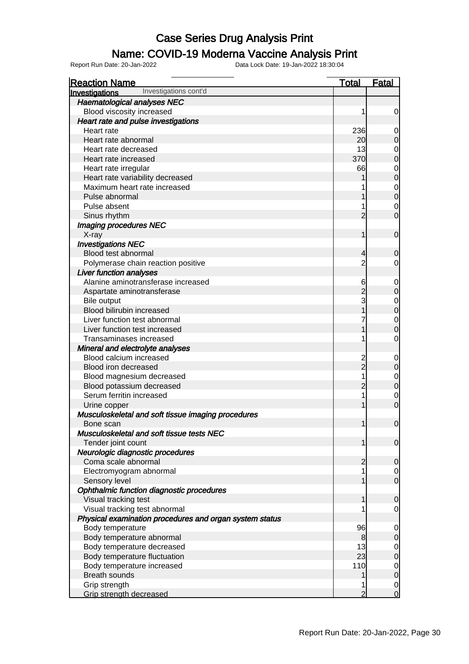#### Name: COVID-19 Moderna Vaccine Analysis Print

| <b>Reaction Name</b>                                    | Total          | <b>Fatal</b>                         |
|---------------------------------------------------------|----------------|--------------------------------------|
| Investigations cont'd<br>Investigations                 |                |                                      |
| <b>Haematological analyses NEC</b>                      |                |                                      |
| Blood viscosity increased                               |                | $\mathbf 0$                          |
| Heart rate and pulse investigations                     |                |                                      |
| Heart rate                                              | 236            | $\mathbf 0$                          |
| Heart rate abnormal                                     | 20             | $\mathbf 0$                          |
| Heart rate decreased                                    | 13             | $\mathbf 0$                          |
| Heart rate increased                                    | 370            | $\overline{0}$                       |
| Heart rate irregular                                    | 66             |                                      |
| Heart rate variability decreased                        |                | $0$<br>0                             |
| Maximum heart rate increased                            |                |                                      |
| Pulse abnormal                                          |                | $\begin{matrix}0\\0\end{matrix}$     |
| Pulse absent                                            |                | $\mathbf 0$                          |
| Sinus rhythm                                            | $\overline{2}$ | $\overline{0}$                       |
| <b>Imaging procedures NEC</b>                           |                |                                      |
| X-ray                                                   | 1              | $\mathbf 0$                          |
| <b>Investigations NEC</b>                               |                |                                      |
| Blood test abnormal                                     | 4              | $\mathbf 0$                          |
| Polymerase chain reaction positive                      | 2              | 0                                    |
| <b>Liver function analyses</b>                          |                |                                      |
| Alanine aminotransferase increased                      | 6              | $\mathbf 0$                          |
| Aspartate aminotransferase                              | $\overline{2}$ | $\overline{0}$                       |
| Bile output                                             | 3              |                                      |
| Blood bilirubin increased                               |                | $0$<br>0                             |
| Liver function test abnormal                            |                |                                      |
| Liver function test increased                           |                | $\begin{matrix}0\\0\end{matrix}$     |
| Transaminases increased                                 |                | $\mathbf 0$                          |
| Mineral and electrolyte analyses                        |                |                                      |
| Blood calcium increased                                 |                | $\mathbf 0$                          |
| Blood iron decreased                                    | $\overline{2}$ | $\overline{0}$                       |
| Blood magnesium decreased                               |                |                                      |
| Blood potassium decreased                               | $\overline{c}$ | $\begin{matrix}0\\0\end{matrix}$     |
| Serum ferritin increased                                |                | $\mathbf 0$                          |
| Urine copper                                            |                | $\overline{0}$                       |
| Musculoskeletal and soft tissue imaging procedures      |                |                                      |
| Bone scan                                               | 1              | $\mathbf 0$                          |
| Musculoskeletal and soft tissue tests NEC               |                |                                      |
| Tender joint count                                      | 1              | $\overline{0}$                       |
| Neurologic diagnostic procedures                        |                |                                      |
| Coma scale abnormal                                     | $\overline{c}$ | $\overline{0}$                       |
| Electromyogram abnormal                                 |                |                                      |
| Sensory level                                           |                | $\begin{matrix} 0 \\ 0 \end{matrix}$ |
| Ophthalmic function diagnostic procedures               |                |                                      |
| Visual tracking test                                    | 1              | $\mathbf 0$                          |
| Visual tracking test abnormal                           |                | $\overline{0}$                       |
| Physical examination procedures and organ system status |                |                                      |
| Body temperature                                        | 96             | $\overline{0}$                       |
| Body temperature abnormal                               | 8              | $\overline{0}$                       |
| Body temperature decreased                              | 13             |                                      |
| Body temperature fluctuation                            | 23             | $\begin{matrix} 0 \\ 0 \end{matrix}$ |
| Body temperature increased                              | 110            |                                      |
| <b>Breath sounds</b>                                    |                | $\begin{matrix} 0 \\ 0 \end{matrix}$ |
| Grip strength                                           |                | $\mathbf 0$                          |
| Grip strength decreased                                 | $\overline{2}$ | $\overline{0}$                       |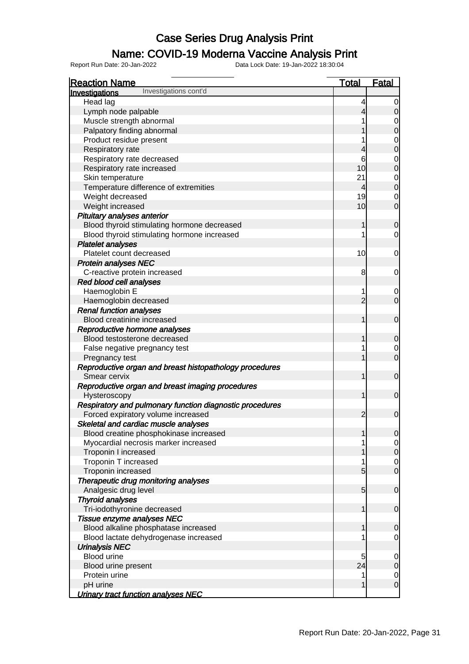### Name: COVID-19 Moderna Vaccine Analysis Print

| <b>Reaction Name</b>                                     | <b>Total</b>             | <b>Fatal</b>                         |
|----------------------------------------------------------|--------------------------|--------------------------------------|
| Investigations cont'd<br>Investigations                  |                          |                                      |
| Head lag                                                 | 4                        | 0                                    |
| Lymph node palpable                                      | 4                        | $\overline{O}$                       |
| Muscle strength abnormal                                 |                          |                                      |
| Palpatory finding abnormal                               |                          | $0\atop 0$                           |
| Product residue present                                  |                          |                                      |
| Respiratory rate                                         | 4                        | $0$<br>0                             |
| Respiratory rate decreased                               | 6                        |                                      |
| Respiratory rate increased                               | 10                       | $0$<br>0                             |
| Skin temperature                                         | 21                       |                                      |
| Temperature difference of extremities                    | $\overline{\mathcal{L}}$ | $\begin{matrix}0\\0\end{matrix}$     |
| Weight decreased                                         | 19                       | $\mathbf 0$                          |
| Weight increased                                         | 10                       | $\overline{0}$                       |
| Pituitary analyses anterior                              |                          |                                      |
| Blood thyroid stimulating hormone decreased              | 1                        |                                      |
|                                                          | 1                        | $\pmb{0}$                            |
| Blood thyroid stimulating hormone increased              |                          | $\mathbf 0$                          |
| <b>Platelet analyses</b>                                 |                          |                                      |
| Platelet count decreased                                 | 10                       | $\overline{0}$                       |
| <b>Protein analyses NEC</b>                              |                          |                                      |
| C-reactive protein increased                             | 8                        | $\overline{0}$                       |
| Red blood cell analyses                                  |                          |                                      |
| Haemoglobin E                                            | 1                        | $\mathbf 0$                          |
| Haemoglobin decreased                                    | $\overline{2}$           | $\overline{0}$                       |
| <b>Renal function analyses</b>                           |                          |                                      |
| Blood creatinine increased                               | 1                        | $\boldsymbol{0}$                     |
| Reproductive hormone analyses                            |                          |                                      |
| Blood testosterone decreased                             | 1                        | $\mathbf 0$                          |
| False negative pregnancy test                            |                          | $\overline{0}$                       |
| Pregnancy test                                           | 1                        | $\overline{0}$                       |
| Reproductive organ and breast histopathology procedures  |                          |                                      |
| Smear cervix                                             | 1                        | $\mathbf 0$                          |
| Reproductive organ and breast imaging procedures         |                          |                                      |
| Hysteroscopy                                             | 1                        | $\boldsymbol{0}$                     |
| Respiratory and pulmonary function diagnostic procedures |                          |                                      |
| Forced expiratory volume increased                       | $\overline{2}$           | $\mathbf 0$                          |
| Skeletal and cardiac muscle analyses                     |                          |                                      |
| Blood creatine phosphokinase increased                   |                          | 0                                    |
| Myocardial necrosis marker increased                     |                          |                                      |
| Troponin I increased                                     |                          | $\begin{matrix} 0 \\ 0 \end{matrix}$ |
| Troponin T increased                                     |                          | $\overline{0}$                       |
| Troponin increased                                       | 5                        | $\overline{0}$                       |
| Therapeutic drug monitoring analyses                     |                          |                                      |
| Analgesic drug level                                     | $5\overline{)}$          | $\mathbf 0$                          |
| <b>Thyroid analyses</b>                                  |                          |                                      |
| Tri-iodothyronine decreased                              | 1                        | $\mathbf 0$                          |
| Tissue enzyme analyses NEC                               |                          |                                      |
| Blood alkaline phosphatase increased                     | 1                        | $\mathbf 0$                          |
| Blood lactate dehydrogenase increased                    |                          | $\mathbf 0$                          |
| <b>Urinalysis NEC</b>                                    |                          |                                      |
| <b>Blood urine</b>                                       | 5                        | $\mathbf 0$                          |
| Blood urine present                                      | 24                       | $\pmb{0}$                            |
| Protein urine                                            | 1                        | $\mathbf 0$                          |
| pH urine                                                 | 1                        | $\overline{0}$                       |
| Urinary tract function analyses NEC                      |                          |                                      |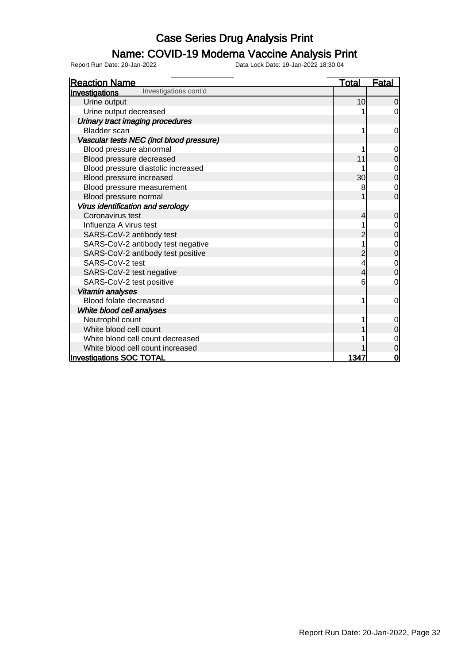### Name: COVID-19 Moderna Vaccine Analysis Print

| <b>Reaction Name</b>                     | <u>Total</u>    | <b>Fatal</b> |
|------------------------------------------|-----------------|--------------|
| Investigations cont'd<br>Investigations  |                 |              |
| Urine output                             | 10              | $\Omega$     |
| Urine output decreased                   |                 | 0            |
| Urinary tract imaging procedures         |                 |              |
| <b>Bladder</b> scan                      |                 | 0            |
| Vascular tests NEC (incl blood pressure) |                 |              |
| Blood pressure abnormal                  |                 | 0            |
| Blood pressure decreased                 | 11              | 0            |
| Blood pressure diastolic increased       |                 |              |
| Blood pressure increased                 | 30 <sup>2</sup> | 0            |
| Blood pressure measurement               |                 | $\mathbf 0$  |
| Blood pressure normal                    |                 | $\Omega$     |
| Virus identification and serology        |                 |              |
| Coronavirus test                         | 4               | 0            |
| Influenza A virus test                   |                 | 0            |
| SARS-CoV-2 antibody test                 |                 | 0            |
| SARS-CoV-2 antibody test negative        |                 | 0            |
| SARS-CoV-2 antibody test positive        | 2               | 0            |
| SARS-CoV-2 test                          | 4               | 0            |
| SARS-CoV-2 test negative                 | 4               | 0            |
| SARS-CoV-2 test positive                 | 6               | 0            |
| Vitamin analyses                         |                 |              |
| Blood folate decreased                   |                 | 0            |
| White blood cell analyses                |                 |              |
| Neutrophil count                         |                 | 0            |
| White blood cell count                   |                 | 0            |
| White blood cell count decreased         |                 |              |
| White blood cell count increased         |                 | 0            |
| <b>Investigations SOC TOTAL</b>          | 1347            | 0            |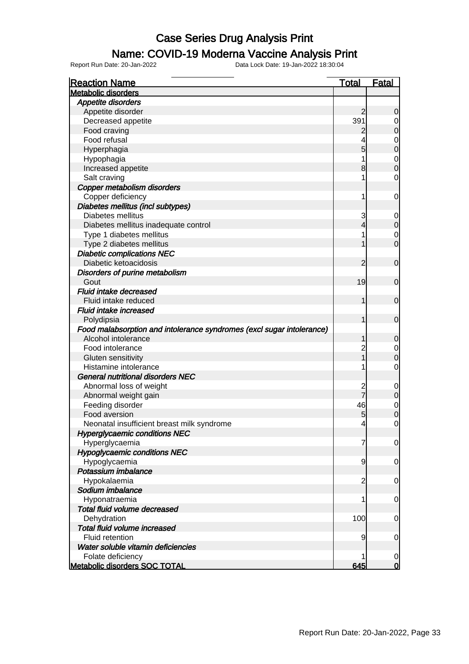### Name: COVID-19 Moderna Vaccine Analysis Print

| <b>Reaction Name</b>                                                  | <u>Total</u>   | <b>Fatal</b> |
|-----------------------------------------------------------------------|----------------|--------------|
| <b>Metabolic disorders</b>                                            |                |              |
| <b>Appetite disorders</b>                                             |                |              |
| Appetite disorder                                                     | $\overline{2}$ | 0            |
| Decreased appetite                                                    | 391            | 0            |
| Food craving                                                          | $\overline{2}$ | $\mathbf 0$  |
| Food refusal                                                          |                | $\mathbf 0$  |
| Hyperphagia                                                           | 5              | $\mathbf 0$  |
| Hypophagia                                                            |                | $\mathbf 0$  |
| Increased appetite                                                    | 8              | $\mathbf 0$  |
| Salt craving                                                          |                | $\mathbf 0$  |
| Copper metabolism disorders                                           |                |              |
| Copper deficiency                                                     | 1              | 0            |
| Diabetes mellitus (incl subtypes)                                     |                |              |
| Diabetes mellitus                                                     | 3              | 0            |
| Diabetes mellitus inadequate control                                  | 4              | $\mathbf 0$  |
| Type 1 diabetes mellitus                                              |                | $\mathbf 0$  |
| Type 2 diabetes mellitus                                              |                | $\mathbf 0$  |
| <b>Diabetic complications NEC</b>                                     |                |              |
| Diabetic ketoacidosis                                                 | 2              | $\mathbf 0$  |
| Disorders of purine metabolism                                        |                |              |
| Gout                                                                  | 19             | $\mathbf 0$  |
| Fluid intake decreased                                                |                |              |
| Fluid intake reduced                                                  | 1              | $\mathbf 0$  |
| <b>Fluid intake increased</b>                                         |                |              |
| Polydipsia                                                            | 1              | $\mathbf 0$  |
| Food malabsorption and intolerance syndromes (excl sugar intolerance) |                |              |
| Alcohol intolerance                                                   | 1              | $\mathbf 0$  |
| Food intolerance                                                      | $\overline{c}$ | $\mathbf 0$  |
| Gluten sensitivity                                                    |                | $\mathbf 0$  |
| Histamine intolerance                                                 |                | $\mathbf 0$  |
| <b>General nutritional disorders NEC</b>                              |                |              |
| Abnormal loss of weight                                               | $\overline{c}$ | 0            |
| Abnormal weight gain                                                  |                | $\mathbf 0$  |
| Feeding disorder                                                      | 46             | $\mathbf 0$  |
| Food aversion                                                         | 5              | $\mathbf 0$  |
| Neonatal insufficient breast milk syndrome                            | $\overline{4}$ | 0            |
| <b>Hyperglycaemic conditions NEC</b>                                  |                |              |
| Hyperglycaemia                                                        | 7              | 0            |
| <b>Hypoglycaemic conditions NEC</b>                                   |                |              |
| Hypoglycaemia                                                         | 9              | 0            |
| Potassium imbalance                                                   |                |              |
| Hypokalaemia                                                          | $\overline{c}$ | 0            |
| Sodium imbalance                                                      |                |              |
| Hyponatraemia                                                         | 1              | 0            |
| Total fluid volume decreased                                          |                |              |
| Dehydration                                                           | 100            | 0            |
| Total fluid volume increased                                          |                |              |
| <b>Fluid retention</b>                                                | 9              | 0            |
| Water soluble vitamin deficiencies                                    |                |              |
| Folate deficiency                                                     |                | 0            |
| <b>Metabolic disorders SOC TOTAL</b>                                  | 645            | $\bf{0}$     |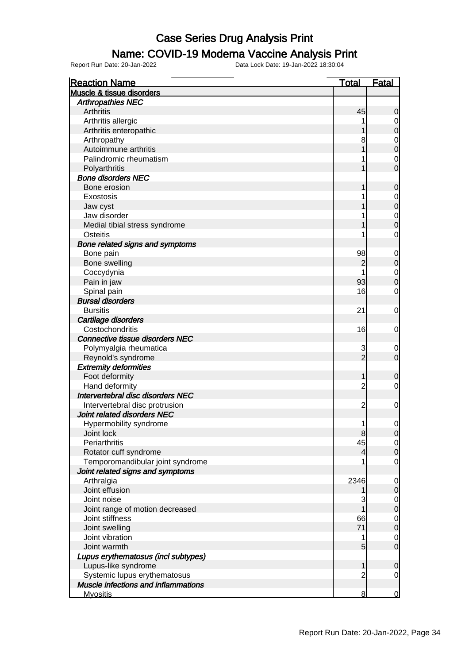#### Name: COVID-19 Moderna Vaccine Analysis Print

| <b>Reaction Name</b>                       | <u>Total</u>   | <u>Fatal</u>                         |
|--------------------------------------------|----------------|--------------------------------------|
| <b>Muscle &amp; tissue disorders</b>       |                |                                      |
| <b>Arthropathies NEC</b>                   |                |                                      |
| <b>Arthritis</b>                           | 45             | 0                                    |
| Arthritis allergic                         |                | 0                                    |
| Arthritis enteropathic                     |                | $\overline{0}$                       |
| Arthropathy                                | 8              |                                      |
| Autoimmune arthritis                       |                | $\begin{matrix}0\\0\end{matrix}$     |
| Palindromic rheumatism                     |                | $\mathbf 0$                          |
| Polyarthritis                              |                | Ō                                    |
| <b>Bone disorders NEC</b>                  |                |                                      |
| Bone erosion                               |                | 0                                    |
| Exostosis                                  |                |                                      |
| Jaw cyst                                   |                | $\begin{matrix} 0 \\ 0 \end{matrix}$ |
| Jaw disorder                               |                |                                      |
| Medial tibial stress syndrome              |                | $\begin{matrix} 0 \\ 0 \end{matrix}$ |
| Osteitis                                   |                | 0                                    |
|                                            |                |                                      |
| Bone related signs and symptoms            |                |                                      |
| Bone pain                                  | 98             | $\mathbf 0$<br>$\overline{0}$        |
| Bone swelling                              | 2              |                                      |
| Coccydynia                                 |                | $\begin{matrix}0\\0\end{matrix}$     |
| Pain in jaw                                | 93             |                                      |
| Spinal pain                                | 16             | 0                                    |
| <b>Bursal disorders</b>                    |                |                                      |
| <b>Bursitis</b>                            | 21             | 0                                    |
| Cartilage disorders                        |                |                                      |
| Costochondritis                            | 16             | 0                                    |
| Connective tissue disorders NEC            |                |                                      |
| Polymyalgia rheumatica                     | 3              | 0                                    |
| Reynold's syndrome                         | $\overline{2}$ | $\overline{0}$                       |
| <b>Extremity deformities</b>               |                |                                      |
| Foot deformity                             |                | 0                                    |
| Hand deformity                             | $\overline{c}$ | 0                                    |
| Intervertebral disc disorders NEC          |                |                                      |
| Intervertebral disc protrusion             | $\overline{c}$ | 0                                    |
| Joint related disorders NEC                |                |                                      |
| Hypermobility syndrome                     | 1              | 0                                    |
| Joint lock                                 | ୪              | <sub>0</sub>                         |
| Periarthritis                              | 45             | $\begin{matrix} 0 \\ 0 \end{matrix}$ |
| Rotator cuff syndrome                      | 4              |                                      |
| Temporomandibular joint syndrome           |                | $\mathbf 0$                          |
| Joint related signs and symptoms           |                |                                      |
| Arthralgia                                 | 2346           | $\mathbf 0$                          |
| Joint effusion                             |                | $\boldsymbol{0}$                     |
| Joint noise                                | 3              |                                      |
| Joint range of motion decreased            |                | $0\atop 0$                           |
| Joint stiffness                            | 66             |                                      |
| Joint swelling                             | 71             | $0\atop 0$                           |
| Joint vibration                            | 1              | $\mathbf 0$                          |
| Joint warmth                               | 5              | $\overline{0}$                       |
| Lupus erythematosus (incl subtypes)        |                |                                      |
| Lupus-like syndrome                        |                | 0                                    |
| Systemic lupus erythematosus               | $\overline{c}$ | $\overline{0}$                       |
| <b>Muscle infections and inflammations</b> |                |                                      |
| <b>Myositis</b>                            | 8              | $\overline{0}$                       |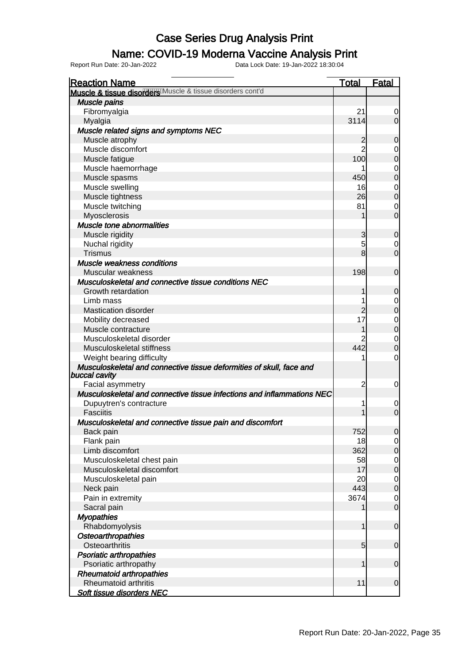### Name: COVID-19 Moderna Vaccine Analysis Print

| <b>Reaction Name</b>                                                                  | <b>Total</b>    | <b>Fatal</b>     |
|---------------------------------------------------------------------------------------|-----------------|------------------|
| Muscle & tissue disorder Muscle & tissue disorders cont'd                             |                 |                  |
| Muscle pains                                                                          |                 |                  |
| Fibromyalgia                                                                          | 21              | 0                |
| Myalgia                                                                               | 3114            | $\overline{0}$   |
| Muscle related signs and symptoms NEC                                                 |                 |                  |
| Muscle atrophy                                                                        | $\overline{c}$  | $\mathbf 0$      |
| Muscle discomfort                                                                     | $\overline{2}$  | 0                |
| Muscle fatigue                                                                        | 100             | $\boldsymbol{0}$ |
| Muscle haemorrhage                                                                    |                 | $\mathbf 0$      |
| Muscle spasms                                                                         | 450             | $\boldsymbol{0}$ |
| Muscle swelling                                                                       | 16              | $\mathbf 0$      |
| Muscle tightness                                                                      | 26              | $\mathbf 0$      |
| Muscle twitching                                                                      | 81              | $\mathbf 0$      |
| Myosclerosis                                                                          |                 | $\mathbf 0$      |
| <b>Muscle tone abnormalities</b>                                                      |                 |                  |
| Muscle rigidity                                                                       | 3               | $\mathbf 0$      |
| Nuchal rigidity                                                                       | 5               | $\mathbf 0$      |
| <b>Trismus</b>                                                                        | 8               | $\mathbf 0$      |
| Muscle weakness conditions                                                            |                 |                  |
| Muscular weakness                                                                     | 198             | $\mathbf 0$      |
| Musculoskeletal and connective tissue conditions NEC                                  |                 |                  |
| Growth retardation                                                                    | 1               | $\mathbf 0$      |
| Limb mass                                                                             |                 | $\mathbf 0$      |
| <b>Mastication disorder</b>                                                           | $\overline{c}$  | $\boldsymbol{0}$ |
| Mobility decreased                                                                    | 17              | $\mathbf 0$      |
| Muscle contracture                                                                    | 1               | $\mathbf 0$      |
| Musculoskeletal disorder                                                              |                 | $\mathbf 0$      |
| Musculoskeletal stiffness                                                             | 442             | $\mathbf 0$      |
| Weight bearing difficulty                                                             |                 | 0                |
| Musculoskeletal and connective tissue deformities of skull, face and<br>buccal cavity |                 |                  |
| Facial asymmetry                                                                      | $\overline{c}$  | 0                |
| Musculoskeletal and connective tissue infections and inflammations NEC                |                 |                  |
| Dupuytren's contracture                                                               | 1               | $\mathbf 0$      |
| <b>Fasciitis</b>                                                                      |                 | $\mathbf 0$      |
| Musculoskeletal and connective tissue pain and discomfort                             |                 |                  |
| Back pain                                                                             | 752             | $\overline{0}$   |
| Flank pain                                                                            | 18              | $\overline{0}$   |
| Limb discomfort                                                                       | 362             | $\boldsymbol{0}$ |
| Musculoskeletal chest pain                                                            | 58              | $\mathbf 0$      |
| Musculoskeletal discomfort                                                            | 17              | $\mathbf 0$      |
| Musculoskeletal pain                                                                  | 20              | $\mathbf 0$      |
| Neck pain                                                                             | 443             | $\mathbf 0$      |
| Pain in extremity                                                                     | 3674            | $\mathbf 0$      |
| Sacral pain                                                                           |                 | $\mathbf 0$      |
| <b>Myopathies</b>                                                                     |                 |                  |
| Rhabdomyolysis                                                                        | 1               | $\mathbf 0$      |
| <b>Osteoarthropathies</b>                                                             |                 |                  |
| Osteoarthritis                                                                        | $5\overline{)}$ | $\mathbf 0$      |
| <b>Psoriatic arthropathies</b>                                                        |                 |                  |
| Psoriatic arthropathy                                                                 | 1               | $\mathbf 0$      |
| <b>Rheumatoid arthropathies</b>                                                       |                 |                  |
| Rheumatoid arthritis                                                                  | 11              | $\mathbf 0$      |
| Soft tissue disorders NEC                                                             |                 |                  |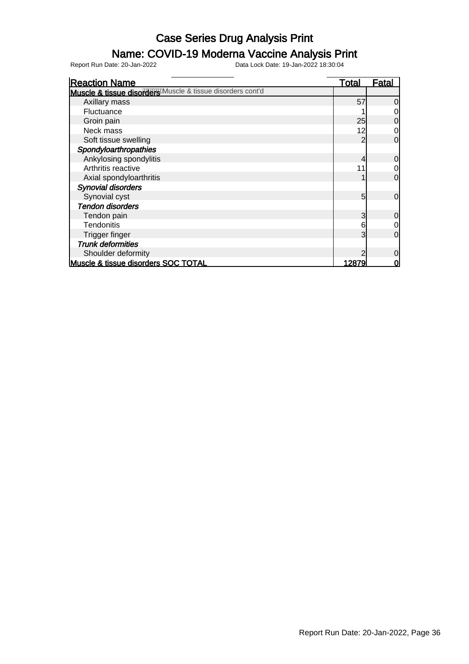#### Name: COVID-19 Moderna Vaccine Analysis Print

Report Run Date: 20-Jan-2022 Data Lock Date: 19-Jan-2022 18:30:04

Reaction Name Total Fatal **Muscle & tissue disorce we all states of the state disorders cont'd**  Axillary mass 57 0 Fluctuance 1 0<br>Groin pain 25 0 Groin pain 25 0<br>Neck mass 25 0<br>12 0 Neck mass 22 0 12 0 12 Soft tissue swelling 2 0 **Spondyloarthropathies** Ankylosing spondylitis and the contract of the contract of the contract of the contract of the contract of the contract of the contract of the contract of the contract of the contract of the contract of the contract of the Arthritis reactive 11 0 Axial spondyloarthritis and the set of the set of the set of the set of the set of the set of the set of the set of the set of the set of the set of the set of the set of the set of the set of the set of the set of the set Synovial disorders Synovial cyst 5 0 Tendon disorders Tendon pain and the set of the set of the set of the set of the set of the set of the set of the set of the set of the set of the set of the set of the set of the set of the set of the set of the set of the set of the set Tendonitis and the contract of the contract of the contract of the contract of the contract of the contract of the contract of the contract of the contract of the contract of the contract of the contract of the contract of Trigger finger Trunk deformities Shoulder deformity<br>
Shoulder deformity<br>
Scie & tissue disorders SOC TOTAL<br>
0 Muscle & tissue disorders SOC TOTAL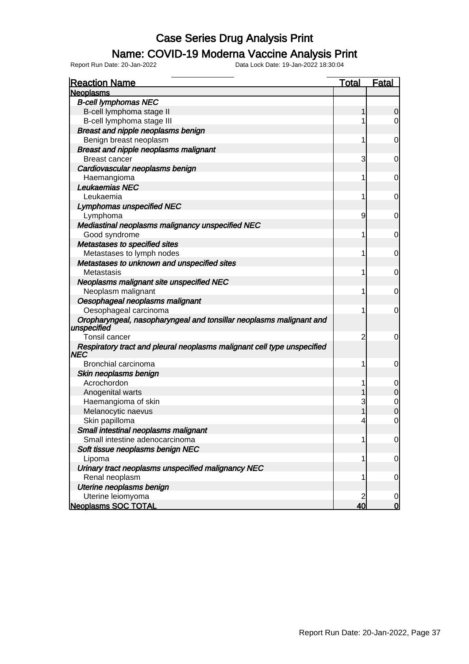#### Name: COVID-19 Moderna Vaccine Analysis Print

| <b>Reaction Name</b>                                                               | <b>Total</b> | <b>Fatal</b>   |
|------------------------------------------------------------------------------------|--------------|----------------|
| <b>Neoplasms</b>                                                                   |              |                |
| <b>B-cell lymphomas NEC</b>                                                        |              |                |
| B-cell lymphoma stage II                                                           | 1            | 0              |
| B-cell lymphoma stage III                                                          | 1            | 0              |
| Breast and nipple neoplasms benign                                                 |              |                |
| Benign breast neoplasm                                                             | 1            | 0              |
| Breast and nipple neoplasms malignant                                              |              |                |
| <b>Breast cancer</b>                                                               | 3            | 0              |
| Cardiovascular neoplasms benign                                                    |              |                |
| Haemangioma                                                                        | 1            | 0              |
| Leukaemias NEC                                                                     |              |                |
| Leukaemia                                                                          | 1            | 0              |
| <b>Lymphomas unspecified NEC</b>                                                   |              |                |
| Lymphoma                                                                           | 9            | 0              |
| Mediastinal neoplasms malignancy unspecified NEC                                   |              |                |
| Good syndrome                                                                      | 1            | 0              |
| Metastases to specified sites                                                      |              |                |
| Metastases to lymph nodes                                                          | 1            | 0              |
| Metastases to unknown and unspecified sites                                        |              |                |
| Metastasis                                                                         | 1            | 0              |
| Neoplasms malignant site unspecified NEC                                           |              |                |
| Neoplasm malignant                                                                 | 1            | 0              |
| Oesophageal neoplasms malignant                                                    |              |                |
| Oesophageal carcinoma                                                              | 1            | 0              |
| Oropharyngeal, nasopharyngeal and tonsillar neoplasms malignant and<br>unspecified |              |                |
| Tonsil cancer                                                                      | 2            | 0              |
| Respiratory tract and pleural neoplasms malignant cell type unspecified<br>INEC    |              |                |
| Bronchial carcinoma                                                                | 1            | 0              |
| Skin neoplasms benign                                                              |              |                |
| Acrochordon                                                                        |              | 0              |
| Anogenital warts                                                                   |              | $\overline{0}$ |
| Haemangioma of skin                                                                | 3            | $\mathbf 0$    |
| Melanocytic naevus                                                                 |              | $\mathbf 0$    |
| Skin papilloma                                                                     | 4            | 0              |
| Small intestinal neoplasms malignant                                               |              |                |
| Small intestine adenocarcinoma                                                     | 1            | $\overline{0}$ |
| Soft tissue neoplasms benign NEC                                                   |              |                |
| Lipoma                                                                             | 1            | $\overline{0}$ |
| Urinary tract neoplasms unspecified malignancy NEC                                 |              |                |
| Renal neoplasm                                                                     | 1            | $\overline{0}$ |
| Uterine neoplasms benign                                                           |              |                |
| Uterine leiomyoma                                                                  |              | 0              |
| <b>Neoplasms SOC TOTAL</b>                                                         | 40           | $\mathbf 0$    |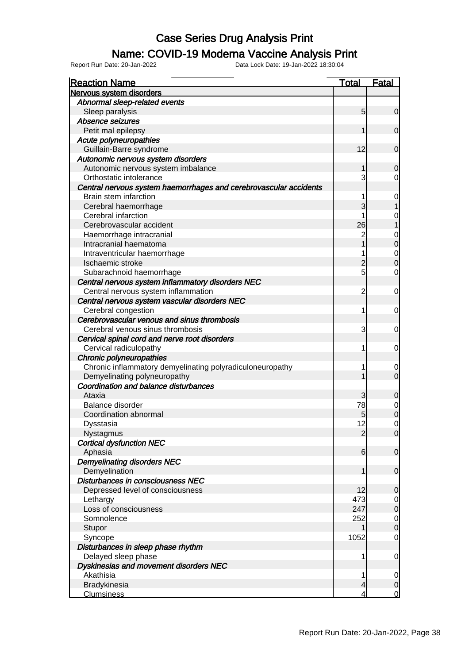#### Name: COVID-19 Moderna Vaccine Analysis Print

| Nervous system disorders<br>Abnormal sleep-related events<br>5<br>Sleep paralysis<br>Absence seizures<br>Petit mal epilepsy<br>1<br>Acute polyneuropathies<br>12<br>Guillain-Barre syndrome<br>Autonomic nervous system disorders<br>Autonomic nervous system imbalance<br>1<br>3<br>Orthostatic intolerance<br>Central nervous system haemorrhages and cerebrovascular accidents<br>Brain stem infarction<br>1<br>3<br>Cerebral haemorrhage<br>Cerebral infarction<br>1 | $\overline{0}$<br>$\overline{0}$<br>$\overline{0}$<br>$\overline{0}$<br>$\overline{0}$<br>$\mathbf 0$<br>0<br>$\mathbf 0$<br>$\overline{0}$ |
|--------------------------------------------------------------------------------------------------------------------------------------------------------------------------------------------------------------------------------------------------------------------------------------------------------------------------------------------------------------------------------------------------------------------------------------------------------------------------|---------------------------------------------------------------------------------------------------------------------------------------------|
|                                                                                                                                                                                                                                                                                                                                                                                                                                                                          |                                                                                                                                             |
|                                                                                                                                                                                                                                                                                                                                                                                                                                                                          |                                                                                                                                             |
|                                                                                                                                                                                                                                                                                                                                                                                                                                                                          |                                                                                                                                             |
|                                                                                                                                                                                                                                                                                                                                                                                                                                                                          |                                                                                                                                             |
|                                                                                                                                                                                                                                                                                                                                                                                                                                                                          |                                                                                                                                             |
|                                                                                                                                                                                                                                                                                                                                                                                                                                                                          |                                                                                                                                             |
|                                                                                                                                                                                                                                                                                                                                                                                                                                                                          |                                                                                                                                             |
|                                                                                                                                                                                                                                                                                                                                                                                                                                                                          |                                                                                                                                             |
|                                                                                                                                                                                                                                                                                                                                                                                                                                                                          |                                                                                                                                             |
|                                                                                                                                                                                                                                                                                                                                                                                                                                                                          |                                                                                                                                             |
|                                                                                                                                                                                                                                                                                                                                                                                                                                                                          |                                                                                                                                             |
|                                                                                                                                                                                                                                                                                                                                                                                                                                                                          |                                                                                                                                             |
|                                                                                                                                                                                                                                                                                                                                                                                                                                                                          |                                                                                                                                             |
|                                                                                                                                                                                                                                                                                                                                                                                                                                                                          |                                                                                                                                             |
| 26<br>Cerebrovascular accident                                                                                                                                                                                                                                                                                                                                                                                                                                           |                                                                                                                                             |
| Haemorrhage intracranial<br>$\overline{c}$                                                                                                                                                                                                                                                                                                                                                                                                                               |                                                                                                                                             |
| 1<br>Intracranial haematoma                                                                                                                                                                                                                                                                                                                                                                                                                                              |                                                                                                                                             |
| Intraventricular haemorrhage<br>1                                                                                                                                                                                                                                                                                                                                                                                                                                        |                                                                                                                                             |
| $\overline{c}$<br>Ischaemic stroke                                                                                                                                                                                                                                                                                                                                                                                                                                       | $\begin{matrix} 0 \\ 0 \end{matrix}$                                                                                                        |
| 5<br>Subarachnoid haemorrhage                                                                                                                                                                                                                                                                                                                                                                                                                                            | $\overline{0}$                                                                                                                              |
| Central nervous system inflammatory disorders NEC                                                                                                                                                                                                                                                                                                                                                                                                                        |                                                                                                                                             |
| Central nervous system inflammation<br>$\overline{c}$                                                                                                                                                                                                                                                                                                                                                                                                                    | $\mathbf 0$                                                                                                                                 |
| Central nervous system vascular disorders NEC                                                                                                                                                                                                                                                                                                                                                                                                                            |                                                                                                                                             |
| Cerebral congestion<br>1                                                                                                                                                                                                                                                                                                                                                                                                                                                 | $\mathbf 0$                                                                                                                                 |
| Cerebrovascular venous and sinus thrombosis                                                                                                                                                                                                                                                                                                                                                                                                                              |                                                                                                                                             |
| Cerebral venous sinus thrombosis<br>3                                                                                                                                                                                                                                                                                                                                                                                                                                    | $\mathbf 0$                                                                                                                                 |
| Cervical spinal cord and nerve root disorders                                                                                                                                                                                                                                                                                                                                                                                                                            |                                                                                                                                             |
| Cervical radiculopathy<br>1                                                                                                                                                                                                                                                                                                                                                                                                                                              | $\mathbf 0$                                                                                                                                 |
| Chronic polyneuropathies                                                                                                                                                                                                                                                                                                                                                                                                                                                 |                                                                                                                                             |
| Chronic inflammatory demyelinating polyradiculoneuropathy<br>1                                                                                                                                                                                                                                                                                                                                                                                                           | $\overline{0}$                                                                                                                              |
| Demyelinating polyneuropathy<br>1                                                                                                                                                                                                                                                                                                                                                                                                                                        | $\overline{O}$                                                                                                                              |
| Coordination and balance disturbances                                                                                                                                                                                                                                                                                                                                                                                                                                    |                                                                                                                                             |
| Ataxia<br>3                                                                                                                                                                                                                                                                                                                                                                                                                                                              | 0                                                                                                                                           |
| Balance disorder<br>78                                                                                                                                                                                                                                                                                                                                                                                                                                                   |                                                                                                                                             |
| Coordination abnormal<br>5                                                                                                                                                                                                                                                                                                                                                                                                                                               | $\begin{matrix} 0 \\ 0 \end{matrix}$                                                                                                        |
| 12<br>Dysstasia                                                                                                                                                                                                                                                                                                                                                                                                                                                          | $\mathbf 0$                                                                                                                                 |
| Nystagmus<br>$\overline{2}$                                                                                                                                                                                                                                                                                                                                                                                                                                              | 0                                                                                                                                           |
| <b>Cortical dysfunction NEC</b>                                                                                                                                                                                                                                                                                                                                                                                                                                          |                                                                                                                                             |
| Aphasia<br>$6 \mid$                                                                                                                                                                                                                                                                                                                                                                                                                                                      | $\overline{0}$                                                                                                                              |
| <b>Demyelinating disorders NEC</b>                                                                                                                                                                                                                                                                                                                                                                                                                                       |                                                                                                                                             |
| Demyelination<br>1                                                                                                                                                                                                                                                                                                                                                                                                                                                       | $\mathbf 0$                                                                                                                                 |
| Disturbances in consciousness NEC                                                                                                                                                                                                                                                                                                                                                                                                                                        |                                                                                                                                             |
| 12<br>Depressed level of consciousness                                                                                                                                                                                                                                                                                                                                                                                                                                   | $\mathbf 0$                                                                                                                                 |
| 473<br>Lethargy                                                                                                                                                                                                                                                                                                                                                                                                                                                          |                                                                                                                                             |
| Loss of consciousness<br>247                                                                                                                                                                                                                                                                                                                                                                                                                                             | $\begin{matrix} 0 \\ 0 \end{matrix}$                                                                                                        |
| 252<br>Somnolence                                                                                                                                                                                                                                                                                                                                                                                                                                                        |                                                                                                                                             |
| Stupor                                                                                                                                                                                                                                                                                                                                                                                                                                                                   | $\begin{matrix} 0 \\ 0 \end{matrix}$                                                                                                        |
| 1052                                                                                                                                                                                                                                                                                                                                                                                                                                                                     | $\mathbf 0$                                                                                                                                 |
| Syncope                                                                                                                                                                                                                                                                                                                                                                                                                                                                  |                                                                                                                                             |
| Disturbances in sleep phase rhythm                                                                                                                                                                                                                                                                                                                                                                                                                                       |                                                                                                                                             |
| Delayed sleep phase<br>1                                                                                                                                                                                                                                                                                                                                                                                                                                                 | $\overline{0}$                                                                                                                              |
| Dyskinesias and movement disorders NEC                                                                                                                                                                                                                                                                                                                                                                                                                                   |                                                                                                                                             |
| Akathisia<br>1                                                                                                                                                                                                                                                                                                                                                                                                                                                           | $\overline{0}$                                                                                                                              |
| Bradykinesia<br>4<br><b>Clumsiness</b><br>4                                                                                                                                                                                                                                                                                                                                                                                                                              | $\pmb{0}$<br>$\overline{0}$                                                                                                                 |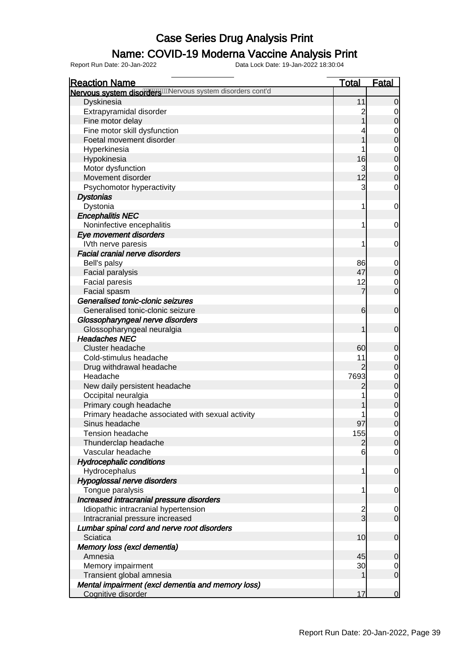### Name: COVID-19 Moderna Vaccine Analysis Print

| <b>Reaction Name</b>                                        | <u>Total</u>    | <u>Fatal</u>   |
|-------------------------------------------------------------|-----------------|----------------|
| Nervous system disorder with rivous system disorders cont'd |                 |                |
| Dyskinesia                                                  | 11              |                |
| Extrapyramidal disorder                                     |                 |                |
| Fine motor delay                                            |                 | 0              |
| Fine motor skill dysfunction                                |                 | 0              |
| Foetal movement disorder                                    |                 | 0              |
| Hyperkinesia                                                |                 | 0              |
| Hypokinesia                                                 | 16              | 0              |
| Motor dysfunction                                           | 3               | 0              |
| Movement disorder                                           | 12              | 0              |
| Psychomotor hyperactivity                                   | 3               | 0              |
| <b>Dystonias</b>                                            |                 |                |
| Dystonia                                                    | 1               | 0              |
| <b>Encephalitis NEC</b>                                     |                 |                |
| Noninfective encephalitis                                   | 1               | 0              |
| Eye movement disorders                                      |                 |                |
| IVth nerve paresis                                          | 1               | 0              |
| <b>Facial cranial nerve disorders</b>                       |                 |                |
| Bell's palsy                                                | 86              |                |
| Facial paralysis                                            | 47              | 0<br>0         |
| <b>Facial paresis</b>                                       | 12              | 0              |
| Facial spasm                                                | 7               | 0              |
| Generalised tonic-clonic seizures                           |                 |                |
| Generalised tonic-clonic seizure                            | 6               |                |
|                                                             |                 | 0              |
| Glossopharyngeal nerve disorders                            |                 |                |
| Glossopharyngeal neuralgia                                  |                 | 0              |
| <b>Headaches NEC</b>                                        |                 |                |
| Cluster headache                                            | 60              | 0              |
| Cold-stimulus headache                                      | 11              | 0              |
| Drug withdrawal headache                                    | 2               | 0              |
| Headache                                                    | 7693            | $\mathbf 0$    |
| New daily persistent headache                               | 2               | 0              |
| Occipital neuralgia                                         |                 | $\mathbf 0$    |
| Primary cough headache                                      |                 | 0              |
| Primary headache associated with sexual activity            |                 | $\mathbf 0$    |
| Sinus headache                                              | 97              | 0              |
| Tension headache                                            | 155             | $\cup$         |
| Thunderclap headache                                        | 2               | $\overline{0}$ |
| Vascular headache                                           | 6               | 0              |
| <b>Hydrocephalic conditions</b>                             |                 |                |
| Hydrocephalus                                               | 1               | 0              |
| Hypoglossal nerve disorders                                 |                 |                |
| Tongue paralysis                                            | 1               | 0              |
| Increased intracranial pressure disorders                   |                 |                |
| Idiopathic intracranial hypertension                        | $\frac{2}{3}$   | 0              |
| Intracranial pressure increased                             |                 | $\mathbf 0$    |
| Lumbar spinal cord and nerve root disorders                 |                 |                |
| Sciatica                                                    | 10              | $\mathbf 0$    |
| Memory loss (excl dementia)                                 |                 |                |
| Amnesia                                                     | 45              | 0              |
| Memory impairment                                           | 30 <sup>2</sup> | $\mathbf 0$    |
| Transient global amnesia                                    |                 | $\overline{0}$ |
| Mental impairment (excl dementia and memory loss)           |                 |                |
| Cognitive disorder                                          | 17              | $\overline{0}$ |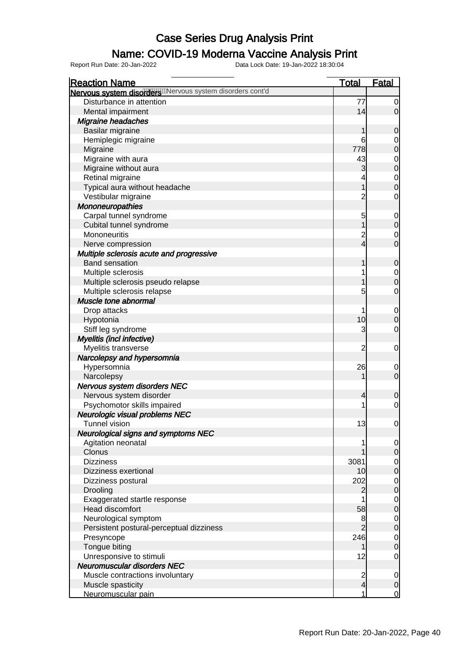### Name: COVID-19 Moderna Vaccine Analysis Print

| <b>Reaction Name</b>                                        | <b>Total</b>            | <b>Fatal</b>                     |
|-------------------------------------------------------------|-------------------------|----------------------------------|
| Nervous system disorder will revous system disorders cont'd |                         |                                  |
| Disturbance in attention                                    | 77                      | 0                                |
| Mental impairment                                           | 14                      | 0                                |
| <b>Migraine headaches</b>                                   |                         |                                  |
| Basilar migraine                                            | 1                       | 0                                |
| Hemiplegic migraine                                         | 6                       | 0                                |
| Migraine                                                    | 778                     | $\mathbf 0$                      |
| Migraine with aura                                          | 43                      | $\mathbf{0}$                     |
| Migraine without aura                                       | 3                       | $\overline{0}$                   |
| Retinal migraine                                            | 4                       |                                  |
| Typical aura without headache                               | 1                       | $\begin{matrix}0\\0\end{matrix}$ |
| Vestibular migraine                                         | $\overline{2}$          | $\mathbf 0$                      |
| Mononeuropathies                                            |                         |                                  |
| Carpal tunnel syndrome                                      | 5                       | $\mathbf 0$                      |
| Cubital tunnel syndrome                                     | 1                       | $\boldsymbol{0}$                 |
| Mononeuritis                                                | $\overline{c}$          | $\mathbf 0$                      |
| Nerve compression                                           | $\overline{4}$          | $\mathbf 0$                      |
| Multiple sclerosis acute and progressive                    |                         |                                  |
| <b>Band sensation</b>                                       |                         | 0                                |
| Multiple sclerosis                                          | 1                       | $\mathbf 0$                      |
| Multiple sclerosis pseudo relapse                           |                         | $\overline{0}$                   |
| Multiple sclerosis relapse                                  | 5                       | 0                                |
| Muscle tone abnormal                                        |                         |                                  |
| Drop attacks                                                | 1                       | $\mathbf 0$                      |
| Hypotonia                                                   | 10 <sup>1</sup>         | $\Omega$                         |
| Stiff leg syndrome                                          | 3                       | 0                                |
| Myelitis (incl infective)                                   |                         |                                  |
| Myelitis transverse                                         | 2                       | 0                                |
| Narcolepsy and hypersomnia                                  |                         |                                  |
| Hypersomnia                                                 | 26                      | $\mathbf 0$                      |
| Narcolepsy                                                  | 1                       | $\mathbf 0$                      |
| Nervous system disorders NEC                                |                         |                                  |
| Nervous system disorder                                     | 4                       | 0                                |
| Psychomotor skills impaired                                 | 1                       | 0                                |
| Neurologic visual problems NEC                              |                         |                                  |
| <b>Tunnel vision</b>                                        | 13                      | $\mathbf 0$                      |
| <b>Neurological signs and symptoms NEC</b>                  |                         |                                  |
| Agitation neonatal                                          | 1                       | $\overline{0}$                   |
| Clonus                                                      |                         | 0                                |
| <b>Dizziness</b>                                            | 3081                    | $\mathbf 0$                      |
| Dizziness exertional                                        | 10 <sup>1</sup>         | $\overline{0}$                   |
| Dizziness postural                                          | 202                     | $\mathbf 0$                      |
| Drooling                                                    | 2                       | $\mathbf 0$                      |
| Exaggerated startle response                                |                         | $\mathbf 0$                      |
| <b>Head discomfort</b>                                      | 58                      | $\mathbf 0$                      |
| Neurological symptom                                        | 8                       | $\mathbf 0$                      |
| Persistent postural-perceptual dizziness                    |                         | $\mathbf 0$                      |
| Presyncope                                                  | 246                     | $\mathbf 0$                      |
| Tongue biting                                               | 1                       | $\mathbf 0$                      |
| Unresponsive to stimuli                                     | 12                      | $\mathbf 0$                      |
| Neuromuscular disorders NEC                                 |                         |                                  |
| Muscle contractions involuntary                             | $\overline{\mathbf{c}}$ | $\mathbf 0$                      |
| Muscle spasticity                                           | $\overline{4}$          | $\mathbf 0$                      |
| Neuromuscular pain                                          | 1                       | $\mathbf 0$                      |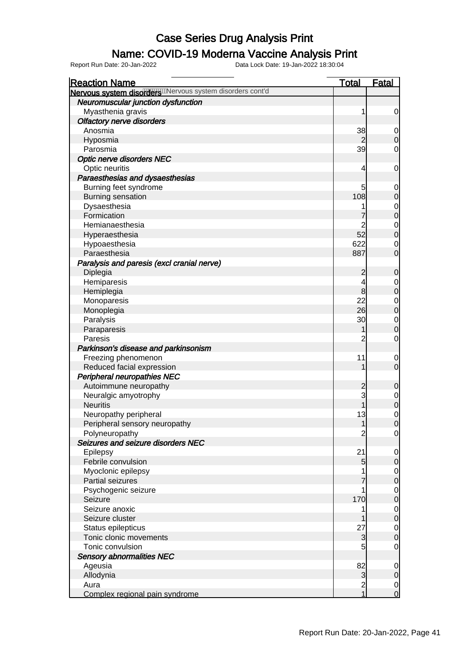### Name: COVID-19 Moderna Vaccine Analysis Print

| <b>Reaction Name</b>                                      | <b>Total</b>                          | <b>Fatal</b>                         |
|-----------------------------------------------------------|---------------------------------------|--------------------------------------|
| Nervous system disorder wike rous system disorders cont'd |                                       |                                      |
| Neuromuscular junction dysfunction                        |                                       |                                      |
| Myasthenia gravis                                         | 1                                     | $\overline{0}$                       |
| <b>Olfactory nerve disorders</b>                          |                                       |                                      |
| Anosmia                                                   | 38                                    | $\overline{0}$                       |
| Hyposmia                                                  |                                       | $\overline{0}$                       |
| Parosmia                                                  | 39                                    | $\mathbf 0$                          |
| <b>Optic nerve disorders NEC</b>                          |                                       |                                      |
| Optic neuritis                                            | 4                                     | $\mathbf 0$                          |
| Paraesthesias and dysaesthesias                           |                                       |                                      |
| Burning feet syndrome                                     | 5                                     | $\mathbf{0}$                         |
| <b>Burning sensation</b>                                  | 108                                   | $\mathbf{0}$                         |
| Dysaesthesia                                              | 1                                     |                                      |
| Formication                                               |                                       | $\begin{matrix}0\\0\end{matrix}$     |
| Hemianaesthesia                                           |                                       | $\begin{matrix} 0 \\ 0 \end{matrix}$ |
| Hyperaesthesia                                            | 52                                    |                                      |
| Hypoaesthesia                                             | 622                                   | $\begin{matrix}0\\0\end{matrix}$     |
| Paraesthesia                                              | 887                                   |                                      |
| Paralysis and paresis (excl cranial nerve)                |                                       |                                      |
| Diplegia                                                  | $\overline{c}$                        | $\mathbf 0$                          |
| Hemiparesis                                               | 4                                     | $\begin{matrix}0\\0\end{matrix}$     |
| Hemiplegia                                                | 8                                     |                                      |
| Monoparesis                                               | 22                                    |                                      |
| Monoplegia                                                | 26                                    | $0$ 0                                |
| Paralysis                                                 | 30                                    | $\begin{matrix}0\\0\end{matrix}$     |
| Paraparesis                                               | 1                                     |                                      |
| Paresis                                                   | $\overline{2}$                        | $\mathbf 0$                          |
| Parkinson's disease and parkinsonism                      |                                       |                                      |
| Freezing phenomenon                                       | 11                                    | $\boldsymbol{0}$                     |
| Reduced facial expression                                 | 1                                     | $\overline{0}$                       |
| Peripheral neuropathies NEC                               |                                       |                                      |
| Autoimmune neuropathy                                     | $\overline{\mathbf{c}}$               | $\mathbf 0$                          |
| Neuralgic amyotrophy                                      | 3                                     | $\begin{matrix}0\\0\end{matrix}$     |
| <b>Neuritis</b>                                           | 1                                     |                                      |
| Neuropathy peripheral                                     | 13                                    | $\begin{matrix} 0 \\ 0 \end{matrix}$ |
| Peripheral sensory neuropathy                             | 1                                     |                                      |
| Polyneuropathy                                            | $\overline{c}$                        | $\overline{0}$                       |
| Seizures and seizure disorders NEC                        |                                       |                                      |
| Epilepsy                                                  | 21                                    | $\overline{0}$                       |
| Febrile convulsion                                        | 5                                     | $\mathbf 0$                          |
| Myoclonic epilepsy                                        | 1                                     | $\begin{matrix} 0 \\ 0 \end{matrix}$ |
| Partial seizures                                          | 7                                     |                                      |
| Psychogenic seizure                                       | 1                                     | $\begin{matrix}0\\0\end{matrix}$     |
| Seizure                                                   | 170                                   |                                      |
| Seizure anoxic                                            | 1                                     | $\begin{matrix} 0 \\ 0 \end{matrix}$ |
| Seizure cluster                                           |                                       |                                      |
| Status epilepticus                                        | 27                                    | $\begin{matrix}0\\0\end{matrix}$     |
| Tonic clonic movements                                    | 3                                     |                                      |
| Tonic convulsion                                          | 5                                     | $\overline{0}$                       |
| <b>Sensory abnormalities NEC</b>                          |                                       |                                      |
| Ageusia                                                   | 82                                    | $\boldsymbol{0}$                     |
| Allodynia                                                 | 3                                     | $\overline{0}$                       |
| Aura                                                      | $\begin{array}{c} 2 \\ 1 \end{array}$ | $\frac{0}{0}$                        |
| Complex regional pain syndrome                            |                                       |                                      |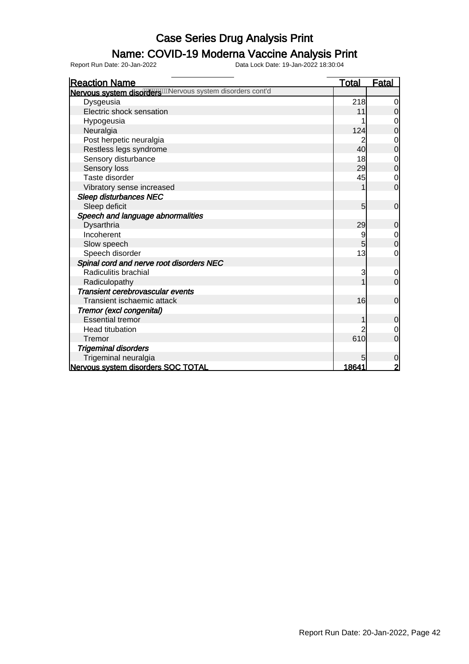#### Name: COVID-19 Moderna Vaccine Analysis Print

Report Run Date: 20-Jan-2022 Data Lock Date: 19-Jan-2022 18:30:04

Reaction Name Total Fatal Nervous system disorders Mervous system disorders cont'd Dysgeusia and Dysgeusia and Dysgeusia and Dysgeusia and Dysgeusia and Dysgeusia and Dysgeusia and Dysgeusia and D Electric shock sensation 11 0<br>Hypogeusia 1 0 Hypogeusia 1 0<br>Neuralgia 1 0<br>Neuralgia 124 0 Neuralgia 124 0 Post herpetic neuralgia and the set of the set of the set of the set of the set of the set of the set of the set of the set of the set of the set of the set of the set of the set of the set of the set of the set of the set Restless legs syndrome 1999 and 1999 and 1999 and 1999 and 1999 and 1999 and 1999 and 1999 and 1999 and 1999 and 1999 and 1999 and 1999 and 1999 and 1999 and 1999 and 1999 and 1999 and 1999 and 1999 and 1999 and 1999 and 1 Sensory disturbance 18 0 18 Sensory loss 29 0 Taste disorder and the contract of the contract of the contract of the contract of the contract of the contract of the contract of the contract of the contract of the contract of the contract of the contract of the contrac Vibratory sense increased 1 0 Sleep disturbances NEC Sleep deficit 5 0 Speech and language abnormalities Dysarthria 29 0<br>Incoherent 9 0 Incoherent 9 0<br>Slow speech 5 0 Slow speech and the state of the state of the state of the state of the state of the state of the state of the state of the state of the state of the state of the state of the state of the state of the state of the state o Speech disorder 13 0 13 Spinal cord and nerve root disorders NEC Analiculitis brachial and the set of the set of the set of the set of the set of the set of the set of the set of the set of the set of the set of the set of the set of the set of the set of the set of the set of the set o Radiculopathy 1 0 Transient cerebrovascular events Transient ischaemic attack 16 0 Tremor (excl congenital) Essential tremor and the contract of the contract of the contract of the contract of the contract of the contract of the contract of the contract of the contract of the contract of the contract of the contract of the contr Head titubation and the contract of the contract of the contract of the contract of the contract of the contract of the contract of the contract of the contract of the contract of the contract of the contract of the contra Tremor 610 0 Trigeminal disorders Trigeminal neuralgia et al. 2003;<br> **Trigeminal neuralgia 5 000 TOTAL**<br> **Trigeminal disorders SOC TOTAL** Nervous system disorders SOC TOTAL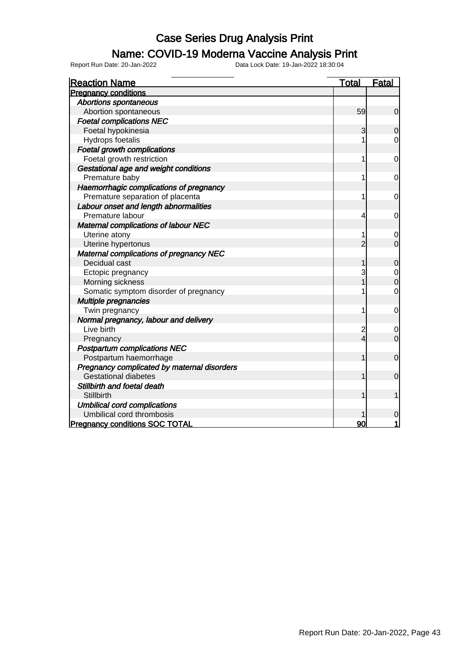### Name: COVID-19 Moderna Vaccine Analysis Print

| <b>Reaction Name</b>                           | <b>Total</b>   | <b>Fatal</b>   |
|------------------------------------------------|----------------|----------------|
| <b>Pregnancy conditions</b>                    |                |                |
| <b>Abortions spontaneous</b>                   |                |                |
| Abortion spontaneous                           | 59             | $\overline{0}$ |
| <b>Foetal complications NEC</b>                |                |                |
| Foetal hypokinesia                             | 3              | $\mathbf 0$    |
| Hydrops foetalis                               |                | $\overline{0}$ |
| <b>Foetal growth complications</b>             |                |                |
| Foetal growth restriction                      | 1              | 0              |
| Gestational age and weight conditions          |                |                |
| Premature baby                                 | 1              | 0              |
| Haemorrhagic complications of pregnancy        |                |                |
| Premature separation of placenta               | 1              | 0              |
| Labour onset and length abnormalities          |                |                |
| Premature labour                               | 4              | 0              |
| Maternal complications of labour NEC           |                |                |
| Uterine atony                                  |                | 0              |
| Uterine hypertonus                             | $\overline{2}$ | $\overline{0}$ |
| <b>Maternal complications of pregnancy NEC</b> |                |                |
| Decidual cast                                  |                | $\mathbf 0$    |
| Ectopic pregnancy                              | 3              | $\mathbf 0$    |
| Morning sickness                               |                | $\mathbf 0$    |
| Somatic symptom disorder of pregnancy          | 1              | $\mathbf 0$    |
| <b>Multiple pregnancies</b>                    |                |                |
| Twin pregnancy                                 | 1              | 0              |
| Normal pregnancy, labour and delivery          |                |                |
| Live birth                                     | $\overline{c}$ | 0              |
| Pregnancy                                      | 4              | $\mathbf 0$    |
| <b>Postpartum complications NEC</b>            |                |                |
| Postpartum haemorrhage                         |                | $\mathbf 0$    |
| Pregnancy complicated by maternal disorders    |                |                |
| <b>Gestational diabetes</b>                    |                | $\mathbf 0$    |
| Stillbirth and foetal death                    |                |                |
| <b>Stillbirth</b>                              |                |                |
| <b>Umbilical cord complications</b>            |                |                |
| Umbilical cord thrombosis                      |                | 0              |
| <b>Pregnancy conditions SOC TOTAL</b>          | 90             |                |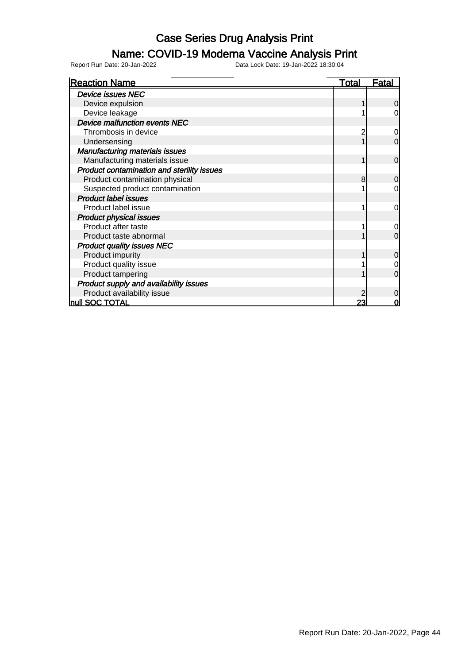### Name: COVID-19 Moderna Vaccine Analysis Print

| <b>Reaction Name</b>                       | <u>Total</u> | <u>Fatal</u>   |
|--------------------------------------------|--------------|----------------|
| <b>Device issues NEC</b>                   |              |                |
| Device expulsion                           |              | $\Omega$       |
| Device leakage                             |              | 0              |
| Device malfunction events NEC              |              |                |
| Thrombosis in device                       |              | 0              |
| Undersensing                               |              | $\mathbf 0$    |
| <b>Manufacturing materials issues</b>      |              |                |
| Manufacturing materials issue              |              | $\mathbf 0$    |
| Product contamination and sterility issues |              |                |
| Product contamination physical             | 8            | $\mathbf 0$    |
| Suspected product contamination            |              | 0              |
| <b>Product label issues</b>                |              |                |
| Product label issue                        |              | 0              |
| <b>Product physical issues</b>             |              |                |
| Product after taste                        |              | $\overline{0}$ |
| Product taste abnormal                     |              | $\mathbf 0$    |
| <b>Product quality issues NEC</b>          |              |                |
| Product impurity                           |              | $\mathbf 0$    |
| Product quality issue                      |              | 0              |
| Product tampering                          |              | $\overline{0}$ |
| Product supply and availability issues     |              |                |
| Product availability issue                 |              | 0              |
| null SOC TOTAL                             | <u> 23</u>   | $\bf{0}$       |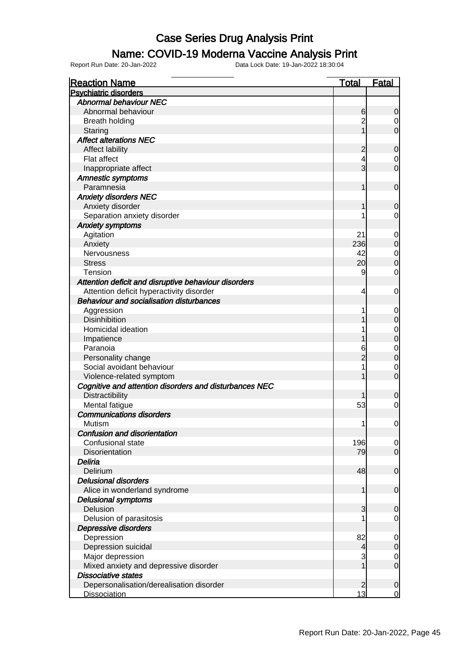#### Name: COVID-19 Moderna Vaccine Analysis Print

Report Run Date: 20-Jan-2022 Data Lock Date: 19-Jan-2022 18:30:04

Reaction Name Total Fatal Psychiatric disorders Abnormal behaviour NEC Abnormal behaviour and the contract of the contract of the contract of the contract of the contract of the contract of the contract of the contract of the contract of the contract of the contract of the contract of the con Breath holding **2** 0 Staring the control of the control of the control of the control of the control of the control of the control o Affect alterations NEC Affect lability and the contract of the contract of the contract of the contract of the contract of the contract of the contract of the contract of the contract of the contract of the contract of the contract of the contra Flat affect  $\begin{vmatrix} 4 & 0 \end{vmatrix}$  Inappropriate affect 3 0 Amnestic symptoms Paramnesia 1 0 Anxiety disorders NEC Anxiety disorder 1 0 Separation anxiety disorder 1 0 Anxiety symptoms Agitation 21 0 Anxiety 236 0 Nervousness 1988 and 2008 and 2008 and 2008 and 2008 and 2008 and 2008 and 2008 and 2008 and 2008 and 2008 and 200 Stress 20 0 Tension 9 0 Attention deficit and disruptive behaviour disorders Attention deficit hyperactivity disorder 4 0 Behaviour and socialisation disturbances Aggression 1 0 Disinhibition 1 0 Homicidal ideation and the set of the set of the set of the set of the set of the set of the set of the set of the set of the set of the set of the set of the set of the set of the set of the set of the set of the set of t Impatience 1 0 Paranoia 6 0 Personality change 2 0 Social avoidant behaviour and the set of the set of the set of the set of the set of the set of the set of the set of the set of the set of the set of the set of the set of the set of the set of the set of the set of the s Violence-related symptom and the state of the state of the state of the state of the state of the state of the state of the state of the state of the state of the state of the state of the state of the state of the state o Cognitive and attention disorders and disturbances NEC Distractibility **1** 0 Mental fatigue 53 0 Communications disorders Mutism 1 0 Confusion and disorientation Confusional state 196 0 Disorientation **Disorientation 199 0**  Deliria Delirium 48 0 Delusional disorders Alice in wonderland syndrome 1 0 Delusional symptoms Delusion 3 0 Delusion of parasitosis and the contract of parasitosis and the contract of the contract of the contract of the contract of the contract of the contract of the contract of the contract of the contract of the contract of th Depressive disorders Depression 82 0 Depression suicidal and the contract of the contract of the contract of the contract of the contract of the contract of the contract of the contract of the contract of the contract of the contract of the contract of the co Major depression and depressive disorder and the set of the set of the set of the set of the set of the set of the set of the set of the set of the set of the set of the set of the set of the set of the set of the set of t Mixed anxiety and depressive disorder 1 0 0 0 0 0 0 0 0 0 0 1 0 0 1 0 0 1 0 0 1 0 1 0 1 0 1 0 1 0 1 0 1 0 1 0 1 0 1 0 1 0 1 0 1 0 1 0 1 0 1 0 1 0 1 0 1 0 1 0 1 0 1 0 1 0 1 0 1 0 1 0 1 0 1 0 1 0 1 0 1 0 1 0 1 0 1 0 1 0 1 0 Dissociative states Depersonalisation/derealisation disorder 2 0 Dissociation 13 0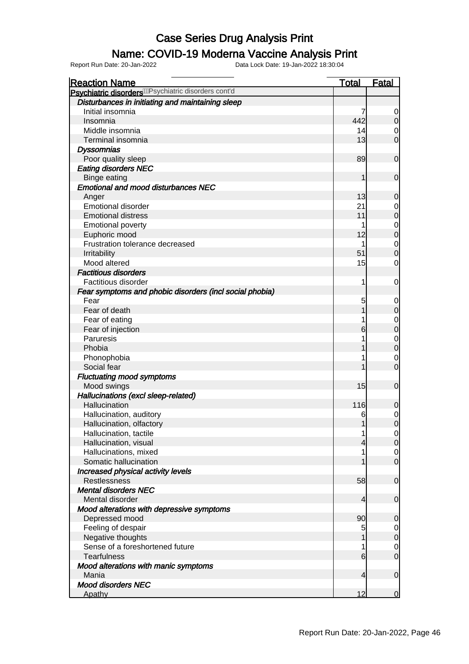#### Name: COVID-19 Moderna Vaccine Analysis Print

| <b>Reaction Name</b>                                             | <b>Total</b> | <b>Fatal</b>                         |
|------------------------------------------------------------------|--------------|--------------------------------------|
| Psychiatric disorders <sup>/WP</sup> sychiatric disorders cont'd |              |                                      |
| Disturbances in initiating and maintaining sleep                 |              |                                      |
| Initial insomnia                                                 |              | $\overline{0}$                       |
| Insomnia                                                         | 442          | $\overline{0}$                       |
| Middle insomnia                                                  | 14           | $\overline{0}$                       |
| Terminal insomnia                                                | 13           | $\overline{0}$                       |
| <b>Dyssomnias</b>                                                |              |                                      |
| Poor quality sleep                                               | 89           | $\boldsymbol{0}$                     |
| <b>Eating disorders NEC</b>                                      |              |                                      |
| <b>Binge eating</b>                                              | 1            | $\boldsymbol{0}$                     |
| <b>Emotional and mood disturbances NEC</b>                       |              |                                      |
| Anger                                                            | 13           | $\mathbf 0$                          |
| <b>Emotional disorder</b>                                        | 21           | $0$ 0                                |
| <b>Emotional distress</b>                                        | 11           |                                      |
| <b>Emotional poverty</b>                                         | 1            | $\begin{matrix}0\\0\end{matrix}$     |
| Euphoric mood                                                    | 12           |                                      |
| Frustration tolerance decreased                                  | 1            | $\begin{matrix}0\\0\end{matrix}$     |
| Irritability                                                     | 51           |                                      |
| Mood altered                                                     | 15           | $\mathbf 0$                          |
| <b>Factitious disorders</b>                                      |              |                                      |
| Factitious disorder                                              | 1            | $\mathbf 0$                          |
| Fear symptoms and phobic disorders (incl social phobia)          |              |                                      |
| Fear                                                             | 5            | $\mathbf{0}$                         |
| Fear of death                                                    | 1            | $\mathbf 0$                          |
| Fear of eating                                                   | 1            | $\begin{matrix}0\\0\end{matrix}$     |
| Fear of injection                                                | 6            |                                      |
| Paruresis                                                        | 1            | $\begin{matrix}0\\0\end{matrix}$     |
| Phobia                                                           | 1            |                                      |
| Phonophobia                                                      | 1            | $\begin{matrix} 0 \\ 0 \end{matrix}$ |
| Social fear                                                      | 1            |                                      |
| <b>Fluctuating mood symptoms</b>                                 |              |                                      |
| Mood swings                                                      | 15           | $\mathbf 0$                          |
| Hallucinations (excl sleep-related)                              |              |                                      |
| Hallucination                                                    | 116          | $\mathbf 0$                          |
| Hallucination, auditory                                          | 6            | $\begin{matrix} 0 \\ 0 \end{matrix}$ |
| Hallucination, olfactory                                         | 1            |                                      |
| Hallucination, tactile                                           | 1            | 이                                    |
| Hallucination, visual                                            | 4            | 0                                    |
| Hallucinations, mixed                                            | 1            | $\overline{0}$                       |
| Somatic hallucination                                            | 1            | $\overline{0}$                       |
| Increased physical activity levels                               |              |                                      |
| Restlessness                                                     | 58           | $\mathbf 0$                          |
| <b>Mental disorders NEC</b>                                      |              |                                      |
| Mental disorder                                                  | 4            | $\mathbf 0$                          |
| Mood alterations with depressive symptoms                        |              |                                      |
| Depressed mood                                                   | 90           | $\mathbf 0$                          |
| Feeling of despair                                               | 5            | $\overline{0}$                       |
| Negative thoughts                                                | 1            | $\overline{0}$                       |
| Sense of a foreshortened future                                  | 1            | $\mathbf{0}$                         |
| <b>Tearfulness</b>                                               | 6            | $\overline{0}$                       |
| Mood alterations with manic symptoms                             |              |                                      |
| Mania                                                            | 4            | $\mathbf 0$                          |
| <b>Mood disorders NEC</b>                                        |              |                                      |
| Apathy                                                           | 12           | $\mathbf 0$                          |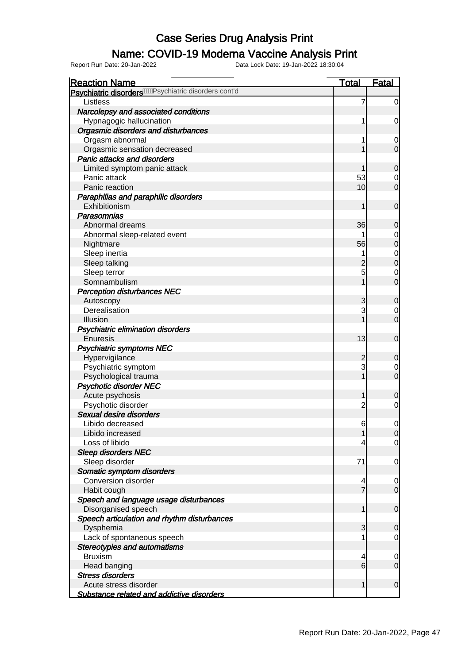### Name: COVID-19 Moderna Vaccine Analysis Print

| <b>Reaction Name</b>                                                  | <b>Total</b>    | <b>Fatal</b>     |
|-----------------------------------------------------------------------|-----------------|------------------|
| Psychiatric disorders <sup>/////</sup> //Psychiatric disorders cont'd |                 |                  |
| Listless                                                              | 7               | $\overline{0}$   |
| Narcolepsy and associated conditions                                  |                 |                  |
| Hypnagogic hallucination                                              |                 | $\mathbf 0$      |
| <b>Orgasmic disorders and disturbances</b>                            |                 |                  |
| Orgasm abnormal                                                       |                 | $\mathbf 0$      |
| Orgasmic sensation decreased                                          |                 | $\overline{0}$   |
| Panic attacks and disorders                                           |                 |                  |
| Limited symptom panic attack                                          |                 | $\mathbf 0$      |
| Panic attack                                                          | 53              | 0                |
| Panic reaction                                                        | 10              | $\overline{0}$   |
| Paraphilias and paraphilic disorders                                  |                 |                  |
| Exhibitionism                                                         | 1               | $\mathbf 0$      |
| Parasomnias                                                           |                 |                  |
| Abnormal dreams                                                       | 36              | $\mathbf 0$      |
| Abnormal sleep-related event                                          |                 | $\mathbf 0$      |
| Nightmare                                                             | 56              | $\mathbf 0$      |
| Sleep inertia                                                         |                 | $\mathbf{0}$     |
| Sleep talking                                                         | 2               | $\overline{0}$   |
| Sleep terror                                                          | 5               | $\mathbf 0$      |
| Somnambulism                                                          |                 | $\overline{0}$   |
| <b>Perception disturbances NEC</b>                                    |                 |                  |
| Autoscopy                                                             | 3               | $\mathbf 0$      |
| Derealisation                                                         | 3               | 0                |
| Illusion                                                              |                 | $\overline{0}$   |
| Psychiatric elimination disorders                                     |                 |                  |
| Enuresis                                                              | 13              | $\mathbf 0$      |
| <b>Psychiatric symptoms NEC</b>                                       |                 |                  |
| Hypervigilance                                                        | $\overline{c}$  | $\mathbf 0$      |
| Psychiatric symptom                                                   | 3               | 0                |
| Psychological trauma                                                  |                 | $\mathbf 0$      |
| <b>Psychotic disorder NEC</b>                                         |                 |                  |
| Acute psychosis                                                       | 1               | $\boldsymbol{0}$ |
| Psychotic disorder                                                    | 2               | 0                |
| Sexual desire disorders                                               |                 |                  |
| Libido decreased                                                      | 6               | $\mathbf 0$      |
| Libido increased                                                      | 1               | 0                |
| Loss of libido                                                        | 4               | $\overline{0}$   |
| <b>Sleep disorders NEC</b>                                            |                 |                  |
| Sleep disorder                                                        | 71              | $\mathbf 0$      |
| Somatic symptom disorders                                             |                 |                  |
| Conversion disorder                                                   |                 | $\mathbf 0$      |
| Habit cough                                                           | $\overline{7}$  | $\overline{0}$   |
| Speech and language usage disturbances                                |                 |                  |
| Disorganised speech                                                   | 1               | $\mathbf 0$      |
| Speech articulation and rhythm disturbances                           |                 |                  |
| Dysphemia                                                             | 3               | $\mathbf 0$      |
| Lack of spontaneous speech                                            |                 | $\mathbf 0$      |
| <b>Stereotypies and automatisms</b>                                   |                 |                  |
| <b>Bruxism</b>                                                        | 4               | $\mathbf 0$      |
| Head banging                                                          | $6 \overline{}$ | $\mathbf 0$      |
| <b>Stress disorders</b>                                               |                 |                  |
| Acute stress disorder                                                 | 1               | $\mathbf 0$      |
| <b>Substance related and addictive disorders</b>                      |                 |                  |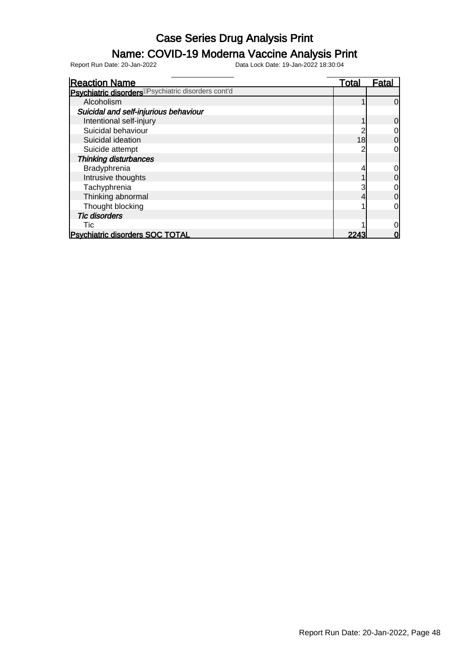### Name: COVID-19 Moderna Vaccine Analysis Print

| <b>Reaction Name</b>                                           | <u>Total</u> | <u>Fatal</u> |
|----------------------------------------------------------------|--------------|--------------|
| Psychiatric disorders <sup>/Psychiatric disorders cont'd</sup> |              |              |
| Alcoholism                                                     |              | 0            |
| Suicidal and self-injurious behaviour                          |              |              |
| Intentional self-injury                                        |              | 0            |
| Suicidal behaviour                                             |              |              |
| Suicidal ideation                                              | 18           | 0            |
| Suicide attempt                                                |              | 0            |
| <b>Thinking disturbances</b>                                   |              |              |
| Bradyphrenia                                                   |              |              |
| Intrusive thoughts                                             |              | 0            |
| Tachyphrenia                                                   |              | 0            |
| Thinking abnormal                                              |              | 0            |
| Thought blocking                                               |              | 0            |
| <b>Tic disorders</b>                                           |              |              |
| Tic                                                            |              |              |
| <b>Psychiatric disorders SOC TOTAL</b>                         | 2243         |              |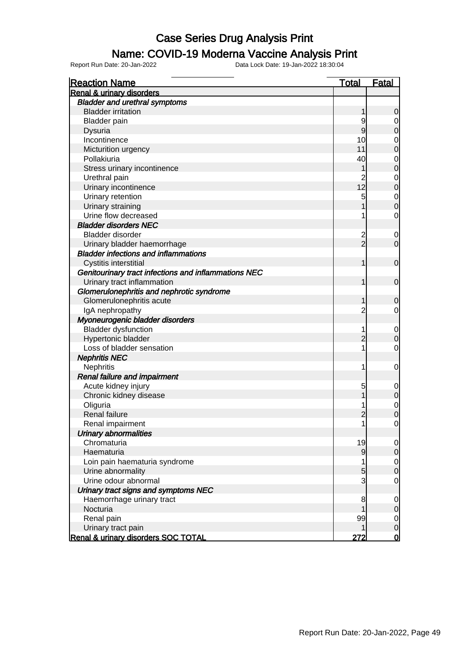#### Name: COVID-19 Moderna Vaccine Analysis Print

| <b>Reaction Name</b>                                 | <b>Total</b>   | <b>Fatal</b>                          |
|------------------------------------------------------|----------------|---------------------------------------|
| <b>Renal &amp; urinary disorders</b>                 |                |                                       |
| <b>Bladder and urethral symptoms</b>                 |                |                                       |
| <b>Bladder irritation</b>                            | 1              | $\mathbf 0$                           |
| <b>Bladder</b> pain                                  | 9              | $\overline{0}$                        |
| <b>Dysuria</b>                                       | 9              | $\overline{0}$                        |
| Incontinence                                         | 10             | $\mathbf{0}$                          |
| Micturition urgency                                  | 11             | $\overline{0}$                        |
| Pollakiuria                                          | 40             |                                       |
| Stress urinary incontinence                          | 1              | $\begin{matrix}0\\0\end{matrix}$      |
| Urethral pain                                        | $\overline{2}$ |                                       |
| Urinary incontinence                                 | 12             | $\begin{matrix}0\\0\end{matrix}$      |
| Urinary retention                                    | 5              |                                       |
| Urinary straining                                    | 1              | $\begin{matrix}0\\0\end{matrix}$      |
| Urine flow decreased                                 | 1              | $\mathbf 0$                           |
| <b>Bladder disorders NEC</b>                         |                |                                       |
| Bladder disorder                                     | $\overline{c}$ | $\mathbf 0$                           |
| Urinary bladder haemorrhage                          | $\overline{2}$ | $\mathbf 0$                           |
| <b>Bladder infections and inflammations</b>          |                |                                       |
| Cystitis interstitial                                | $\mathbf{1}$   | $\boldsymbol{0}$                      |
| Genitourinary tract infections and inflammations NEC |                |                                       |
| Urinary tract inflammation                           | $\mathbf{1}$   | $\mathbf 0$                           |
| Glomerulonephritis and nephrotic syndrome            |                |                                       |
| Glomerulonephritis acute                             | 1              | $\mathbf 0$                           |
| IgA nephropathy                                      | $\overline{2}$ | $\mathbf 0$                           |
| Myoneurogenic bladder disorders                      |                |                                       |
| <b>Bladder dysfunction</b>                           | 1              | $\boldsymbol{0}$                      |
| Hypertonic bladder                                   | $\overline{2}$ | $\overline{0}$                        |
| Loss of bladder sensation                            | 1              | $\mathbf 0$                           |
| <b>Nephritis NEC</b>                                 |                |                                       |
| Nephritis                                            | 1              | $\mathbf 0$                           |
| Renal failure and impairment                         |                |                                       |
| Acute kidney injury                                  | 5              | $\mathbf 0$                           |
| Chronic kidney disease                               | 1              | $\overline{0}$                        |
| Oliguria                                             | 1              |                                       |
| <b>Renal failure</b>                                 | $\overline{2}$ | $\begin{matrix}0\\0\end{matrix}$      |
| Renal impairment                                     | $\mathbf{1}$   | $\mathbf 0$                           |
| <b>Urinary abnormalities</b>                         |                |                                       |
| Chromaturia                                          | 19             | $\overline{0}$                        |
| Haematuria                                           | 9              | $\overline{0}$                        |
| Loin pain haematuria syndrome                        | 1              | $\mathbf{0}$                          |
| Urine abnormality                                    | 5              | $\mathbf 0$                           |
| Urine odour abnormal                                 | $\overline{3}$ | $\mathbf 0$                           |
| Urinary tract signs and symptoms NEC                 |                |                                       |
| Haemorrhage urinary tract                            | 8              | $\mathbf 0$                           |
| Nocturia                                             | 1              | $\mathbf 0$                           |
| Renal pain                                           | 99             |                                       |
| Urinary tract pain                                   | 1              | $\overline{0}$<br>$\mathsf{O}\xspace$ |
| Renal & urinary disorders SOC TOTAL                  | 272            | $\mathsf{O}$                          |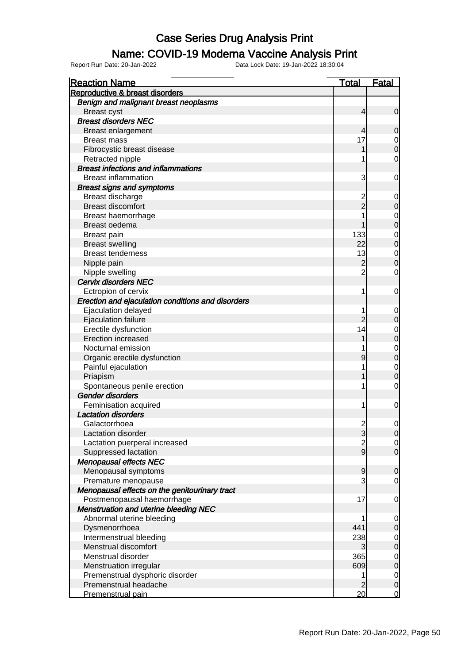#### Name: COVID-19 Moderna Vaccine Analysis Print

| <b>Reaction Name</b>                              | <u>Total</u>   | <b>Fatal</b>   |
|---------------------------------------------------|----------------|----------------|
| Reproductive & breast disorders                   |                |                |
| Benign and malignant breast neoplasms             |                |                |
| <b>Breast cyst</b>                                | $\overline{4}$ | $\overline{0}$ |
| <b>Breast disorders NEC</b>                       |                |                |
| <b>Breast enlargement</b>                         | 4              | 0              |
| <b>Breast mass</b>                                | 17             | $\mathbf 0$    |
| Fibrocystic breast disease                        | 1              | $\overline{0}$ |
| Retracted nipple                                  | 1              | 0              |
| <b>Breast infections and inflammations</b>        |                |                |
| <b>Breast inflammation</b>                        | 3              | 0              |
| <b>Breast signs and symptoms</b>                  |                |                |
| Breast discharge                                  | 2              | $\mathbf 0$    |
| <b>Breast discomfort</b>                          | $\overline{2}$ | 0              |
| Breast haemorrhage                                | 1              | $\mathbf 0$    |
| Breast oedema                                     |                | $\mathbf 0$    |
| Breast pain                                       | 133            | $\mathbf 0$    |
| <b>Breast swelling</b>                            | 22             | $\overline{0}$ |
| <b>Breast tenderness</b>                          | 13             | $\mathbf 0$    |
| Nipple pain                                       | $\overline{c}$ | $\overline{0}$ |
| Nipple swelling                                   | $\overline{2}$ | $\mathbf 0$    |
| Cervix disorders NEC                              |                |                |
| Ectropion of cervix                               | 1              | 0              |
| Erection and ejaculation conditions and disorders |                |                |
| Ejaculation delayed                               | 1              | $\overline{0}$ |
| <b>Ejaculation failure</b>                        | $\overline{2}$ | $\mathbf 0$    |
| Erectile dysfunction                              | 14             | $\mathbf 0$    |
| <b>Erection increased</b>                         | 1              | $\mathbf 0$    |
| Nocturnal emission                                | 1              | $\mathbf 0$    |
| Organic erectile dysfunction                      | 9              | $\mathbf 0$    |
| Painful ejaculation                               | 1              | $\mathbf 0$    |
| Priapism                                          |                | $\overline{0}$ |
| Spontaneous penile erection                       | 1              | 0              |
| <b>Gender disorders</b>                           |                |                |
| Feminisation acquired                             | 1              | 0              |
| <b>Lactation disorders</b>                        |                |                |
| Galactorrhoea                                     | $\overline{c}$ | $\mathbf 0$    |
| Lactation disorder                                | 3              | <sup>0</sup>   |
| Lactation puerperal increased                     | $\overline{2}$ | $\overline{0}$ |
| Suppressed lactation                              | $\overline{9}$ | $\overline{0}$ |
| <b>Menopausal effects NEC</b>                     |                |                |
| Menopausal symptoms                               | 9              | $\overline{0}$ |
| Premature menopause                               | 3              | 0              |
| Menopausal effects on the genitourinary tract     |                |                |
| Postmenopausal haemorrhage                        | 17             | 0              |
| <b>Menstruation and uterine bleeding NEC</b>      |                |                |
| Abnormal uterine bleeding                         | 1              | $\overline{0}$ |
| Dysmenorrhoea                                     | 441            | 0              |
| Intermenstrual bleeding                           | 238            | $\mathbf 0$    |
| Menstrual discomfort                              | 3              | $\overline{0}$ |
| Menstrual disorder                                | 365            | $\mathbf 0$    |
| Menstruation irregular                            | 609            | $\overline{0}$ |
| Premenstrual dysphoric disorder                   | 1              | $\mathbf 0$    |
| Premenstrual headache                             |                | $\pmb{0}$      |
| Premenstrual pain                                 | 20             | $\mathbf 0$    |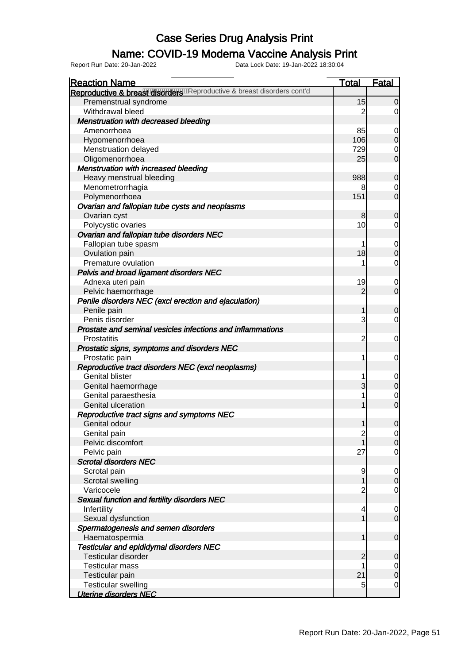### Name: COVID-19 Moderna Vaccine Analysis Print

| <b>Reaction Name</b>                                                     | <b>Total</b>   | <b>Fatal</b>   |
|--------------------------------------------------------------------------|----------------|----------------|
| Reproductive & breast disorders are productive & breast disorders cont'd |                |                |
| Premenstrual syndrome                                                    | 15             | $\overline{0}$ |
| Withdrawal bleed                                                         | 2              | $\overline{0}$ |
| <b>Menstruation with decreased bleeding</b>                              |                |                |
| Amenorrhoea                                                              | 85             | $\overline{0}$ |
| Hypomenorrhoea                                                           | 106            | $\overline{O}$ |
| Menstruation delayed                                                     | 729            | $\mathbf 0$    |
| Oligomenorrhoea                                                          | 25             | $\overline{0}$ |
| Menstruation with increased bleeding                                     |                |                |
| Heavy menstrual bleeding                                                 | 988            | $\mathbf 0$    |
| Menometrorrhagia                                                         | 8              | 0              |
| Polymenorrhoea                                                           | 151            | $\overline{0}$ |
| Ovarian and fallopian tube cysts and neoplasms                           |                |                |
| Ovarian cyst                                                             | 8              | $\mathbf 0$    |
| Polycystic ovaries                                                       | 10             | $\overline{0}$ |
| Ovarian and fallopian tube disorders NEC                                 |                |                |
| Fallopian tube spasm                                                     |                | $\overline{0}$ |
| Ovulation pain                                                           | 18             | $\overline{O}$ |
| Premature ovulation                                                      |                | $\overline{0}$ |
| Pelvis and broad ligament disorders NEC                                  |                |                |
| Adnexa uteri pain                                                        | 19             | $\mathbf 0$    |
| Pelvic haemorrhage                                                       | $\overline{2}$ | $\overline{0}$ |
| Penile disorders NEC (excl erection and ejaculation)                     |                |                |
| Penile pain                                                              | 1              | $\mathbf 0$    |
| Penis disorder                                                           | 3              | $\overline{0}$ |
| Prostate and seminal vesicles infections and inflammations               |                |                |
| Prostatitis                                                              | 2              | $\mathbf 0$    |
| Prostatic signs, symptoms and disorders NEC                              |                |                |
| Prostatic pain                                                           | 1              | $\mathbf 0$    |
| Reproductive tract disorders NEC (excl neoplasms)                        |                |                |
| <b>Genital blister</b>                                                   |                | $\mathbf 0$    |
| Genital haemorrhage                                                      | 3              | $\overline{O}$ |
| Genital paraesthesia                                                     |                | $\mathbf 0$    |
| Genital ulceration                                                       |                | $\overline{0}$ |
| Reproductive tract signs and symptoms NEC                                |                |                |
| Genital odour                                                            | 1              | $\overline{0}$ |
| Genital pain                                                             | $\overline{c}$ | $\overline{0}$ |
| Pelvic discomfort                                                        |                | 0              |
| Pelvic pain                                                              | 27             | $\mathbf 0$    |
| <b>Scrotal disorders NEC</b>                                             |                |                |
| Scrotal pain                                                             | 9              | $\overline{0}$ |
| Scrotal swelling                                                         |                | $\overline{0}$ |
| Varicocele                                                               |                | $\mathbf 0$    |
| Sexual function and fertility disorders NEC                              |                |                |
| Infertility                                                              | 4              | $\overline{0}$ |
| Sexual dysfunction                                                       |                | $\overline{0}$ |
| Spermatogenesis and semen disorders                                      |                |                |
| Haematospermia                                                           |                | $\mathbf 0$    |
| <b>Testicular and epididymal disorders NEC</b>                           |                |                |
| Testicular disorder                                                      | 2              | $\mathbf 0$    |
| <b>Testicular mass</b>                                                   |                | $\overline{0}$ |
| Testicular pain                                                          | 21             | $\mathbf 0$    |
| <b>Testicular swelling</b>                                               | 5              | $\mathbf 0$    |
| <b>Uterine disorders NEC</b>                                             |                |                |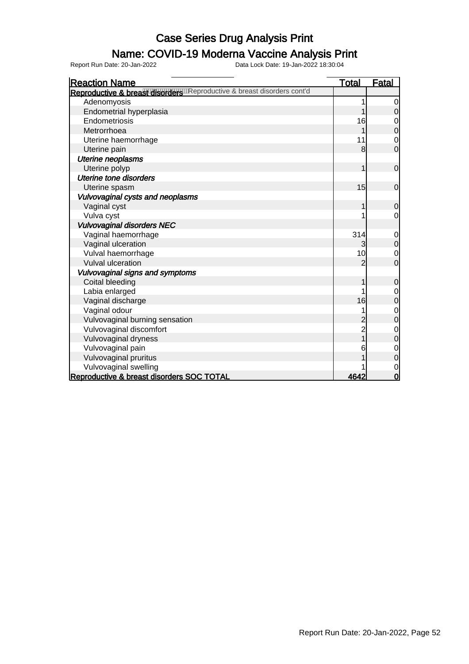#### Name: COVID-19 Moderna Vaccine Analysis Print

Report Run Date: 20-Jan-2022 Data Lock Date: 19-Jan-2022 18:30:04

Reaction Name Total Fatal Reproductive & breast disorders was eproductive & breast disorders cont'd Adenomyosis and a new state of the state of the state of the state of the state of the state of the state of the state of the state of the state of the state of the state of the state of the state of the state of the state Endometrial hyperplasia and the control of the control of the control of the control of the control of the control of the control of the control of the control of the control of the control of the control of the control of Endometriosis 16 0<br>Metrorrhoea 16 0<br>16 0 Metrorrhoea 1 0 Uterine haemorrhage 11 0 Uterine pain 8 0 Uterine neoplasms Uterine polyp and the contract of the contract of the contract of the contract of the contract of the contract of the contract of the contract of the contract of the contract of the contract of the contract of the contract Uterine tone disorders Uterine spasm and the spasm of the spasm of the spanish of the spasm of the spasm of the spasm of the spanish o Vulvovaginal cysts and neoplasms Vaginal cyst 1 0 Vulva cyst and the cycle of the cycle of the cycle of the cycle of the cycle of the cycle of the cycle of the cycle of the cycle of the cycle of the cycle of the cycle of the cycle of the cycle of the cycle of the cycle of Vulvovaginal disorders NEC Vaginal haemorrhage **314** 0<br>Vaginal ulceration 314 0<br>Vaginal ulceration Vaginal ulceration and the set of the set of the set of the set of the set of the set of the set of the set of the set of the set of the set of the set of the set of the set of the set of the set of the set of the set of t Vulval haemorrhage 10 0 Vulval ulceration Vulvovaginal signs and symptoms Coital bleeding 1 0<br>
Labia enlarged 1 0 Labia enlarged 1 0<br>
Vaqinal discharge 1 0<br>
16 0 Vaginal discharge 16 0 Vaginal odour de la contraction de la contraction de la contraction de la contraction de la contraction de la contraction de la contraction de la contraction de la contraction de la contraction de la contraction de la cont Vulvovaginal burning sensation<br>
Vulvovaginal discomfort<br>
2 0 Vulvovaginal discomfort<br>
Vulvovaginal dryness<br>
2 0<br>
2 0<br>
2 0 Vulvovaginal dryness and the contract of the contract of the contract of the contract of the contract of the contract of the contract of the contract of the contract of the contract of the contract of the contract of the c Vulvovaginal pain and the set of the set of the set of the set of the set of the set of the set of the set of the set of the set of the set of the set of the set of the set of the set of the set of the set of the set of th Vulvovaginal pruritus 1 0 Vulvovaginal swelling 1 0 Reproductive & breast disorders SOC TOTAL 4642 0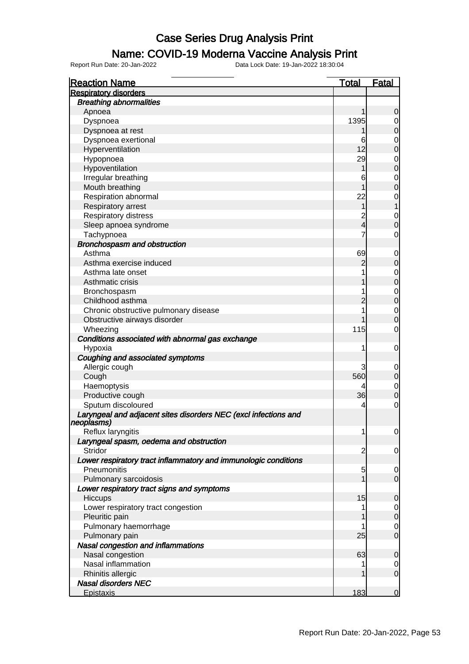#### Name: COVID-19 Moderna Vaccine Analysis Print

Report Run Date: 20-Jan-2022 Data Lock Date: 19-Jan-2022 18:30:04

Reaction Name Total Fatal Respiratory disorders Breathing abnormalities Apnoea 1 0 Dyspnoea 1395 0 Dyspnoea at rest 1 0 Dyspnoea exertional and the contract of the contract of the contract of the contract of the contract of the contract of the contract of the contract of the contract of the contract of the contract of the contract of the co Hyperventilation 12 0 Hypopnoea 29 0 Hypoventilation and the contract of the contract of the contract of the contract of the contract of the contract of the contract of the contract of the contract of the contract of the contract of the contract of the contra Irregular breathing 0<br>
Mouth breathing 0<br>
Mouth breathing 0 Mouth breathing 1 0<br>Respiration abnormal 1 0<br>Nespiration abnormal 22 0 Respiration abnormal 22 Respiratory arrest 1 1 Respiratory distress and the set of the set of the set of the set of the set of the set of the set of the set o<br>
2 0 0 2 4 0 0 1 2 2 0 0 2 2 2 0 0 1 2 2 2 0 0 2 2 2 0 0 1 2 2 2 0 0 2 2 2 0 0 1 2 2 0 0 2 2 2 0 0 1 2 2 0 0 1 Sleep apnoea syndrome 4 0 0 0 1 2 3 4 0 1 2 4 0 1 2 4 0 1 2 4 0 1 2 4 0 1 2 4 0 1 2 4 0 1 2 4 0 1 2 4 0 1 2 4 0 1 2 4 0 1 2 4 0 1 2 4 0 1 2 4 0 1 2 4 0 1 2 4 0 1 2 4 0 1 2 4 0 1 2 4 0 1 2 4 0 1 2 4 0 1 2 4 0 1 2 4 0 1 2 4 Tachypnoea 7 0 Bronchospasm and obstruction Asthma 69 0 Asthma exercise induced<br>
Asthma late onset and the context of the context of the context of the context of the context of the context of the context of the context of the context of the context of the context of the contex Asthma late onset 1 0<br>Asthmatic crisis 1 0<br>Asthmatic crisis Asthmatic crisis 1 0<br>Bronchospasm 1 0 Bronchospasm 1 0<br>Childhood asthma 1 0<br>Childhood asthma 2 0 Childhood asthma <br>
Chronic obstructive pulmonary disease  $\begin{bmatrix} 2 & 0 \\ 0 & 1 \end{bmatrix}$  0 Chronic obstructive pulmonary disease<br>
Obstructive airways disorder<br>
0 Obstructive airways disorder 1 0 Wheezing 0 Conditions associated with abnormal gas exchange Hypoxia 1 0 Coughing and associated symptoms Allergic cough 3 0 المال المواضح المواضح المواضح المواضح المواضح المواضح المواضح المواضح المواضح المواضح المواضح المواضح المواضح ا Haemoptysis 1999 and 2009 and 2009 and 2009 and 2009 and 2009 and 2009 and 2009 and 2009 and 2009 and 2009 and 2009 and 2009 and 2009 and 2009 and 2009 and 2009 and 2009 and 2009 and 2009 and 2009 and 2009 and 2009 and 200 Productive cough 36 Sputum discoloured and the set of the set of the set of the set of the set of the set of the set of the set of the set of the set of the set of the set of the set of the set of the set of the set of the set of the set of t Laryngeal and adjacent sites disorders NEC (excl infections and neoplasms) Reflux laryngitis and the contract of the contract of the contract of the contract of the contract of the contract of the contract of the contract of the contract of the contract of the contract of the contract of the cont Laryngeal spasm, oedema and obstruction Stridor 2 0 Lower respiratory tract inflammatory and immunologic conditions Pneumonitis 0<br>Pulmonary sarcoidosis 0<br>Dumonary sarcoidosis 0 Pulmonary sarcoidosis 1 0 Lower respiratory tract signs and symptoms Hiccups 15 October 15 October 15 October 15 October 15 October 15 October 15 October 15 October 15 O Lower respiratory tract congestion and the state of the state of the state of the state of the state of the state of the state of the state of the state of the state of the state of the state of the state of the state of t Pleuritic pain 1 0 Pulmonary haemorrhage 1 0 Pulmonary pain 25 0 Nasal congestion and inflammations Nasal congestion and the control of the control of the control of the control of the control of the control of the control of the control of the control of the control of the control of the control of the control of the co Nasal inflammation and the set of the set of the set of the set of the set of the set of the set of the set of the set of the set of the set of the set of the set of the set of the set of the set of the set of the set of t Rhinitis allergic **1** 0 Nasal disorders NEC eristaxis in the experimental control of the experimental control of the experimental control of the experimental control of the experimental control of the experimental control of the experimental control of the experimen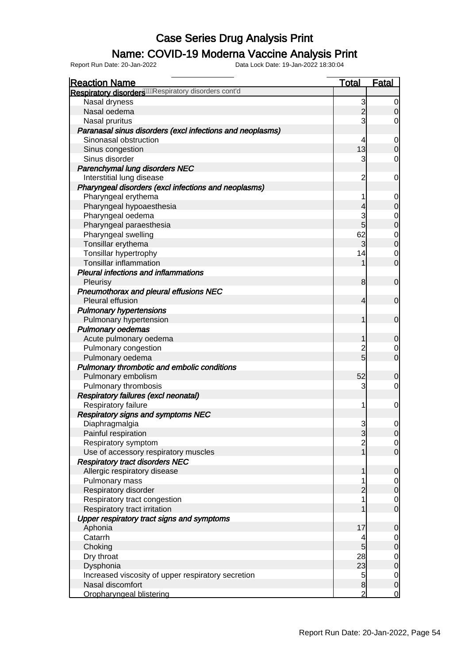### Name: COVID-19 Moderna Vaccine Analysis Print

| <b>Reaction Name</b>                                                   | <b>Total</b>   | <b>Fatal</b>   |
|------------------------------------------------------------------------|----------------|----------------|
| Respiratory disorders <sup>0000</sup> Respiratory disorders cont'd     |                |                |
| Nasal dryness                                                          | 3              | $\overline{0}$ |
| Nasal oedema                                                           | $\overline{2}$ | $\Omega$       |
| Nasal pruritus                                                         | 3              | 0              |
| Paranasal sinus disorders (excl infections and neoplasms)              |                |                |
| Sinonasal obstruction                                                  | 4              | 0              |
| Sinus congestion                                                       | 13             | $\overline{0}$ |
| Sinus disorder                                                         | 3              | 0              |
| Parenchymal lung disorders NEC                                         |                |                |
| Interstitial lung disease                                              | 2              | 0              |
| Pharyngeal disorders (excl infections and neoplasms)                   |                |                |
| Pharyngeal erythema                                                    |                | 0              |
| Pharyngeal hypoaesthesia                                               | 4              | $\mathbf 0$    |
| Pharyngeal oedema                                                      | 3              | 0              |
| Pharyngeal paraesthesia                                                | 5              | $\mathbf 0$    |
| Pharyngeal swelling                                                    | 62             | $\mathbf 0$    |
| Tonsillar erythema                                                     | 3              | $\mathbf 0$    |
| Tonsillar hypertrophy                                                  | 14             | 0              |
| <b>Tonsillar inflammation</b>                                          |                | $\overline{0}$ |
| Pleural infections and inflammations                                   |                |                |
| Pleurisy                                                               | 8              | $\mathbf 0$    |
| Pneumothorax and pleural effusions NEC                                 |                |                |
| Pleural effusion                                                       | 4              | $\mathbf 0$    |
| <b>Pulmonary hypertensions</b>                                         |                |                |
| Pulmonary hypertension                                                 |                | $\mathbf 0$    |
| <b>Pulmonary oedemas</b>                                               |                |                |
| Acute pulmonary oedema                                                 | 1              | $\overline{0}$ |
| Pulmonary congestion                                                   | $\overline{c}$ | 0              |
| Pulmonary oedema                                                       | 5              | $\overline{0}$ |
| Pulmonary thrombotic and embolic conditions                            |                |                |
| Pulmonary embolism                                                     | 52             | 0              |
| Pulmonary thrombosis                                                   | 3              | 0              |
| Respiratory failures (excl neonatal)                                   |                |                |
| Respiratory failure                                                    | 1              | 0              |
| <b>Respiratory signs and symptoms NEC</b>                              |                |                |
| Diaphragmalgia                                                         | 3              | $\overline{0}$ |
| Painful respiration                                                    | 3              | $\overline{0}$ |
| Respiratory symptom                                                    |                | $\overline{0}$ |
| Use of accessory respiratory muscles                                   |                | $\overline{0}$ |
| <b>Respiratory tract disorders NEC</b>                                 |                |                |
| Allergic respiratory disease                                           |                | $\mathbf 0$    |
| Pulmonary mass                                                         |                | $\overline{0}$ |
| Respiratory disorder                                                   |                | $\mathbf 0$    |
| Respiratory tract congestion                                           |                | $\overline{0}$ |
| Respiratory tract irritation                                           |                | $\overline{0}$ |
| Upper respiratory tract signs and symptoms                             |                |                |
| Aphonia                                                                | 17             | 0              |
| Catarrh                                                                | 4              | $\overline{0}$ |
| Choking                                                                | 5              | $\mathbf 0$    |
| Dry throat                                                             | 28             | $\overline{0}$ |
| Dysphonia                                                              | 23             | $\mathbf 0$    |
| Increased viscosity of upper respiratory secretion<br>Nasal discomfort | 5<br>8         | $\overline{0}$ |
|                                                                        |                | $\mathbf 0$    |
| Oropharyngeal blistering                                               | $\overline{2}$ | $\mathbf 0$    |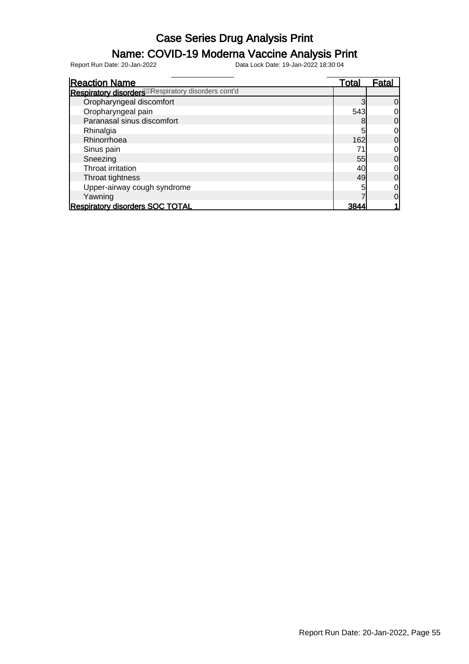### Name: COVID-19 Moderna Vaccine Analysis Print

| <b>Reaction Name</b>                                              | Total | Fatal          |
|-------------------------------------------------------------------|-------|----------------|
| Respiratory disorders <sup>600</sup> Respiratory disorders cont'd |       |                |
| Oropharyngeal discomfort                                          |       | 0              |
| Oropharyngeal pain                                                | 543   |                |
| Paranasal sinus discomfort                                        | 8     |                |
| Rhinalgia                                                         | 5     | 0              |
| Rhinorrhoea                                                       | 162   | $\overline{0}$ |
| Sinus pain                                                        | 71    | 0              |
| Sneezing                                                          | 55    | 0              |
| Throat irritation                                                 | 40    | 0              |
| Throat tightness                                                  | 49    | 0              |
| Upper-airway cough syndrome                                       |       | 0              |
| Yawning                                                           |       |                |
| <b>Respiratory disorders SOC TOTAL</b>                            | 3844  |                |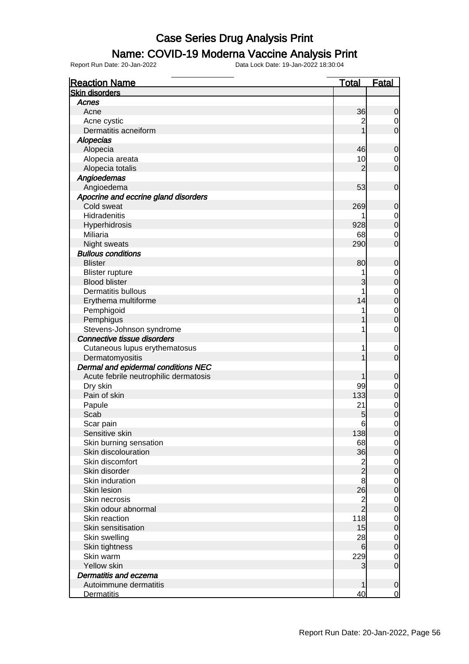#### Name: COVID-19 Moderna Vaccine Analysis Print

| <b>Reaction Name</b>                  | <u>Total</u>    | <b>Fatal</b>     |
|---------------------------------------|-----------------|------------------|
| <b>Skin disorders</b>                 |                 |                  |
| Acnes                                 |                 |                  |
| Acne                                  | 36              | 0                |
| Acne cystic                           | $\overline{c}$  | $\mathbf 0$      |
| Dermatitis acneiform                  |                 | $\mathbf 0$      |
| <b>Alopecias</b>                      |                 |                  |
| Alopecia                              | 46              | $\mathbf 0$      |
| Alopecia areata                       | 10              | $\mathbf 0$      |
| Alopecia totalis                      | 2               | $\mathbf 0$      |
| Angioedemas                           |                 |                  |
| Angioedema                            | 53              | $\mathbf 0$      |
| Apocrine and eccrine gland disorders  |                 |                  |
| Cold sweat                            | 269             | 0                |
| Hidradenitis                          |                 | $\mathbf 0$      |
| Hyperhidrosis                         | 928             | $\overline{0}$   |
| Miliaria                              | 68              | $\mathbf 0$      |
| Night sweats                          | 290             | $\overline{0}$   |
| <b>Bullous conditions</b>             |                 |                  |
| <b>Blister</b>                        | 80              | 0                |
| <b>Blister rupture</b>                | 1               | $\boldsymbol{0}$ |
| <b>Blood blister</b>                  | 3               | $\overline{0}$   |
| Dermatitis bullous                    | 1               | $\mathbf 0$      |
| Erythema multiforme                   | 14              | $\overline{0}$   |
| Pemphigoid                            | 1               | $\mathbf 0$      |
| Pemphigus                             |                 | $\overline{0}$   |
| Stevens-Johnson syndrome              | 1               | $\mathbf 0$      |
| Connective tissue disorders           |                 |                  |
| Cutaneous lupus erythematosus         | 1               | $\mathbf 0$      |
| Dermatomyositis                       |                 | $\overline{0}$   |
| Dermal and epidermal conditions NEC   |                 |                  |
| Acute febrile neutrophilic dermatosis |                 | 0                |
| Dry skin                              | 99              | $\mathbf 0$      |
| Pain of skin                          | 133             | $\mathbf 0$      |
| Papule                                | 21              | $\mathbf 0$      |
| Scab                                  | 5               | $\mathbf 0$      |
| Scar pain                             | $6\phantom{1}6$ | 0                |
| Sensitive skin                        | 138             | $\overline{0}$   |
| Skin burning sensation                | 68              | $\mathbf 0$      |
| Skin discolouration                   | 36              | $\mathbf 0$      |
| Skin discomfort                       |                 | $\mathbf 0$      |
| Skin disorder                         | 2<br>2          | $\mathbf 0$      |
| Skin induration                       | 8               | $\mathbf 0$      |
| <b>Skin lesion</b>                    | 26              | $\mathbf 0$      |
| Skin necrosis                         | $\overline{c}$  | $\mathbf 0$      |
| Skin odour abnormal                   | $\overline{2}$  | $\mathbf 0$      |
| Skin reaction                         | 118             | $\mathbf 0$      |
| Skin sensitisation                    | 15              | $\mathbf 0$      |
| Skin swelling                         | 28              | $\mathbf 0$      |
| Skin tightness                        | 6               | $\mathbf 0$      |
| Skin warm                             | 229             | $\mathbf 0$      |
| <b>Yellow skin</b>                    | 3               | $\mathbf 0$      |
| Dermatitis and eczema                 |                 |                  |
| Autoimmune dermatitis                 |                 | $\mathbf 0$      |
| <b>Dermatitis</b>                     | 40              | $\overline{0}$   |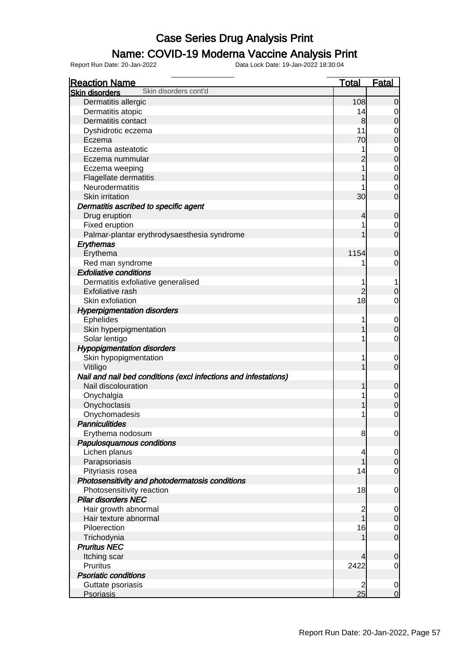#### Name: COVID-19 Moderna Vaccine Analysis Print

| <b>Reaction Name</b>                                            | <b>Total</b>            | <b>Fatal</b>                         |
|-----------------------------------------------------------------|-------------------------|--------------------------------------|
| Skin disorders cont'd<br><b>Skin disorders</b>                  |                         |                                      |
| Dermatitis allergic                                             | 108                     | $\mathbf 0$                          |
| Dermatitis atopic                                               | 14                      | $\overline{0}$                       |
| Dermatitis contact                                              | 8                       | $\overline{0}$                       |
| Dyshidrotic eczema                                              | 11                      |                                      |
| Eczema                                                          | 70                      | $\begin{matrix}0\\0\end{matrix}$     |
| Eczema asteatotic                                               | 1                       |                                      |
| Eczema nummular                                                 |                         | $\begin{matrix}0\\0\end{matrix}$     |
| Eczema weeping                                                  | 1                       |                                      |
| Flagellate dermatitis                                           |                         | $\begin{matrix}0\\0\end{matrix}$     |
| Neurodermatitis                                                 |                         | $\mathbf{0}$                         |
| Skin irritation                                                 | 30                      | $\overline{0}$                       |
| Dermatitis ascribed to specific agent                           |                         |                                      |
| Drug eruption                                                   | 4                       | $\mathbf 0$                          |
| Fixed eruption                                                  | 1                       | $\overline{0}$                       |
| Palmar-plantar erythrodysaesthesia syndrome                     | 1                       | $\overline{0}$                       |
| Erythemas                                                       |                         |                                      |
| Erythema                                                        | 1154                    | $\mathbf 0$                          |
| Red man syndrome                                                | 1                       | $\mathbf 0$                          |
| <b>Exfoliative conditions</b>                                   |                         |                                      |
| Dermatitis exfoliative generalised                              | 1                       | 1                                    |
| Exfoliative rash                                                | $\overline{2}$          | $\mathbf 0$                          |
| Skin exfoliation                                                | 18                      | $\mathbf 0$                          |
| <b>Hyperpigmentation disorders</b>                              |                         |                                      |
| <b>Ephelides</b>                                                | 1                       |                                      |
| Skin hyperpigmentation                                          | 1                       | $\boldsymbol{0}$<br>$\overline{0}$   |
| Solar lentigo                                                   | 1                       | $\mathbf 0$                          |
|                                                                 |                         |                                      |
| <b>Hypopigmentation disorders</b>                               | 1                       |                                      |
| Skin hypopigmentation                                           | 1                       | $\mathbf 0$<br>$\overline{0}$        |
| Vitiligo                                                        |                         |                                      |
| Nail and nail bed conditions (excl infections and infestations) |                         |                                      |
| Nail discolouration                                             | 1                       | $\mathbf 0$                          |
| Onychalgia                                                      | 1                       | $\begin{matrix}0\\0\end{matrix}$     |
| Onychoclasis                                                    | 1                       |                                      |
| Onychomadesis                                                   | 1                       | $\overline{0}$                       |
| <b>Panniculitides</b>                                           |                         |                                      |
| Erythema nodosum                                                | 8                       | $\overline{0}$                       |
| Papulosquamous conditions                                       |                         |                                      |
| Lichen planus                                                   | 4                       | $\overline{0}$                       |
| Parapsoriasis                                                   | 1                       | $\overline{0}$                       |
| Pityriasis rosea                                                | 14                      | $\overline{O}$                       |
| Photosensitivity and photodermatosis conditions                 |                         |                                      |
| Photosensitivity reaction                                       | 18                      | $\mathbf 0$                          |
| <b>Pilar disorders NEC</b>                                      |                         |                                      |
| Hair growth abnormal                                            | $\overline{\mathbf{c}}$ | $\overline{0}$                       |
| Hair texture abnormal                                           | $\overline{1}$          | $\overline{0}$                       |
| Piloerection                                                    | 16                      | $\begin{matrix} 0 \\ 0 \end{matrix}$ |
| Trichodynia                                                     |                         |                                      |
| <b>Pruritus NEC</b>                                             |                         |                                      |
| Itching scar                                                    | 4                       | $\pmb{0}$                            |
| Pruritus                                                        | 2422                    | $\overline{O}$                       |
| <b>Psoriatic conditions</b>                                     |                         |                                      |
| Guttate psoriasis                                               | $\overline{2}$          | $\begin{matrix} 0 \\ 0 \end{matrix}$ |
| <b>Psoriasis</b>                                                | 25                      |                                      |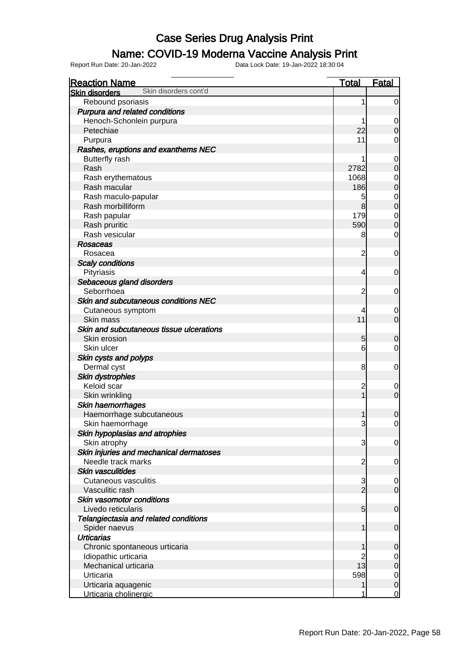#### Name: COVID-19 Moderna Vaccine Analysis Print

| <b>Reaction Name</b>                           | <b>Total</b>   | <b>Fatal</b>                         |
|------------------------------------------------|----------------|--------------------------------------|
| Skin disorders cont'd<br><b>Skin disorders</b> |                |                                      |
| Rebound psoriasis                              | 1              | $\overline{0}$                       |
| Purpura and related conditions                 |                |                                      |
| Henoch-Schonlein purpura                       |                | $\mathbf 0$                          |
| Petechiae                                      | 22             | $\mathbf 0$                          |
| Purpura                                        | 11             | 0                                    |
| Rashes, eruptions and exanthems NEC            |                |                                      |
| <b>Butterfly rash</b>                          | 1              | $\mathbf 0$                          |
| Rash                                           | 2782           | $\mathbf 0$                          |
| Rash erythematous                              | 1068           | $\mathbf 0$                          |
| Rash macular                                   | 186            | $\mathbf 0$                          |
| Rash maculo-papular                            | 5              |                                      |
| Rash morbilliform                              | 8              | $\begin{matrix} 0 \\ 0 \end{matrix}$ |
| Rash papular                                   | 179            | $\mathbf{0}$                         |
| Rash pruritic                                  | 590            | $\overline{0}$                       |
| Rash vesicular                                 | 8              | $\mathbf 0$                          |
| <b>Rosaceas</b>                                |                |                                      |
| Rosacea                                        | $\overline{2}$ | $\mathbf 0$                          |
| <b>Scaly conditions</b>                        |                |                                      |
| Pityriasis                                     | 4              | $\mathbf 0$                          |
| Sebaceous gland disorders                      |                |                                      |
| Seborrhoea                                     | 2              | $\mathbf 0$                          |
| Skin and subcutaneous conditions NEC           |                |                                      |
| Cutaneous symptom                              | 4              | $\mathbf 0$                          |
| Skin mass                                      | 11             | $\overline{0}$                       |
| Skin and subcutaneous tissue ulcerations       |                |                                      |
| Skin erosion                                   | 5              | 0                                    |
| Skin ulcer                                     | 6              | $\mathbf 0$                          |
| Skin cysts and polyps                          |                |                                      |
| Dermal cyst                                    | 8              | $\mathbf 0$                          |
| <b>Skin dystrophies</b>                        |                |                                      |
| Keloid scar                                    | 2              | $\mathbf 0$                          |
| Skin wrinkling                                 | $\overline{1}$ | $\mathbf 0$                          |
| Skin haemorrhages                              |                |                                      |
| Haemorrhage subcutaneous                       | 1              | 0                                    |
| Skin haemorrhage                               | 3              | $\mathbf 0$                          |
| Skin hypoplasias and atrophies                 |                |                                      |
| Skin atrophy                                   | 3              | $\overline{0}$                       |
| Skin injuries and mechanical dermatoses        |                |                                      |
| Needle track marks                             | $\overline{2}$ | $\mathbf 0$                          |
| <b>Skin vasculitides</b>                       |                |                                      |
| <b>Cutaneous vasculitis</b>                    | $\mathbf{3}$   | $\mathbf 0$                          |
| Vasculitic rash                                | $\overline{2}$ | $\overline{0}$                       |
| Skin vasomotor conditions                      |                |                                      |
| Livedo reticularis                             | 5              | $\boldsymbol{0}$                     |
| Telangiectasia and related conditions          |                |                                      |
| Spider naevus                                  | 1              | $\boldsymbol{0}$                     |
| <b>Urticarias</b>                              |                |                                      |
| Chronic spontaneous urticaria                  | 1              | 0                                    |
| Idiopathic urticaria                           |                | $\overline{0}$                       |
| Mechanical urticaria                           | 13             | $\mathbf 0$                          |
| Urticaria                                      | 598            | $\mathbf 0$                          |
| Urticaria aquagenic                            | 1              | $\pmb{0}$                            |
| Urticaria cholinergic                          | 1              | $\overline{0}$                       |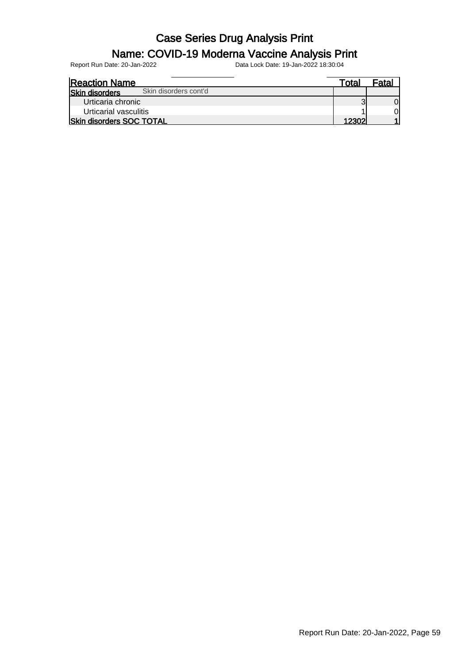#### Name: COVID-19 Moderna Vaccine Analysis Print

| <b>Reaction Name</b>                           | Total | <sup>⊏</sup> ata. |
|------------------------------------------------|-------|-------------------|
| Skin disorders cont'd<br><b>Skin disorders</b> |       |                   |
| Urticaria chronic                              |       |                   |
| Urticarial vasculitis                          |       | ΟI                |
| <b>Skin disorders SOC TOTAL</b>                | 12302 |                   |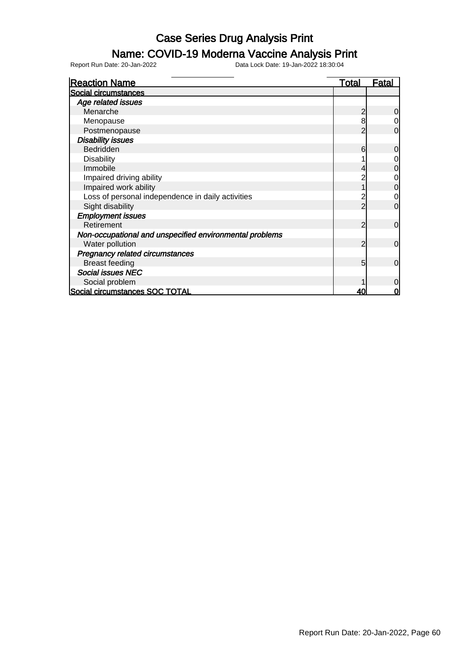### Name: COVID-19 Moderna Vaccine Analysis Print

| <b>Reaction Name</b>                                    | <b>Total</b> | <u>Fatal</u>   |
|---------------------------------------------------------|--------------|----------------|
| Social circumstances                                    |              |                |
| Age related issues                                      |              |                |
| Menarche                                                | 2            | 0              |
| Menopause                                               | 8            | 0              |
| Postmenopause                                           |              | $\mathbf 0$    |
| <b>Disability issues</b>                                |              |                |
| Bedridden                                               | 6            | 0              |
| <b>Disability</b>                                       |              | 0              |
| Immobile                                                |              | $\mathbf 0$    |
| Impaired driving ability                                |              | 0              |
| Impaired work ability                                   |              | $\mathbf 0$    |
| Loss of personal independence in daily activities       |              | 0              |
| Sight disability                                        |              | $\mathbf 0$    |
| <b>Employment issues</b>                                |              |                |
| Retirement                                              | 2            | $\mathbf 0$    |
| Non-occupational and unspecified environmental problems |              |                |
| Water pollution                                         | 2            | $\mathbf 0$    |
| <b>Pregnancy related circumstances</b>                  |              |                |
| <b>Breast feeding</b>                                   | 5            | $\overline{0}$ |
| <b>Social issues NEC</b>                                |              |                |
| Social problem                                          |              | $\mathbf 0$    |
| Social circumstances SOC TOTAL                          | 40           | $\mathbf 0$    |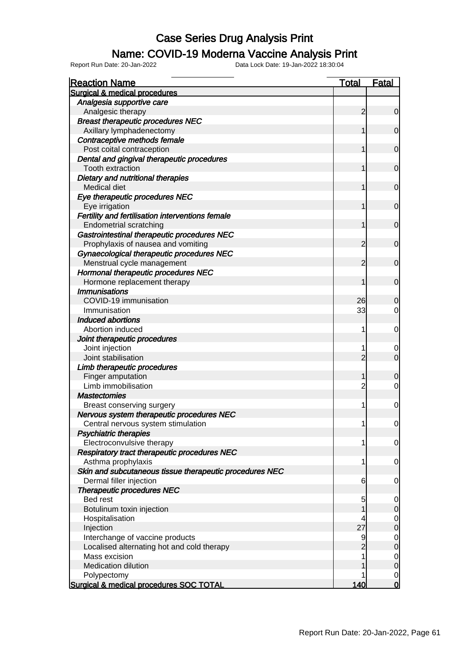#### Name: COVID-19 Moderna Vaccine Analysis Print

Report Run Date: 20-Jan-2022 Data Lock Date: 19-Jan-2022 18:30:04

Reaction Name Total Fatal Surgical & medical procedures Analgesia supportive care Analgesic therapy 2 0 Breast therapeutic procedures NEC Axillary lymphadenectomy 1 0 Contraceptive methods female Post coital contraception and the contract of the contract of the contract of the contract of the contract of the contract of the contract of the contract of the contract of the contract of the contract of the contract of Dental and gingival therapeutic procedures Tooth extraction and the control of the control of the control of the control of the control of the control of the control of the control of the control of the control of the control of the control of the control of the co Dietary and nutritional therapies Medical diet **1** 0 Eye therapeutic procedures NEC Eve irrigation and the control of the control of the control of the control of the control of the control of the control of the control of the control of the control of the control of the control of the control of the cont Fertility and fertilisation interventions female Endometrial scratching 1 0 Gastrointestinal therapeutic procedures NEC Prophylaxis of nausea and vomiting 2 0 Gynaecological therapeutic procedures NEC Menstrual cycle management and the control of the control of the control of the control of the control of the control of the control of the control of the control of the control of the control of the control of the control Hormonal therapeutic procedures NEC Hormone replacement therapy 1 0 **Immunisations**  $\text{COVID-19}$  immunisation  $\begin{array}{|c|c|c|c|c|c|c|c|c|} \hline \text{COVID-19} & \text{26} & \text{0} \ \hline \end{array}$ Immunisation 33 0 Induced abortions Abortion induced and the control of the control of the control of the control of the control of the control of the control of the control of the control of the control of the control of the control of the control of the co Joint therapeutic procedures Joint injection 1 0<br>Joint stabilisation 1 0<br>Joint stabilisation 2 0 Joint stabilisation 2 0 Limb therapeutic procedures Finger amputation and the contract of the contract of the contract of the contract of the contract of the contract of the contract of the contract of the contract of the contract of the contract of the contract of the cont Limb immobilisation and the control of the control of the control of the control of the control of the control o **Mastectomies** Breast conserving surgery the conserving surgery the conserving surgery the conserving surgery of the conserving of the conserving surgery of the conserving surgery of the conserving surgery of the conserving surgery of th Nervous system therapeutic procedures NEC Central nervous system stimulation and the state of the state of the state of the state of the state of the state of the state of the state of the state of the state of the state of the state of the state of the state of t Psychiatric therapies Electroconvulsive therapy 1 0 Respiratory tract therapeutic procedures NEC Asthma prophylaxis and the control of the control of the control of the control of the control of the control of the control of the control of the control of the control of the control of the control of the control of the Skin and subcutaneous tissue therapeutic procedures NEC Dermal filler injection and the control of the control of the control of the control of the control of the control of the control of the control of the control of the control of the control of the control of the control of Therapeutic procedures NEC Bed rest 5 0 Botulinum toxin injection and the control of the control of the control of the control of the control of the control of the control of the control of the control of the control of the control of the control of the control Hospitalisation 4 0 Injection 27 0 Interchange of vaccine products and the set of the set of the set of the set of the set of the set of the set of the set of the set of the set of the set of the set of the set of the set of the set of the set of the set of Localised alternating hot and cold therapy 2 0 Mass excision 1 0<br>Medication dilution 1 0<br>Medication dilution 1 0 Medication dilution 1 0 Polypectomy **1** 0 Surgical & medical procedures SOC TOTAL 140 0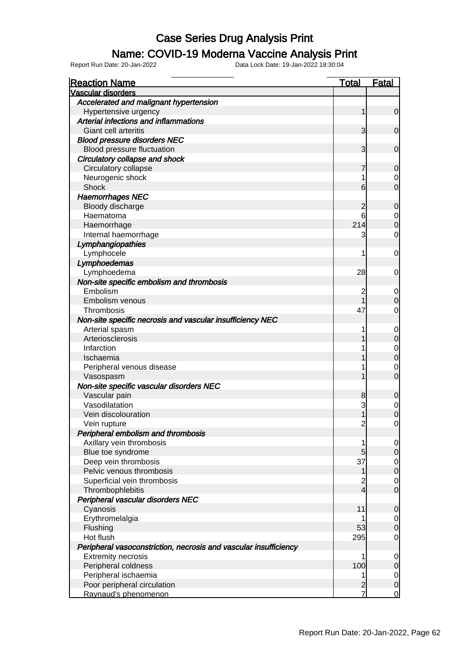#### Name: COVID-19 Moderna Vaccine Analysis Print

| <b>Reaction Name</b>                                             | <u>Total</u>   | <b>Fatal</b>     |
|------------------------------------------------------------------|----------------|------------------|
| <b>Vascular disorders</b>                                        |                |                  |
| Accelerated and malignant hypertension                           |                |                  |
| Hypertensive urgency                                             | 1              | $\overline{0}$   |
| Arterial infections and inflammations                            |                |                  |
| Giant cell arteritis                                             | 3              | $\overline{0}$   |
| <b>Blood pressure disorders NEC</b>                              |                |                  |
| Blood pressure fluctuation                                       | 3              | $\mathbf 0$      |
| Circulatory collapse and shock                                   |                |                  |
| Circulatory collapse                                             |                | $\overline{0}$   |
| Neurogenic shock                                                 | 1              | $\overline{0}$   |
| <b>Shock</b>                                                     | 6              | $\overline{0}$   |
| <b>Haemorrhages NEC</b>                                          |                |                  |
| Bloody discharge                                                 | 2              | 0                |
| Haematoma                                                        | 6              | $\boldsymbol{0}$ |
| Haemorrhage                                                      | 214            | $\mathbf 0$      |
| Internal haemorrhage                                             | 3              | $\overline{0}$   |
| Lymphangiopathies                                                |                |                  |
| Lymphocele                                                       | 1              | $\mathbf 0$      |
| Lymphoedemas                                                     |                |                  |
| Lymphoedema                                                      | 28             | $\overline{0}$   |
| Non-site specific embolism and thrombosis                        |                |                  |
| Embolism                                                         | 2              | $\overline{0}$   |
| Embolism venous                                                  |                | $\mathbf 0$      |
| Thrombosis                                                       | 47             | $\overline{0}$   |
| Non-site specific necrosis and vascular insufficiency NEC        |                |                  |
| Arterial spasm                                                   |                | $\mathbf 0$      |
| Arteriosclerosis                                                 |                | $\mathbf 0$      |
| Infarction                                                       |                | $\overline{0}$   |
| Ischaemia                                                        |                | $\overline{0}$   |
| Peripheral venous disease                                        |                | $\mathbf 0$      |
| Vasospasm                                                        |                | $\overline{0}$   |
| Non-site specific vascular disorders NEC                         |                |                  |
| Vascular pain                                                    | 8              | 0                |
| Vasodilatation                                                   | 3              | $\overline{0}$   |
| Vein discolouration                                              | 1              | $\overline{0}$   |
| Vein rupture                                                     | $\overline{c}$ | $\mathbf 0$      |
| Peripheral embolism and thrombosis                               |                |                  |
| Axillary vein thrombosis                                         | 1              | $\overline{0}$   |
| Blue toe syndrome                                                | 5              | $\overline{0}$   |
| Deep vein thrombosis                                             | 37             | $\overline{0}$   |
| Pelvic venous thrombosis                                         | 1              | $\overline{0}$   |
| Superficial vein thrombosis                                      | 2              | $\overline{0}$   |
| Thrombophlebitis                                                 | $\overline{4}$ | $\overline{O}$   |
| Peripheral vascular disorders NEC                                |                |                  |
| Cyanosis                                                         | 11             | $\mathbf 0$      |
| Erythromelalgia                                                  |                | $\overline{0}$   |
| Flushing                                                         | 53             | $\mathbf 0$      |
| Hot flush                                                        | 295            | $\mathbf 0$      |
| Peripheral vasoconstriction, necrosis and vascular insufficiency |                |                  |
| <b>Extremity necrosis</b>                                        | 1              | $\overline{0}$   |
| Peripheral coldness                                              | 100            | $\mathbf 0$      |
| Peripheral ischaemia                                             | 1              | $\overline{0}$   |
| Poor peripheral circulation                                      | $\overline{c}$ | $\mathsf{O}$     |
| Raynaud's phenomenon                                             |                | $\overline{0}$   |